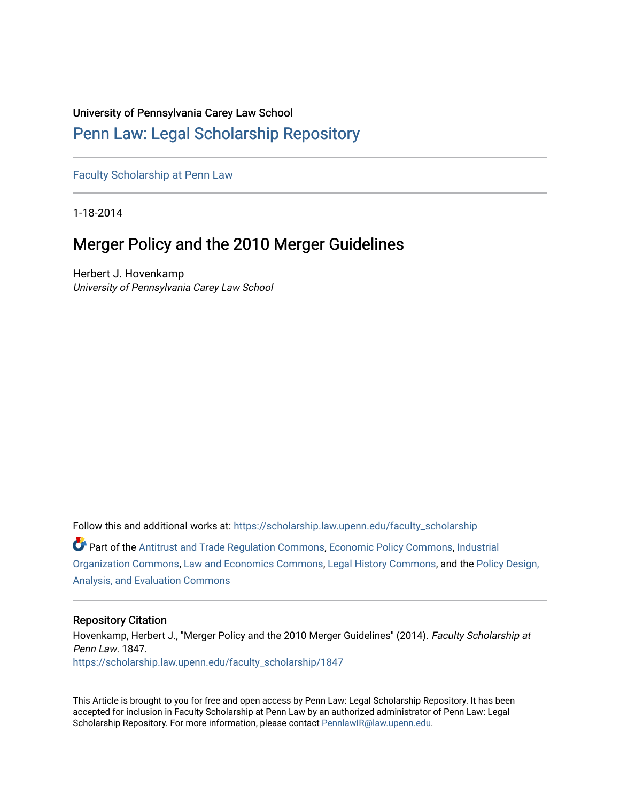# University of Pennsylvania Carey Law School

# [Penn Law: Legal Scholarship Repository](https://scholarship.law.upenn.edu/)

[Faculty Scholarship at Penn Law](https://scholarship.law.upenn.edu/faculty_scholarship)

1-18-2014

# Merger Policy and the 2010 Merger Guidelines

Herbert J. Hovenkamp University of Pennsylvania Carey Law School

Follow this and additional works at: [https://scholarship.law.upenn.edu/faculty\\_scholarship](https://scholarship.law.upenn.edu/faculty_scholarship?utm_source=scholarship.law.upenn.edu%2Ffaculty_scholarship%2F1847&utm_medium=PDF&utm_campaign=PDFCoverPages)  Part of the [Antitrust and Trade Regulation Commons,](http://network.bepress.com/hgg/discipline/911?utm_source=scholarship.law.upenn.edu%2Ffaculty_scholarship%2F1847&utm_medium=PDF&utm_campaign=PDFCoverPages) [Economic Policy Commons](http://network.bepress.com/hgg/discipline/1025?utm_source=scholarship.law.upenn.edu%2Ffaculty_scholarship%2F1847&utm_medium=PDF&utm_campaign=PDFCoverPages), [Industrial](http://network.bepress.com/hgg/discipline/347?utm_source=scholarship.law.upenn.edu%2Ffaculty_scholarship%2F1847&utm_medium=PDF&utm_campaign=PDFCoverPages) [Organization Commons](http://network.bepress.com/hgg/discipline/347?utm_source=scholarship.law.upenn.edu%2Ffaculty_scholarship%2F1847&utm_medium=PDF&utm_campaign=PDFCoverPages), [Law and Economics Commons](http://network.bepress.com/hgg/discipline/612?utm_source=scholarship.law.upenn.edu%2Ffaculty_scholarship%2F1847&utm_medium=PDF&utm_campaign=PDFCoverPages), [Legal History Commons,](http://network.bepress.com/hgg/discipline/904?utm_source=scholarship.law.upenn.edu%2Ffaculty_scholarship%2F1847&utm_medium=PDF&utm_campaign=PDFCoverPages) and the [Policy Design,](http://network.bepress.com/hgg/discipline/1032?utm_source=scholarship.law.upenn.edu%2Ffaculty_scholarship%2F1847&utm_medium=PDF&utm_campaign=PDFCoverPages)  [Analysis, and Evaluation Commons](http://network.bepress.com/hgg/discipline/1032?utm_source=scholarship.law.upenn.edu%2Ffaculty_scholarship%2F1847&utm_medium=PDF&utm_campaign=PDFCoverPages) 

### Repository Citation

Hovenkamp, Herbert J., "Merger Policy and the 2010 Merger Guidelines" (2014). Faculty Scholarship at Penn Law. 1847. [https://scholarship.law.upenn.edu/faculty\\_scholarship/1847](https://scholarship.law.upenn.edu/faculty_scholarship/1847?utm_source=scholarship.law.upenn.edu%2Ffaculty_scholarship%2F1847&utm_medium=PDF&utm_campaign=PDFCoverPages)

This Article is brought to you for free and open access by Penn Law: Legal Scholarship Repository. It has been accepted for inclusion in Faculty Scholarship at Penn Law by an authorized administrator of Penn Law: Legal Scholarship Repository. For more information, please contact [PennlawIR@law.upenn.edu.](mailto:PennlawIR@law.upenn.edu)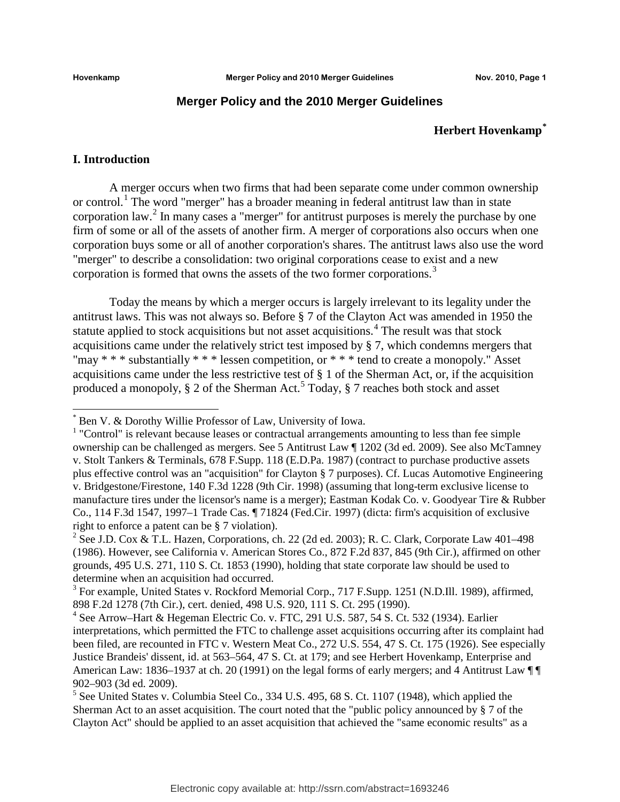# **Merger Policy and the 2010 Merger Guidelines**

# **Herbert Hovenkamp[\\*](#page-1-0)**

### **I. Introduction**

A merger occurs when two firms that had been separate come under common ownership or control.<sup>[1](#page-1-1)</sup> The word "merger" has a broader meaning in federal antitrust law than in state corporation law.<sup>[2](#page-1-2)</sup> In many cases a "merger" for antitrust purposes is merely the purchase by one firm of some or all of the assets of another firm. A merger of corporations also occurs when one corporation buys some or all of another corporation's shares. The antitrust laws also use the word "merger" to describe a consolidation: two original corporations cease to exist and a new corporation is formed that owns the assets of the two former corporations.<sup>[3](#page-1-3)</sup>

Today the means by which a merger occurs is largely irrelevant to its legality under the antitrust laws. This was not always so. Before § 7 of the Clayton Act was amended in 1950 the statute applied to stock acquisitions but not asset acquisitions.<sup>[4](#page-1-4)</sup> The result was that stock acquisitions came under the relatively strict test imposed by § 7, which condemns mergers that "may \* \* \* substantially \* \* \* lessen competition, or \* \* \* tend to create a monopoly." Asset acquisitions came under the less restrictive test of § 1 of the Sherman Act, or, if the acquisition produced a monopoly,  $\S 2$  of the Sherman Act.<sup>[5](#page-1-5)</sup> Today,  $\S 7$  reaches both stock and asset

<span id="page-1-0"></span> <sup>\*</sup> Ben V. & Dorothy Willie Professor of Law, University of Iowa.

<span id="page-1-1"></span> $1$  "Control" is relevant because leases or contractual arrangements amounting to less than fee simple ownership can be challenged as mergers. See 5 Antitrust Law ¶ 1202 (3d ed. 2009). See also McTamney v. Stolt Tankers & Terminals, 678 F.Supp. 118 (E.D.Pa. 1987) (contract to purchase productive assets plus effective control was an "acquisition" for Clayton § 7 purposes). Cf. Lucas Automotive Engineering v. Bridgestone/Firestone, 140 F.3d 1228 (9th Cir. 1998) (assuming that long-term exclusive license to manufacture tires under the licensor's name is a merger); Eastman Kodak Co. v. Goodyear Tire & Rubber Co., 114 F.3d 1547, 1997–1 Trade Cas. ¶ 71824 (Fed.Cir. 1997) (dicta: firm's acquisition of exclusive right to enforce a patent can be § 7 violation).

<span id="page-1-2"></span><sup>&</sup>lt;sup>2</sup> See J.D. Cox & T.L. Hazen, Corporations, ch. 22 (2d ed. 2003); R. C. Clark, Corporate Law 401–498 (1986). However, see California v. American Stores Co., 872 F.2d 837, 845 (9th Cir.), affirmed on other grounds, 495 U.S. 271, 110 S. Ct. 1853 (1990), holding that state corporate law should be used to determine when an acquisition had occurred.

<span id="page-1-3"></span><sup>3</sup> For example, United States v. Rockford Memorial Corp., 717 F.Supp. 1251 (N.D.Ill. 1989), affirmed, 898 F.2d 1278 (7th Cir.), cert. denied, 498 U.S. 920, 111 S. Ct. 295 (1990).

<span id="page-1-4"></span><sup>4</sup> See Arrow–Hart & Hegeman Electric Co. v. FTC, 291 U.S. 587, 54 S. Ct. 532 (1934). Earlier interpretations, which permitted the FTC to challenge asset acquisitions occurring after its complaint had been filed, are recounted in FTC v. Western Meat Co., 272 U.S. 554, 47 S. Ct. 175 (1926). See especially Justice Brandeis' dissent, id. at 563–564, 47 S. Ct. at 179; and see Herbert Hovenkamp, Enterprise and American Law: 1836–1937 at ch. 20 (1991) on the legal forms of early mergers; and 4 Antitrust Law  $\P\P$ 902–903 (3d ed. 2009).

<span id="page-1-5"></span> $5$  See United States v. Columbia Steel Co., 334 U.S. 495, 68 S. Ct. 1107 (1948), which applied the Sherman Act to an asset acquisition. The court noted that the "public policy announced by § 7 of the Clayton Act" should be applied to an asset acquisition that achieved the "same economic results" as a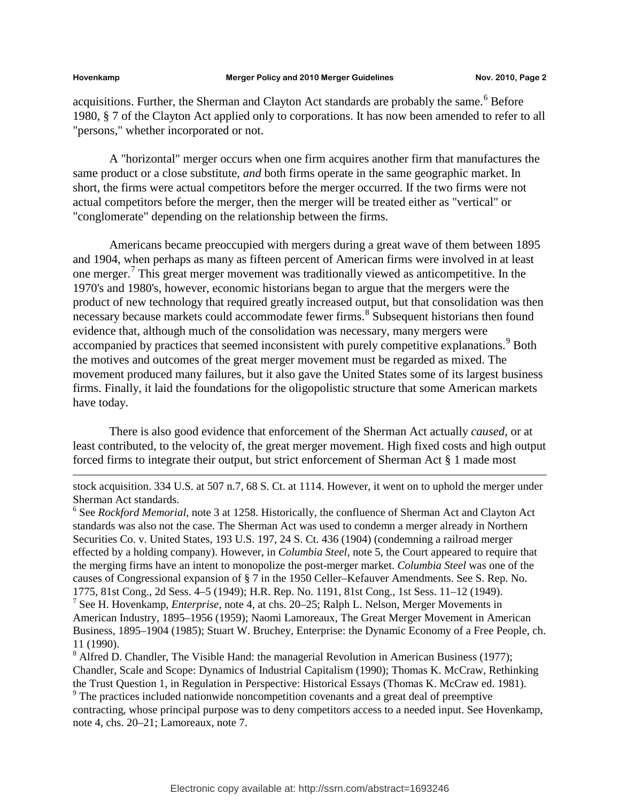$\overline{a}$ 

acquisitions. Further, the Sherman and Clayton Act standards are probably the same.<sup>[6](#page-2-0)</sup> Before 1980, § 7 of the Clayton Act applied only to corporations. It has now been amended to refer to all "persons," whether incorporated or not.

A "horizontal" merger occurs when one firm acquires another firm that manufactures the same product or a close substitute, *and* both firms operate in the same geographic market. In short, the firms were actual competitors before the merger occurred. If the two firms were not actual competitors before the merger, then the merger will be treated either as "vertical" or "conglomerate" depending on the relationship between the firms.

Americans became preoccupied with mergers during a great wave of them between 1895 and 1904, when perhaps as many as fifteen percent of American firms were involved in at least one merger.[7](#page-2-1) This great merger movement was traditionally viewed as anticompetitive. In the 1970's and 1980's, however, economic historians began to argue that the mergers were the product of new technology that required greatly increased output, but that consolidation was then necessary because markets could accommodate fewer firms.[8](#page-2-2) Subsequent historians then found evidence that, although much of the consolidation was necessary, many mergers were accompanied by practices that seemed inconsistent with purely competitive explanations.<sup>[9](#page-2-3)</sup> Both the motives and outcomes of the great merger movement must be regarded as mixed. The movement produced many failures, but it also gave the United States some of its largest business firms. Finally, it laid the foundations for the oligopolistic structure that some American markets have today.

There is also good evidence that enforcement of the Sherman Act actually *caused*, or at least contributed, to the velocity of, the great merger movement. High fixed costs and high output forced firms to integrate their output, but strict enforcement of Sherman Act § 1 made most

<span id="page-2-0"></span><sup>6</sup> See *Rockford Memorial*, note 3 at 1258. Historically, the confluence of Sherman Act and Clayton Act standards was also not the case. The Sherman Act was used to condemn a merger already in Northern Securities Co. v. United States, 193 U.S. 197, 24 S. Ct. 436 (1904) (condemning a railroad merger effected by a holding company). However, in *Columbia Steel*, note 5, the Court appeared to require that the merging firms have an intent to monopolize the post-merger market. *Columbia Steel* was one of the causes of Congressional expansion of § 7 in the 1950 Celler–Kefauver Amendments. See S. Rep. No. 1775, 81st Cong., 2d Sess. 4–5 (1949); H.R. Rep. No. 1191, 81st Cong., 1st Sess. 11–12 (1949). <sup>7</sup> See H. Hovenkamp, *Enterprise*, note 4, at chs. 20–25; Ralph L. Nelson, Merger Movements in American Industry, 1895–1956 (1959); Naomi Lamoreaux, The Great Merger Movement in American Business, 1895–1904 (1985); Stuart W. Bruchey, Enterprise: the Dynamic Economy of a Free People, ch. 11 (1990).

<span id="page-2-2"></span><span id="page-2-1"></span><sup>8</sup> Alfred D. Chandler, The Visible Hand: the managerial Revolution in American Business (1977); Chandler, Scale and Scope: Dynamics of Industrial Capitalism (1990); Thomas K. McCraw, Rethinking the Trust Question 1, in Regulation in Perspective: Historical Essays (Thomas K. McCraw ed. 1981).

<span id="page-2-3"></span><sup>9</sup> The practices included nationwide noncompetition covenants and a great deal of preemptive contracting, whose principal purpose was to deny competitors access to a needed input. See Hovenkamp, note 4, chs. 20–21; Lamoreaux, note 7.

stock acquisition. 334 U.S. at 507 n.7, 68 S. Ct. at 1114. However, it went on to uphold the merger under Sherman Act standards.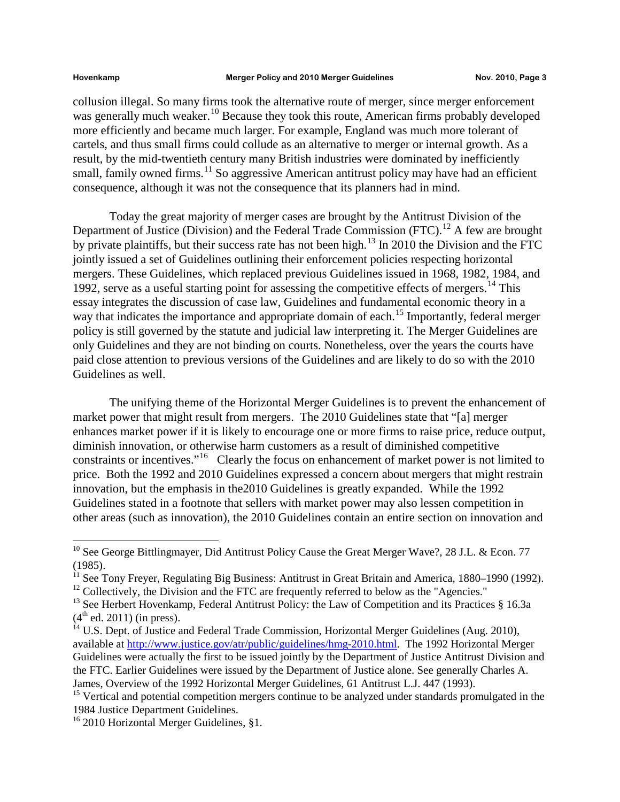collusion illegal. So many firms took the alternative route of merger, since merger enforcement was generally much weaker.<sup>[10](#page-3-0)</sup> Because they took this route, American firms probably developed more efficiently and became much larger. For example, England was much more tolerant of cartels, and thus small firms could collude as an alternative to merger or internal growth. As a result, by the mid-twentieth century many British industries were dominated by inefficiently small, family owned firms.<sup>[11](#page-3-1)</sup> So aggressive American antitrust policy may have had an efficient consequence, although it was not the consequence that its planners had in mind.

Today the great majority of merger cases are brought by the Antitrust Division of the Department of Justice (Division) and the Federal Trade Commission (FTC).<sup>[12](#page-3-2)</sup> A few are brought by private plaintiffs, but their success rate has not been high.<sup>[13](#page-3-3)</sup> In 2010 the Division and the FTC jointly issued a set of Guidelines outlining their enforcement policies respecting horizontal mergers. These Guidelines, which replaced previous Guidelines issued in 1968, 1982, 1984, and 1992, serve as a useful starting point for assessing the competitive effects of mergers.<sup>[14](#page-3-4)</sup> This essay integrates the discussion of case law, Guidelines and fundamental economic theory in a way that indicates the importance and appropriate domain of each.<sup>[15](#page-3-5)</sup> Importantly, federal merger policy is still governed by the statute and judicial law interpreting it. The Merger Guidelines are only Guidelines and they are not binding on courts. Nonetheless, over the years the courts have paid close attention to previous versions of the Guidelines and are likely to do so with the 2010 Guidelines as well.

The unifying theme of the Horizontal Merger Guidelines is to prevent the enhancement of market power that might result from mergers. The 2010 Guidelines state that "[a] merger enhances market power if it is likely to encourage one or more firms to raise price, reduce output, diminish innovation, or otherwise harm customers as a result of diminished competitive constraints or incentives."<sup>[16](#page-3-6)</sup> Clearly the focus on enhancement of market power is not limited to price. Both the 1992 and 2010 Guidelines expressed a concern about mergers that might restrain innovation, but the emphasis in the2010 Guidelines is greatly expanded. While the 1992 Guidelines stated in a footnote that sellers with market power may also lessen competition in other areas (such as innovation), the 2010 Guidelines contain an entire section on innovation and

<span id="page-3-0"></span><sup>&</sup>lt;sup>10</sup> See George Bittlingmayer, Did Antitrust Policy Cause the Great Merger Wave?, 28 J.L. & Econ. 77 (1985).

<span id="page-3-1"></span> $11$  See Tony Freyer, Regulating Big Business: Antitrust in Great Britain and America, 1880–1990 (1992).

<span id="page-3-2"></span> $12$  Collectively, the Division and the FTC are frequently referred to below as the "Agencies."

<span id="page-3-3"></span><sup>&</sup>lt;sup>13</sup> See Herbert Hovenkamp, Federal Antitrust Policy: the Law of Competition and its Practices § 16.3a  $(4<sup>th</sup>$  ed. 2011) (in press).

<span id="page-3-4"></span> $14$  U.S. Dept. of Justice and Federal Trade Commission, Horizontal Merger Guidelines (Aug. 2010), available at [http://www.justice.gov/atr/public/guidelines/hmg-2010.html.](http://www.justice.gov/atr/public/guidelines/hmg-2010.html) The 1992 Horizontal Merger Guidelines were actually the first to be issued jointly by the Department of Justice Antitrust Division and the FTC. Earlier Guidelines were issued by the Department of Justice alone. See generally Charles A. James, Overview of the 1992 Horizontal Merger Guidelines, 61 Antitrust L.J. 447 (1993).

<span id="page-3-5"></span><sup>&</sup>lt;sup>15</sup> Vertical and potential competition mergers continue to be analyzed under standards promulgated in the 1984 Justice Department Guidelines.

<span id="page-3-6"></span><sup>&</sup>lt;sup>16</sup> 2010 Horizontal Merger Guidelines, §1.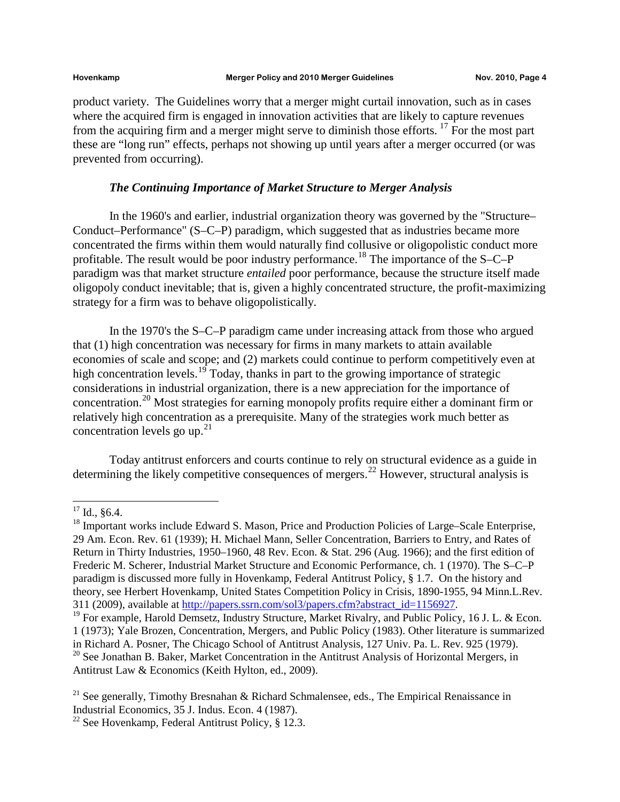product variety. The Guidelines worry that a merger might curtail innovation, such as in cases where the acquired firm is engaged in innovation activities that are likely to capture revenues from the acquiring firm and a merger might serve to diminish those efforts.  $^{17}$  $^{17}$  $^{17}$  For the most part these are "long run" effects, perhaps not showing up until years after a merger occurred (or was prevented from occurring).

# *The Continuing Importance of Market Structure to Merger Analysis*

In the 1960's and earlier, industrial organization theory was governed by the "Structure– Conduct–Performance" (S–C–P) paradigm, which suggested that as industries became more concentrated the firms within them would naturally find collusive or oligopolistic conduct more profitable. The result would be poor industry performance.<sup>[18](#page-4-1)</sup> The importance of the  $S-C-P$ paradigm was that market structure *entailed* poor performance, because the structure itself made oligopoly conduct inevitable; that is, given a highly concentrated structure, the profit-maximizing strategy for a firm was to behave oligopolistically.

In the 1970's the S–C–P paradigm came under increasing attack from those who argued that (1) high concentration was necessary for firms in many markets to attain available economies of scale and scope; and (2) markets could continue to perform competitively even at high concentration levels.<sup>[19](#page-4-2)</sup> Today, thanks in part to the growing importance of strategic considerations in industrial organization, there is a new appreciation for the importance of concentration.[20](#page-4-3) Most strategies for earning monopoly profits require either a dominant firm or relatively high concentration as a prerequisite. Many of the strategies work much better as concentration levels go up. $^{21}$  $^{21}$  $^{21}$ 

Today antitrust enforcers and courts continue to rely on structural evidence as a guide in determining the likely competitive consequences of mergers.<sup>[22](#page-4-5)</sup> However, structural analysis is

<span id="page-4-0"></span> $17$  Id., §6.4.

<span id="page-4-1"></span><sup>&</sup>lt;sup>18</sup> Important works include Edward S. Mason, Price and Production Policies of Large–Scale Enterprise, 29 Am. Econ. Rev. 61 (1939); H. Michael Mann, Seller Concentration, Barriers to Entry, and Rates of Return in Thirty Industries, 1950–1960, 48 Rev. Econ. & Stat. 296 (Aug. 1966); and the first edition of Frederic M. Scherer, Industrial Market Structure and Economic Performance, ch. 1 (1970). The S–C–P paradigm is discussed more fully in Hovenkamp, Federal Antitrust Policy, § 1.7. On the history and theory, see Herbert Hovenkamp, United States Competition Policy in Crisis, 1890-1955, 94 Minn.L.Rev. 311 (2009), available at [http://papers.ssrn.com/sol3/papers.cfm?abstract\\_id=1156927.](http://papers.ssrn.com/sol3/papers.cfm?abstract_id=1156927)

<span id="page-4-2"></span><sup>&</sup>lt;sup>19</sup> For example, Harold Demsetz, Industry Structure, Market Rivalry, and Public Policy, 16 J. L. & Econ. 1 (1973); Yale Brozen, Concentration, Mergers, and Public Policy (1983). Other literature is summarized in Richard A. Posner, The Chicago School of Antitrust Analysis, 127 Univ. Pa. L. Rev. 925 (1979).  $20$  See Jonathan B. Baker, Market Concentration in the Antitrust Analysis of Horizontal Mergers, in Antitrust Law & Economics (Keith Hylton, ed., 2009).

<span id="page-4-4"></span><span id="page-4-3"></span><sup>&</sup>lt;sup>21</sup> See generally, Timothy Bresnahan & Richard Schmalensee, eds., The Empirical Renaissance in Industrial Economics, 35 J. Indus. Econ. 4 (1987).

<span id="page-4-5"></span><sup>&</sup>lt;sup>22</sup> See Hovenkamp, Federal Antitrust Policy,  $\S$  12.3.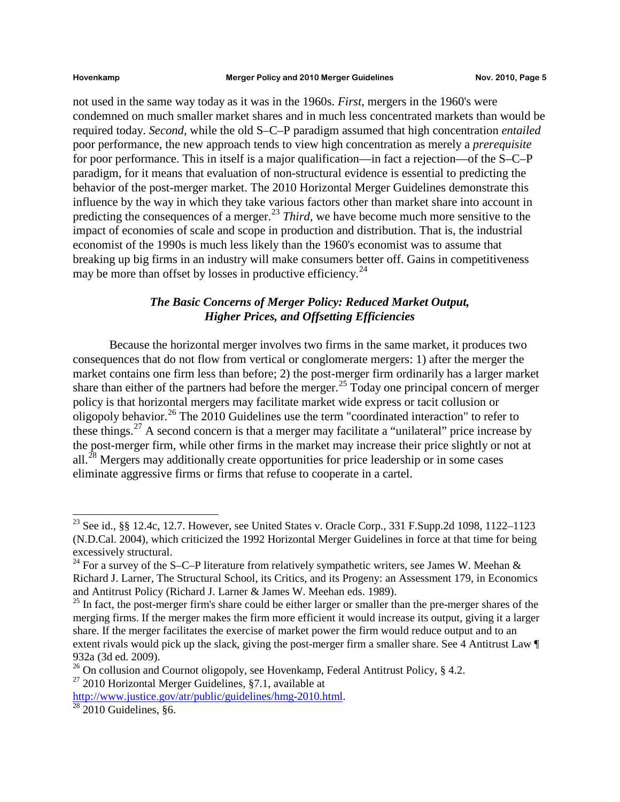not used in the same way today as it was in the 1960s. *First*, mergers in the 1960's were condemned on much smaller market shares and in much less concentrated markets than would be required today. *Second*, while the old S–C–P paradigm assumed that high concentration *entailed* poor performance, the new approach tends to view high concentration as merely a *prerequisite* for poor performance. This in itself is a major qualification—in fact a rejection—of the S–C–P paradigm, for it means that evaluation of non-structural evidence is essential to predicting the behavior of the post-merger market. The 2010 Horizontal Merger Guidelines demonstrate this influence by the way in which they take various factors other than market share into account in predicting the consequences of a merger.<sup>[23](#page-5-0)</sup> *Third*, we have become much more sensitive to the impact of economies of scale and scope in production and distribution. That is, the industrial economist of the 1990s is much less likely than the 1960's economist was to assume that breaking up big firms in an industry will make consumers better off. Gains in competitiveness may be more than offset by losses in productive efficiency.<sup>[24](#page-5-1)</sup>

# *The Basic Concerns of Merger Policy: Reduced Market Output, Higher Prices, and Offsetting Efficiencies*

Because the horizontal merger involves two firms in the same market, it produces two consequences that do not flow from vertical or conglomerate mergers: 1) after the merger the market contains one firm less than before; 2) the post-merger firm ordinarily has a larger market share than either of the partners had before the merger.<sup>[25](#page-5-2)</sup> Today one principal concern of merger policy is that horizontal mergers may facilitate market wide express or tacit collusion or oligopoly behavior.<sup>[26](#page-5-3)</sup> The 2010 Guidelines use the term "coordinated interaction" to refer to these things.<sup>[27](#page-5-4)</sup> A second concern is that a merger may facilitate a "unilateral" price increase by the post-merger firm, while other firms in the market may increase their price slightly or not at  $all.^{28}$  $all.^{28}$  $all.^{28}$  Mergers may additionally create opportunities for price leadership or in some cases eliminate aggressive firms or firms that refuse to cooperate in a cartel.

<span id="page-5-4"></span> $27$  2010 Horizontal Merger Guidelines, §7.1, available at

<span id="page-5-0"></span><sup>&</sup>lt;sup>23</sup> See id., §§ 12.4c, 12.7. However, see United States v. Oracle Corp., 331 F. Supp. 2d 1098, 1122–1123 (N.D.Cal. 2004), which criticized the 1992 Horizontal Merger Guidelines in force at that time for being excessively structural.

<span id="page-5-1"></span><sup>&</sup>lt;sup>24</sup> For a survey of the S–C–P literature from relatively sympathetic writers, see James W. Meehan & Richard J. Larner, The Structural School, its Critics, and its Progeny: an Assessment 179, in Economics and Antitrust Policy (Richard J. Larner & James W. Meehan eds. 1989).

<span id="page-5-2"></span><sup>&</sup>lt;sup>25</sup> In fact, the post-merger firm's share could be either larger or smaller than the pre-merger shares of the merging firms. If the merger makes the firm more efficient it would increase its output, giving it a larger share. If the merger facilitates the exercise of market power the firm would reduce output and to an extent rivals would pick up the slack, giving the post-merger firm a smaller share. See 4 Antitrust Law ¶ 932a (3d ed. 2009).

<span id="page-5-3"></span><sup>&</sup>lt;sup>26</sup> On collusion and Cournot oligopoly, see Hovenkamp, Federal Antitrust Policy,  $\S$  4.2.

<span id="page-5-5"></span>[http://www.justice.gov/atr/public/guidelines/hmg-2010.html.](http://www.justice.gov/atr/public/guidelines/hmg-2010.html) 28 2010 Guidelines, §6.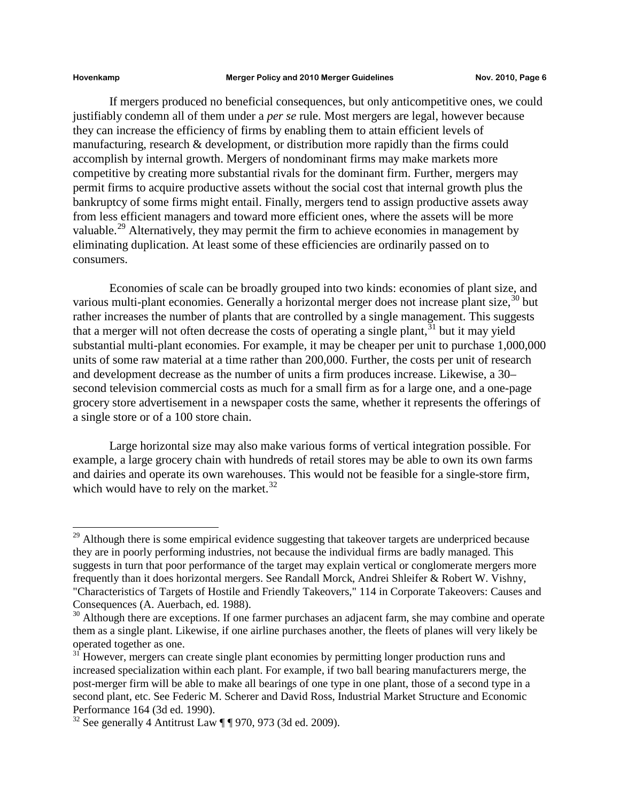If mergers produced no beneficial consequences, but only anticompetitive ones, we could justifiably condemn all of them under a *per se* rule. Most mergers are legal, however because they can increase the efficiency of firms by enabling them to attain efficient levels of manufacturing, research & development, or distribution more rapidly than the firms could accomplish by internal growth. Mergers of nondominant firms may make markets more competitive by creating more substantial rivals for the dominant firm. Further, mergers may permit firms to acquire productive assets without the social cost that internal growth plus the bankruptcy of some firms might entail. Finally, mergers tend to assign productive assets away from less efficient managers and toward more efficient ones, where the assets will be more valuable.<sup>[29](#page-6-0)</sup> Alternatively, they may permit the firm to achieve economies in management by eliminating duplication. At least some of these efficiencies are ordinarily passed on to consumers.

Economies of scale can be broadly grouped into two kinds: economies of plant size, and various multi-plant economies. Generally a horizontal merger does not increase plant size,<sup>[30](#page-6-1)</sup> but rather increases the number of plants that are controlled by a single management. This suggests that a merger will not often decrease the costs of operating a single plant,  $31$  but it may yield substantial multi-plant economies. For example, it may be cheaper per unit to purchase 1,000,000 units of some raw material at a time rather than 200,000. Further, the costs per unit of research and development decrease as the number of units a firm produces increase. Likewise, a 30– second television commercial costs as much for a small firm as for a large one, and a one-page grocery store advertisement in a newspaper costs the same, whether it represents the offerings of a single store or of a 100 store chain.

Large horizontal size may also make various forms of vertical integration possible. For example, a large grocery chain with hundreds of retail stores may be able to own its own farms and dairies and operate its own warehouses. This would not be feasible for a single-store firm, which would have to rely on the market. $32$ 

<span id="page-6-0"></span> $29$  Although there is some empirical evidence suggesting that takeover targets are underpriced because they are in poorly performing industries, not because the individual firms are badly managed. This suggests in turn that poor performance of the target may explain vertical or conglomerate mergers more frequently than it does horizontal mergers. See Randall Morck, Andrei Shleifer & Robert W. Vishny, "Characteristics of Targets of Hostile and Friendly Takeovers," 114 in Corporate Takeovers: Causes and Consequences (A. Auerbach, ed. 1988).

<span id="page-6-1"></span><sup>&</sup>lt;sup>30</sup> Although there are exceptions. If one farmer purchases an adjacent farm, she may combine and operate them as a single plant. Likewise, if one airline purchases another, the fleets of planes will very likely be operated together as one.

<span id="page-6-2"></span> $31$  However, mergers can create single plant economies by permitting longer production runs and increased specialization within each plant. For example, if two ball bearing manufacturers merge, the post-merger firm will be able to make all bearings of one type in one plant, those of a second type in a second plant, etc. See Federic M. Scherer and David Ross, Industrial Market Structure and Economic Performance 164 (3d ed. 1990).

<span id="page-6-3"></span> $32$  See generally 4 Antitrust Law ¶ ¶ 970, 973 (3d ed. 2009).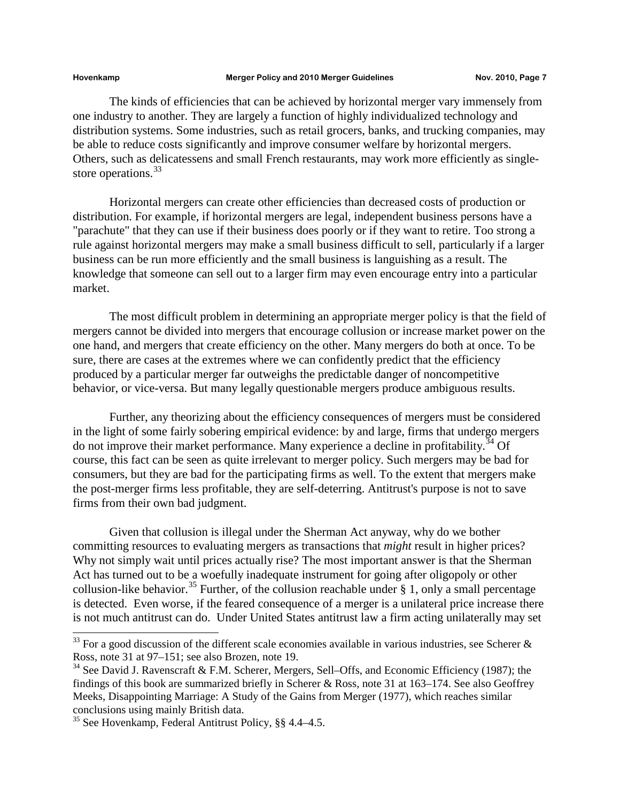The kinds of efficiencies that can be achieved by horizontal merger vary immensely from one industry to another. They are largely a function of highly individualized technology and distribution systems. Some industries, such as retail grocers, banks, and trucking companies, may be able to reduce costs significantly and improve consumer welfare by horizontal mergers. Others, such as delicatessens and small French restaurants, may work more efficiently as single-store operations.<sup>[33](#page-7-0)</sup>

Horizontal mergers can create other efficiencies than decreased costs of production or distribution. For example, if horizontal mergers are legal, independent business persons have a "parachute" that they can use if their business does poorly or if they want to retire. Too strong a rule against horizontal mergers may make a small business difficult to sell, particularly if a larger business can be run more efficiently and the small business is languishing as a result. The knowledge that someone can sell out to a larger firm may even encourage entry into a particular market.

The most difficult problem in determining an appropriate merger policy is that the field of mergers cannot be divided into mergers that encourage collusion or increase market power on the one hand, and mergers that create efficiency on the other. Many mergers do both at once. To be sure, there are cases at the extremes where we can confidently predict that the efficiency produced by a particular merger far outweighs the predictable danger of noncompetitive behavior, or vice-versa. But many legally questionable mergers produce ambiguous results.

Further, any theorizing about the efficiency consequences of mergers must be considered in the light of some fairly sobering empirical evidence: by and large, firms that undergo mergers do not improve their market performance. Many experience a decline in profitability.<sup>[34](#page-7-1)</sup> Of course, this fact can be seen as quite irrelevant to merger policy. Such mergers may be bad for consumers, but they are bad for the participating firms as well. To the extent that mergers make the post-merger firms less profitable, they are self-deterring. Antitrust's purpose is not to save firms from their own bad judgment.

Given that collusion is illegal under the Sherman Act anyway, why do we bother committing resources to evaluating mergers as transactions that *might* result in higher prices? Why not simply wait until prices actually rise? The most important answer is that the Sherman Act has turned out to be a woefully inadequate instrument for going after oligopoly or other collusion-like behavior.<sup>[35](#page-7-2)</sup> Further, of the collusion reachable under § 1, only a small percentage is detected. Even worse, if the feared consequence of a merger is a unilateral price increase there is not much antitrust can do. Under United States antitrust law a firm acting unilaterally may set

<span id="page-7-0"></span> $33$  For a good discussion of the different scale economies available in various industries, see Scherer & Ross, note 31 at 97–151; see also Brozen, note 19.

<span id="page-7-1"></span><sup>&</sup>lt;sup>34</sup> See David J. Ravenscraft & F.M. Scherer, Mergers, Sell–Offs, and Economic Efficiency (1987); the findings of this book are summarized briefly in Scherer & Ross, note 31 at 163–174. See also Geoffrey Meeks, Disappointing Marriage: A Study of the Gains from Merger (1977), which reaches similar conclusions using mainly British data.

<span id="page-7-2"></span><sup>35</sup> See Hovenkamp, Federal Antitrust Policy, §§ 4.4–4.5.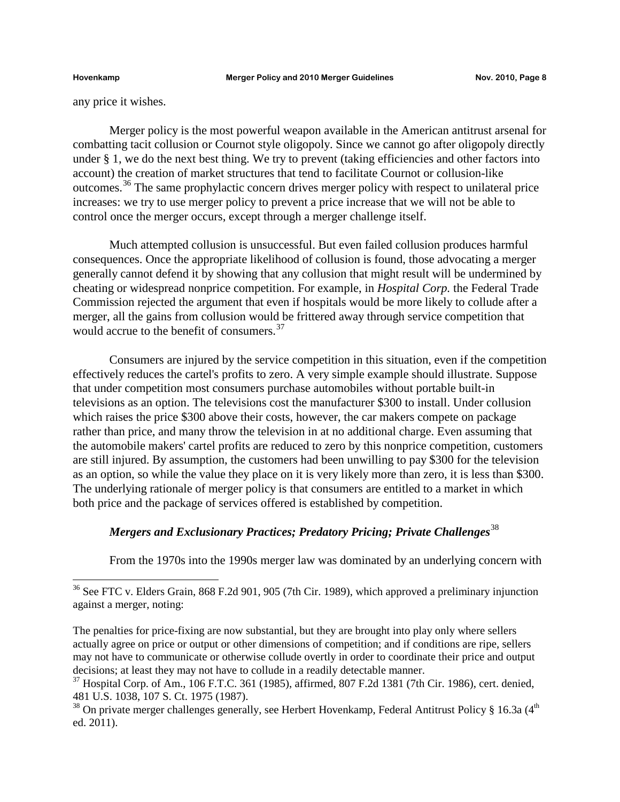any price it wishes.

Merger policy is the most powerful weapon available in the American antitrust arsenal for combatting tacit collusion or Cournot style oligopoly. Since we cannot go after oligopoly directly under § 1, we do the next best thing. We try to prevent (taking efficiencies and other factors into account) the creation of market structures that tend to facilitate Cournot or collusion-like outcomes.[36](#page-8-0) The same prophylactic concern drives merger policy with respect to unilateral price increases: we try to use merger policy to prevent a price increase that we will not be able to control once the merger occurs, except through a merger challenge itself.

Much attempted collusion is unsuccessful. But even failed collusion produces harmful consequences. Once the appropriate likelihood of collusion is found, those advocating a merger generally cannot defend it by showing that any collusion that might result will be undermined by cheating or widespread nonprice competition. For example, in *Hospital Corp.* the Federal Trade Commission rejected the argument that even if hospitals would be more likely to collude after a merger, all the gains from collusion would be frittered away through service competition that would accrue to the benefit of consumers.<sup>[37](#page-8-1)</sup>

Consumers are injured by the service competition in this situation, even if the competition effectively reduces the cartel's profits to zero. A very simple example should illustrate. Suppose that under competition most consumers purchase automobiles without portable built-in televisions as an option. The televisions cost the manufacturer \$300 to install. Under collusion which raises the price \$300 above their costs, however, the car makers compete on package rather than price, and many throw the television in at no additional charge. Even assuming that the automobile makers' cartel profits are reduced to zero by this nonprice competition, customers are still injured. By assumption, the customers had been unwilling to pay \$300 for the television as an option, so while the value they place on it is very likely more than zero, it is less than \$300. The underlying rationale of merger policy is that consumers are entitled to a market in which both price and the package of services offered is established by competition.

# *Mergers and Exclusionary Practices; Predatory Pricing; Private Challenges*[38](#page-8-2)

From the 1970s into the 1990s merger law was dominated by an underlying concern with

<span id="page-8-0"></span><sup>&</sup>lt;sup>36</sup> See FTC v. Elders Grain, 868 F.2d 901, 905 (7th Cir. 1989), which approved a preliminary injunction against a merger, noting:

The penalties for price-fixing are now substantial, but they are brought into play only where sellers actually agree on price or output or other dimensions of competition; and if conditions are ripe, sellers may not have to communicate or otherwise collude overtly in order to coordinate their price and output decisions; at least they may not have to collude in a readily detectable manner.

<span id="page-8-1"></span> $37$  Hospital Corp. of Am., 106 F.T.C. 361 (1985), affirmed, 807 F.2d 1381 (7th Cir. 1986), cert. denied, 481 U.S. 1038, 107 S. Ct. 1975 (1987).

<span id="page-8-2"></span><sup>&</sup>lt;sup>38</sup> On private merger challenges generally, see Herbert Hovenkamp, Federal Antitrust Policy § 16.3a (4<sup>th</sup>) ed. 2011).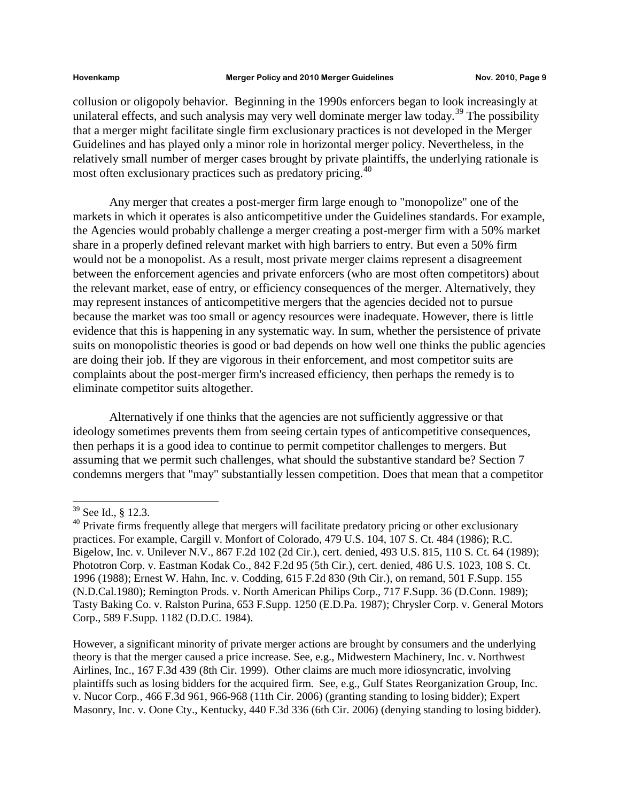collusion or oligopoly behavior. Beginning in the 1990s enforcers began to look increasingly at unilateral effects, and such analysis may very well dominate merger law today.<sup>[39](#page-9-0)</sup> The possibility that a merger might facilitate single firm exclusionary practices is not developed in the Merger Guidelines and has played only a minor role in horizontal merger policy. Nevertheless, in the relatively small number of merger cases brought by private plaintiffs, the underlying rationale is most often exclusionary practices such as predatory pricing.<sup>[40](#page-9-1)</sup>

Any merger that creates a post-merger firm large enough to "monopolize" one of the markets in which it operates is also anticompetitive under the Guidelines standards. For example, the Agencies would probably challenge a merger creating a post-merger firm with a 50% market share in a properly defined relevant market with high barriers to entry. But even a 50% firm would not be a monopolist. As a result, most private merger claims represent a disagreement between the enforcement agencies and private enforcers (who are most often competitors) about the relevant market, ease of entry, or efficiency consequences of the merger. Alternatively, they may represent instances of anticompetitive mergers that the agencies decided not to pursue because the market was too small or agency resources were inadequate. However, there is little evidence that this is happening in any systematic way. In sum, whether the persistence of private suits on monopolistic theories is good or bad depends on how well one thinks the public agencies are doing their job. If they are vigorous in their enforcement, and most competitor suits are complaints about the post-merger firm's increased efficiency, then perhaps the remedy is to eliminate competitor suits altogether.

Alternatively if one thinks that the agencies are not sufficiently aggressive or that ideology sometimes prevents them from seeing certain types of anticompetitive consequences, then perhaps it is a good idea to continue to permit competitor challenges to mergers. But assuming that we permit such challenges, what should the substantive standard be? Section 7 condemns mergers that "may" substantially lessen competition. Does that mean that a competitor

However, a significant minority of private merger actions are brought by consumers and the underlying theory is that the merger caused a price increase. See, e.g., Midwestern Machinery, Inc. v. Northwest Airlines, Inc., 167 F.3d 439 (8th Cir. 1999). Other claims are much more idiosyncratic, involving plaintiffs such as losing bidders for the acquired firm. See, e.g., Gulf States Reorganization Group, Inc. v. Nucor Corp*.,* 466 F.3d 961, 966-968 (11th Cir. 2006) (granting standing to losing bidder); Expert Masonry, Inc. v. Oone Cty., Kentucky*,* 440 F.3d 336 (6th Cir. 2006) (denying standing to losing bidder).

<span id="page-9-0"></span> $39$  See Id., § 12.3.

<span id="page-9-1"></span><sup>&</sup>lt;sup>40</sup> Private firms frequently allege that mergers will facilitate predatory pricing or other exclusionary practices. For example, Cargill v. Monfort of Colorado, 479 U.S. 104, 107 S. Ct. 484 (1986); R.C. Bigelow, Inc. v. Unilever N.V., 867 F.2d 102 (2d Cir.), cert. denied, 493 U.S. 815, 110 S. Ct. 64 (1989); Phototron Corp. v. Eastman Kodak Co., 842 F.2d 95 (5th Cir.), cert. denied, 486 U.S. 1023, 108 S. Ct. 1996 (1988); Ernest W. Hahn, Inc. v. Codding, 615 F.2d 830 (9th Cir.), on remand, 501 F.Supp. 155 (N.D.Cal.1980); Remington Prods. v. North American Philips Corp., 717 F.Supp. 36 (D.Conn. 1989); Tasty Baking Co. v. Ralston Purina, 653 F.Supp. 1250 (E.D.Pa. 1987); Chrysler Corp. v. General Motors Corp., 589 F.Supp. 1182 (D.D.C. 1984).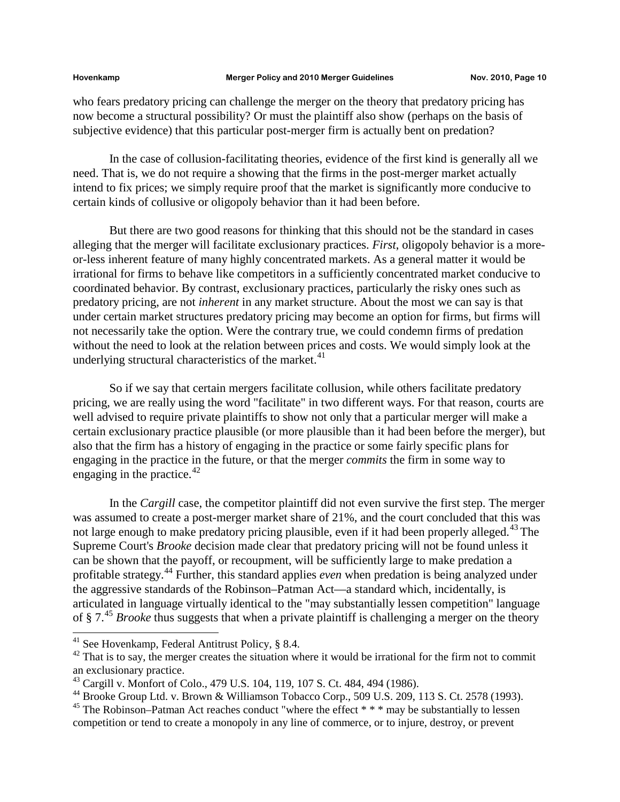who fears predatory pricing can challenge the merger on the theory that predatory pricing has now become a structural possibility? Or must the plaintiff also show (perhaps on the basis of subjective evidence) that this particular post-merger firm is actually bent on predation?

In the case of collusion-facilitating theories, evidence of the first kind is generally all we need. That is, we do not require a showing that the firms in the post-merger market actually intend to fix prices; we simply require proof that the market is significantly more conducive to certain kinds of collusive or oligopoly behavior than it had been before.

But there are two good reasons for thinking that this should not be the standard in cases alleging that the merger will facilitate exclusionary practices. *First*, oligopoly behavior is a moreor-less inherent feature of many highly concentrated markets. As a general matter it would be irrational for firms to behave like competitors in a sufficiently concentrated market conducive to coordinated behavior. By contrast, exclusionary practices, particularly the risky ones such as predatory pricing, are not *inherent* in any market structure. About the most we can say is that under certain market structures predatory pricing may become an option for firms, but firms will not necessarily take the option. Were the contrary true, we could condemn firms of predation without the need to look at the relation between prices and costs. We would simply look at the underlying structural characteristics of the market. $41$ 

So if we say that certain mergers facilitate collusion, while others facilitate predatory pricing, we are really using the word "facilitate" in two different ways. For that reason, courts are well advised to require private plaintiffs to show not only that a particular merger will make a certain exclusionary practice plausible (or more plausible than it had been before the merger), but also that the firm has a history of engaging in the practice or some fairly specific plans for engaging in the practice in the future, or that the merger *commits* the firm in some way to engaging in the practice.<sup>[42](#page-10-1)</sup>

In the *Cargill* case, the competitor plaintiff did not even survive the first step. The merger was assumed to create a post-merger market share of 21%, and the court concluded that this was not large enough to make predatory pricing plausible, even if it had been properly alleged.<sup>[43](#page-10-2)</sup> The Supreme Court's *Brooke* decision made clear that predatory pricing will not be found unless it can be shown that the payoff, or recoupment, will be sufficiently large to make predation a profitable strategy.[44](#page-10-3) Further, this standard applies *even* when predation is being analyzed under the aggressive standards of the Robinson–Patman Act—a standard which, incidentally, is articulated in language virtually identical to the "may substantially lessen competition" language of § 7.<sup>[45](#page-10-4)</sup> Brooke thus suggests that when a private plaintiff is challenging a merger on the theory

<span id="page-10-0"></span> <sup>41</sup> See Hovenkamp, Federal Antitrust Policy, § 8.4.

<span id="page-10-1"></span> $42$  That is to say, the merger creates the situation where it would be irrational for the firm not to commit an exclusionary practice.

<span id="page-10-2"></span><sup>43</sup> Cargill v. Monfort of Colo., 479 U.S. 104, 119, 107 S. Ct. 484, 494 (1986).

<span id="page-10-3"></span><sup>&</sup>lt;sup>44</sup> Brooke Group Ltd. v. Brown & Williamson Tobacco Corp., 509 U.S. 209, 113 S. Ct. 2578 (1993).

<span id="page-10-4"></span><sup>&</sup>lt;sup>45</sup> The Robinson–Patman Act reaches conduct "where the effect \* \* \* may be substantially to lessen competition or tend to create a monopoly in any line of commerce, or to injure, destroy, or prevent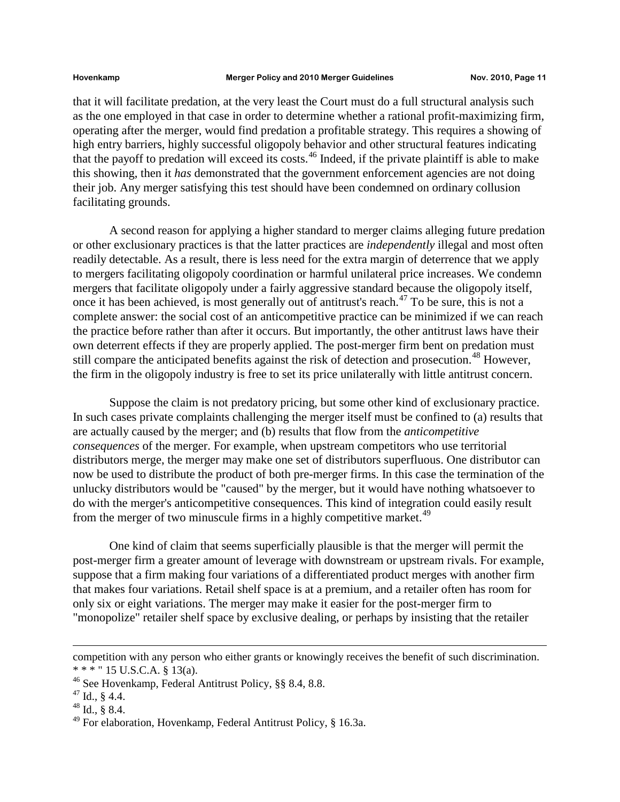that it will facilitate predation, at the very least the Court must do a full structural analysis such as the one employed in that case in order to determine whether a rational profit-maximizing firm, operating after the merger, would find predation a profitable strategy. This requires a showing of high entry barriers, highly successful oligopoly behavior and other structural features indicating that the payoff to predation will exceed its costs.<sup>[46](#page-11-0)</sup> Indeed, if the private plaintiff is able to make this showing, then it *has* demonstrated that the government enforcement agencies are not doing their job. Any merger satisfying this test should have been condemned on ordinary collusion facilitating grounds.

A second reason for applying a higher standard to merger claims alleging future predation or other exclusionary practices is that the latter practices are *independently* illegal and most often readily detectable. As a result, there is less need for the extra margin of deterrence that we apply to mergers facilitating oligopoly coordination or harmful unilateral price increases. We condemn mergers that facilitate oligopoly under a fairly aggressive standard because the oligopoly itself, once it has been achieved, is most generally out of antitrust's reach.[47](#page-11-1) To be sure, this is not a complete answer: the social cost of an anticompetitive practice can be minimized if we can reach the practice before rather than after it occurs. But importantly, the other antitrust laws have their own deterrent effects if they are properly applied. The post-merger firm bent on predation must still compare the anticipated benefits against the risk of detection and prosecution.<sup>[48](#page-11-2)</sup> However, the firm in the oligopoly industry is free to set its price unilaterally with little antitrust concern.

Suppose the claim is not predatory pricing, but some other kind of exclusionary practice. In such cases private complaints challenging the merger itself must be confined to (a) results that are actually caused by the merger; and (b) results that flow from the *anticompetitive consequences* of the merger. For example, when upstream competitors who use territorial distributors merge, the merger may make one set of distributors superfluous. One distributor can now be used to distribute the product of both pre-merger firms. In this case the termination of the unlucky distributors would be "caused" by the merger, but it would have nothing whatsoever to do with the merger's anticompetitive consequences. This kind of integration could easily result from the merger of two minuscule firms in a highly competitive market.<sup>[49](#page-11-3)</sup>

One kind of claim that seems superficially plausible is that the merger will permit the post-merger firm a greater amount of leverage with downstream or upstream rivals. For example, suppose that a firm making four variations of a differentiated product merges with another firm that makes four variations. Retail shelf space is at a premium, and a retailer often has room for only six or eight variations. The merger may make it easier for the post-merger firm to "monopolize" retailer shelf space by exclusive dealing, or perhaps by insisting that the retailer

 $\overline{a}$ 

competition with any person who either grants or knowingly receives the benefit of such discrimination. \* \* \* " 15 U.S.C.A. § 13(a).

<sup>46</sup> See Hovenkamp, Federal Antitrust Policy, §§ 8.4, 8.8.

<span id="page-11-1"></span><span id="page-11-0"></span> $47$  Id., § 4.4.

<span id="page-11-2"></span> $48$  Id., § 8.4.

<span id="page-11-3"></span> $49$  For elaboration, Hovenkamp, Federal Antitrust Policy, § 16.3a.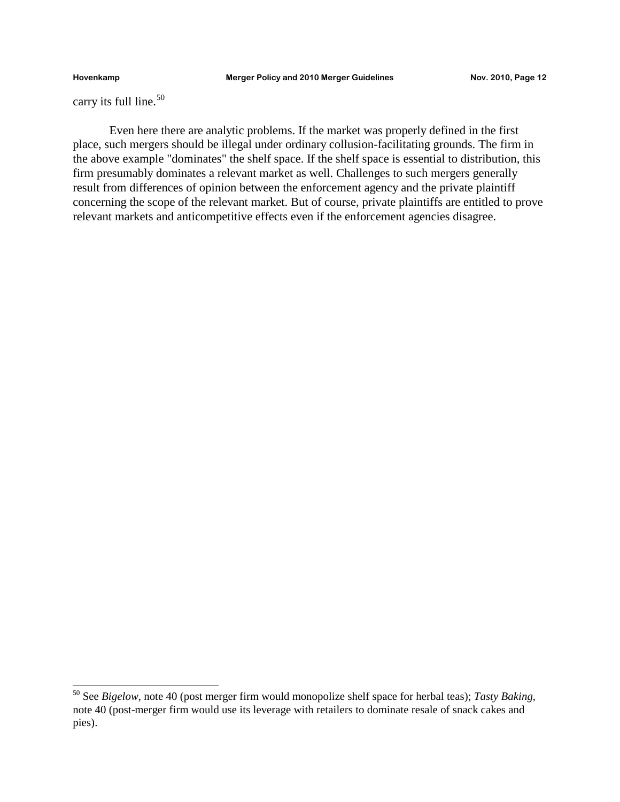carry its full line.<sup>[50](#page-12-0)</sup>

Even here there are analytic problems. If the market was properly defined in the first place, such mergers should be illegal under ordinary collusion-facilitating grounds. The firm in the above example "dominates" the shelf space. If the shelf space is essential to distribution, this firm presumably dominates a relevant market as well. Challenges to such mergers generally result from differences of opinion between the enforcement agency and the private plaintiff concerning the scope of the relevant market. But of course, private plaintiffs are entitled to prove relevant markets and anticompetitive effects even if the enforcement agencies disagree.

<span id="page-12-0"></span> <sup>50</sup> See *Bigelow*, note 40 (post merger firm would monopolize shelf space for herbal teas); *Tasty Baking*, note 40 (post-merger firm would use its leverage with retailers to dominate resale of snack cakes and pies).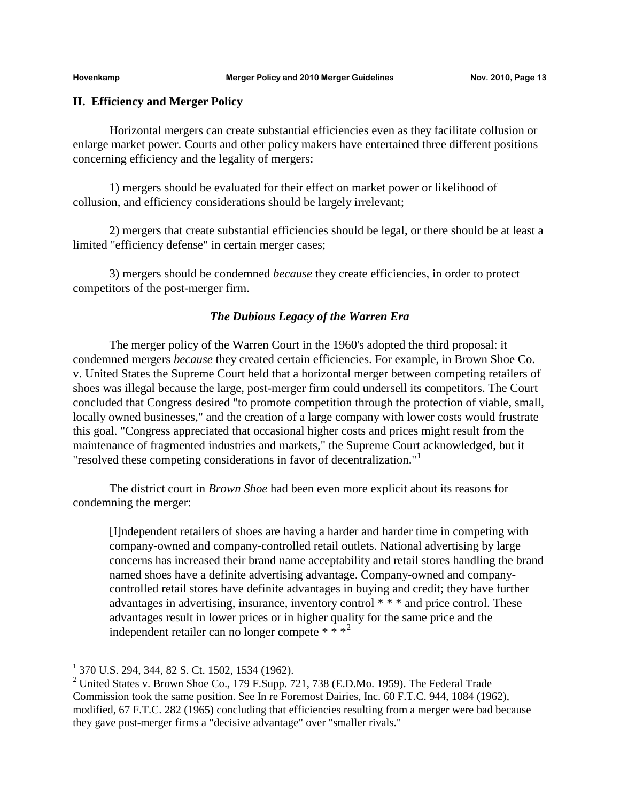### **II. Efficiency and Merger Policy**

Horizontal mergers can create substantial efficiencies even as they facilitate collusion or enlarge market power. Courts and other policy makers have entertained three different positions concerning efficiency and the legality of mergers:

1) mergers should be evaluated for their effect on market power or likelihood of collusion, and efficiency considerations should be largely irrelevant;

2) mergers that create substantial efficiencies should be legal, or there should be at least a limited "efficiency defense" in certain merger cases;

3) mergers should be condemned *because* they create efficiencies, in order to protect competitors of the post-merger firm.

# *The Dubious Legacy of the Warren Era*

The merger policy of the Warren Court in the 1960's adopted the third proposal: it condemned mergers *because* they created certain efficiencies. For example, in Brown Shoe Co. v. United States the Supreme Court held that a horizontal merger between competing retailers of shoes was illegal because the large, post-merger firm could undersell its competitors. The Court concluded that Congress desired "to promote competition through the protection of viable, small, locally owned businesses," and the creation of a large company with lower costs would frustrate this goal. "Congress appreciated that occasional higher costs and prices might result from the maintenance of fragmented industries and markets," the Supreme Court acknowledged, but it "resolved these competing considerations in favor of decentralization."[1](#page-13-0)

The district court in *Brown Shoe* had been even more explicit about its reasons for condemning the merger:

[I]ndependent retailers of shoes are having a harder and harder time in competing with company-owned and company-controlled retail outlets. National advertising by large concerns has increased their brand name acceptability and retail stores handling the brand named shoes have a definite advertising advantage. Company-owned and companycontrolled retail stores have definite advantages in buying and credit; they have further advantages in advertising, insurance, inventory control \* \* \* and price control. These advantages result in lower prices or in higher quality for the same price and the independent retailer can no longer compete  $***^2$  $***^2$ 

<span id="page-13-0"></span><sup>&</sup>lt;sup>1</sup> 370 U.S. 294, 344, 82 S. Ct. 1502, 1534 (1962).

<span id="page-13-1"></span><sup>&</sup>lt;sup>2</sup> United States v. Brown Shoe Co., 179 F.Supp. 721, 738 (E.D.Mo. 1959). The Federal Trade Commission took the same position. See In re Foremost Dairies, Inc. 60 F.T.C. 944, 1084 (1962), modified, 67 F.T.C. 282 (1965) concluding that efficiencies resulting from a merger were bad because they gave post-merger firms a "decisive advantage" over "smaller rivals."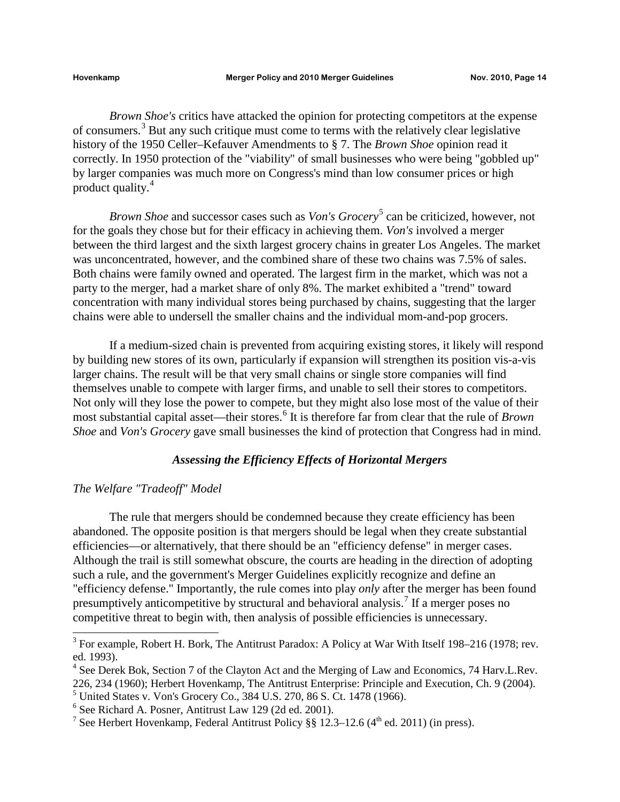*Brown Shoe's* critics have attacked the opinion for protecting competitors at the expense of consumers.[3](#page-14-0) But any such critique must come to terms with the relatively clear legislative history of the 1950 Celler–Kefauver Amendments to § 7. The *Brown Shoe* opinion read it correctly. In 1950 protection of the "viability" of small businesses who were being "gobbled up" by larger companies was much more on Congress's mind than low consumer prices or high product quality.[4](#page-14-1)

*Brown Shoe* and successor cases such as *Von's Grocery*<sup>[5](#page-14-2)</sup> can be criticized, however, not for the goals they chose but for their efficacy in achieving them. *Von's* involved a merger between the third largest and the sixth largest grocery chains in greater Los Angeles. The market was unconcentrated, however, and the combined share of these two chains was 7.5% of sales. Both chains were family owned and operated. The largest firm in the market, which was not a party to the merger, had a market share of only 8%. The market exhibited a "trend" toward concentration with many individual stores being purchased by chains, suggesting that the larger chains were able to undersell the smaller chains and the individual mom-and-pop grocers.

If a medium-sized chain is prevented from acquiring existing stores, it likely will respond by building new stores of its own, particularly if expansion will strengthen its position vis-a-vis larger chains. The result will be that very small chains or single store companies will find themselves unable to compete with larger firms, and unable to sell their stores to competitors. Not only will they lose the power to compete, but they might also lose most of the value of their most substantial capital asset—their stores.<sup>[6](#page-14-3)</sup> It is therefore far from clear that the rule of *Brown Shoe* and *Von's Grocery* gave small businesses the kind of protection that Congress had in mind.

# *Assessing the Efficiency Effects of Horizontal Mergers*

### *The Welfare "Tradeoff" Model*

The rule that mergers should be condemned because they create efficiency has been abandoned. The opposite position is that mergers should be legal when they create substantial efficiencies—or alternatively, that there should be an "efficiency defense" in merger cases. Although the trail is still somewhat obscure, the courts are heading in the direction of adopting such a rule, and the government's Merger Guidelines explicitly recognize and define an "efficiency defense." Importantly, the rule comes into play *only* after the merger has been found presumptively anticompetitive by structural and behavioral analysis.<sup>[7](#page-14-4)</sup> If a merger poses no competitive threat to begin with, then analysis of possible efficiencies is unnecessary.

<span id="page-14-0"></span><sup>&</sup>lt;sup>3</sup> For example, Robert H. Bork, The Antitrust Paradox: A Policy at War With Itself 198–216 (1978; rev. ed. 1993).

<span id="page-14-1"></span><sup>&</sup>lt;sup>4</sup> See Derek Bok, Section 7 of the Clayton Act and the Merging of Law and Economics, 74 Harv.L.Rev. 226, 234 (1960); Herbert Hovenkamp, The Antitrust Enterprise: Principle and Execution, Ch. 9 (2004).

<span id="page-14-2"></span><sup>5</sup> United States v. Von's Grocery Co., 384 U.S. 270, 86 S. Ct. 1478 (1966).

<span id="page-14-3"></span><sup>6</sup> See Richard A. Posner, Antitrust Law 129 (2d ed. 2001).

<span id="page-14-4"></span><sup>&</sup>lt;sup>7</sup> See Herbert Hovenkamp, Federal Antitrust Policy §§ 12.3–12.6 (4<sup>th</sup> ed. 2011) (in press).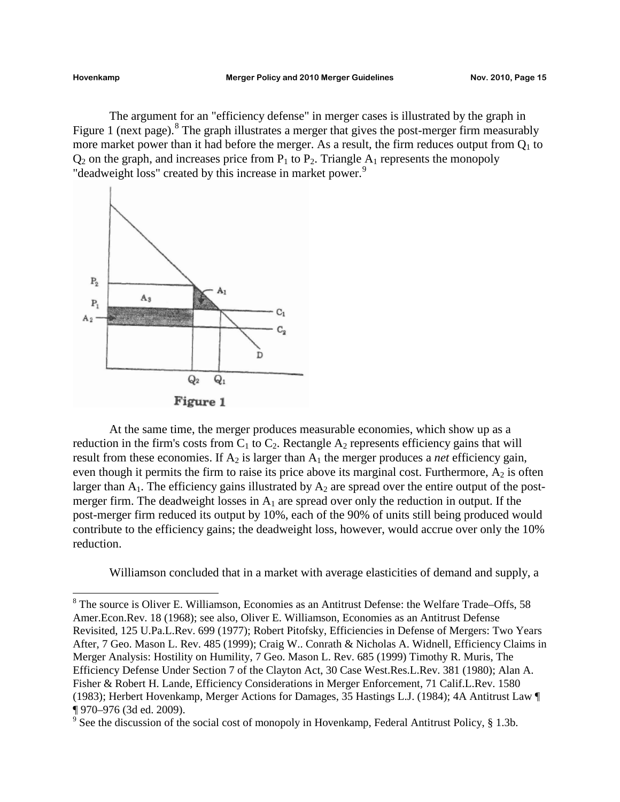The argument for an "efficiency defense" in merger cases is illustrated by the graph in Figure 1 (next page).<sup>[8](#page-15-0)</sup> The graph illustrates a merger that gives the post-merger firm measurably more market power than it had before the merger. As a result, the firm reduces output from  $Q_1$  to  $Q_2$  on the graph, and increases price from  $P_1$  to  $P_2$ . Triangle  $A_1$  represents the monopoly "deadweight loss" created by this increase in market power.<sup>[9](#page-15-1)</sup>



At the same time, the merger produces measurable economies, which show up as a reduction in the firm's costs from  $C_1$  to  $C_2$ . Rectangle  $A_2$  represents efficiency gains that will result from these economies. If  $A_2$  is larger than  $A_1$  the merger produces a *net* efficiency gain, even though it permits the firm to raise its price above its marginal cost. Furthermore,  $A_2$  is often larger than  $A_1$ . The efficiency gains illustrated by  $A_2$  are spread over the entire output of the postmerger firm. The deadweight losses in  $A_1$  are spread over only the reduction in output. If the post-merger firm reduced its output by 10%, each of the 90% of units still being produced would contribute to the efficiency gains; the deadweight loss, however, would accrue over only the 10% reduction.

Williamson concluded that in a market with average elasticities of demand and supply, a

<span id="page-15-0"></span> <sup>8</sup> The source is Oliver E. Williamson, Economies as an Antitrust Defense: the Welfare Trade–Offs, 58 Amer.Econ.Rev. 18 (1968); see also, Oliver E. Williamson, Economies as an Antitrust Defense Revisited, 125 U.Pa.L.Rev. 699 (1977); Robert Pitofsky, Efficiencies in Defense of Mergers: Two Years After, 7 Geo. Mason L. Rev. 485 (1999); Craig W.. Conrath & Nicholas A. Widnell, Efficiency Claims in Merger Analysis: Hostility on Humility, 7 Geo. Mason L. Rev. 685 (1999) Timothy R. Muris, The Efficiency Defense Under Section 7 of the Clayton Act, 30 Case West.Res.L.Rev. 381 (1980); Alan A. Fisher & Robert H. Lande, Efficiency Considerations in Merger Enforcement, 71 Calif.L.Rev. 1580 (1983); Herbert Hovenkamp, Merger Actions for Damages, 35 Hastings L.J. (1984); 4A Antitrust Law ¶ ¶ 970–976 (3d ed. 2009).

<span id="page-15-1"></span> $9^9$  See the discussion of the social cost of monopoly in Hovenkamp, Federal Antitrust Policy, § 1.3b.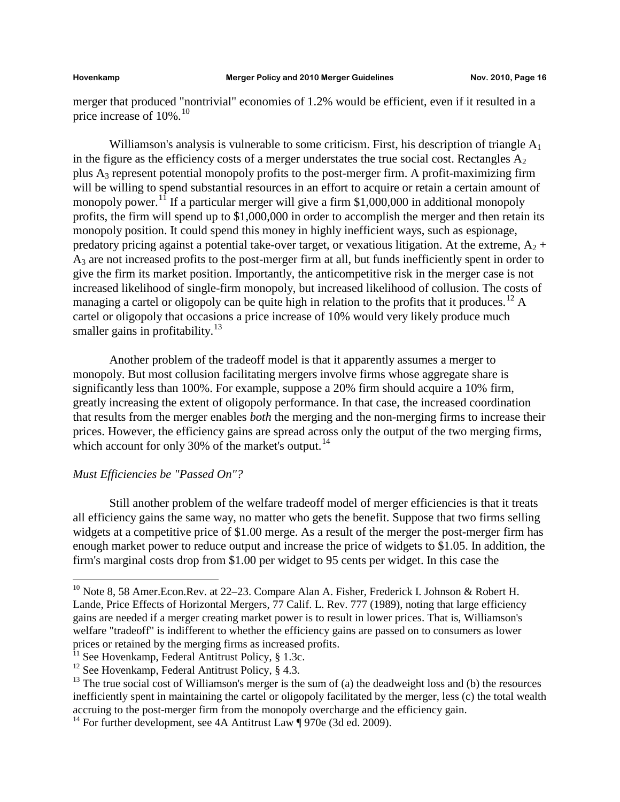merger that produced "nontrivial" economies of 1.2% would be efficient, even if it resulted in a price increase of  $10\%$  $10\%$ .<sup>10</sup>

Williamson's analysis is vulnerable to some criticism. First, his description of triangle  $A_1$ in the figure as the efficiency costs of a merger understates the true social cost. Rectangles  $A_2$ plus A3 represent potential monopoly profits to the post-merger firm. A profit-maximizing firm will be willing to spend substantial resources in an effort to acquire or retain a certain amount of monopoly power.<sup>[11](#page-16-1)</sup> If a particular merger will give a firm \$1,000,000 in additional monopoly profits, the firm will spend up to \$1,000,000 in order to accomplish the merger and then retain its monopoly position. It could spend this money in highly inefficient ways, such as espionage, predatory pricing against a potential take-over target, or vexatious litigation. At the extreme,  $A_2$  + A3 are not increased profits to the post-merger firm at all, but funds inefficiently spent in order to give the firm its market position. Importantly, the anticompetitive risk in the merger case is not increased likelihood of single-firm monopoly, but increased likelihood of collusion. The costs of managing a cartel or oligopoly can be quite high in relation to the profits that it produces.<sup>[12](#page-16-2)</sup> A cartel or oligopoly that occasions a price increase of 10% would very likely produce much smaller gains in profitability. $13$ 

Another problem of the tradeoff model is that it apparently assumes a merger to monopoly. But most collusion facilitating mergers involve firms whose aggregate share is significantly less than 100%. For example, suppose a 20% firm should acquire a 10% firm, greatly increasing the extent of oligopoly performance. In that case, the increased coordination that results from the merger enables *both* the merging and the non-merging firms to increase their prices. However, the efficiency gains are spread across only the output of the two merging firms, which account for only 30% of the market's output.<sup>[14](#page-16-4)</sup>

## *Must Efficiencies be "Passed On"?*

Still another problem of the welfare tradeoff model of merger efficiencies is that it treats all efficiency gains the same way, no matter who gets the benefit. Suppose that two firms selling widgets at a competitive price of \$1.00 merge. As a result of the merger the post-merger firm has enough market power to reduce output and increase the price of widgets to \$1.05. In addition, the firm's marginal costs drop from \$1.00 per widget to 95 cents per widget. In this case the

<span id="page-16-0"></span><sup>&</sup>lt;sup>10</sup> Note 8, 58 Amer.Econ.Rev. at 22–23. Compare Alan A. Fisher, Frederick I. Johnson & Robert H. Lande, Price Effects of Horizontal Mergers, 77 Calif. L. Rev. 777 (1989), noting that large efficiency gains are needed if a merger creating market power is to result in lower prices. That is, Williamson's welfare "tradeoff" is indifferent to whether the efficiency gains are passed on to consumers as lower prices or retained by the merging firms as increased profits.

<span id="page-16-1"></span> $11$  See Hovenkamp, Federal Antitrust Policy, § 1.3c.

<span id="page-16-2"></span><sup>&</sup>lt;sup>12</sup> See Hovenkamp, Federal Antitrust Policy, § 4.3.

<span id="page-16-3"></span> $13$  The true social cost of Williamson's merger is the sum of (a) the deadweight loss and (b) the resources inefficiently spent in maintaining the cartel or oligopoly facilitated by the merger, less (c) the total wealth accruing to the post-merger firm from the monopoly overcharge and the efficiency gain.

<span id="page-16-4"></span><sup>&</sup>lt;sup>14</sup> For further development, see 4A Antitrust Law  $\P$  970e (3d ed. 2009).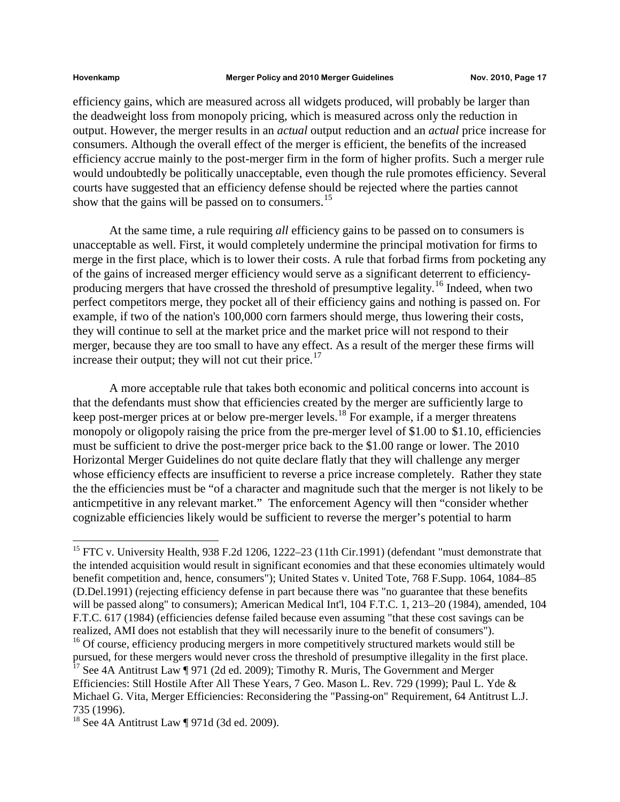efficiency gains, which are measured across all widgets produced, will probably be larger than the deadweight loss from monopoly pricing, which is measured across only the reduction in output. However, the merger results in an *actual* output reduction and an *actual* price increase for consumers. Although the overall effect of the merger is efficient, the benefits of the increased efficiency accrue mainly to the post-merger firm in the form of higher profits. Such a merger rule would undoubtedly be politically unacceptable, even though the rule promotes efficiency. Several courts have suggested that an efficiency defense should be rejected where the parties cannot show that the gains will be passed on to consumers.<sup>[15](#page-17-0)</sup>

At the same time, a rule requiring *all* efficiency gains to be passed on to consumers is unacceptable as well. First, it would completely undermine the principal motivation for firms to merge in the first place, which is to lower their costs. A rule that forbad firms from pocketing any of the gains of increased merger efficiency would serve as a significant deterrent to efficiencyproducing mergers that have crossed the threshold of presumptive legality.[16](#page-17-1) Indeed, when two perfect competitors merge, they pocket all of their efficiency gains and nothing is passed on. For example, if two of the nation's 100,000 corn farmers should merge, thus lowering their costs, they will continue to sell at the market price and the market price will not respond to their merger, because they are too small to have any effect. As a result of the merger these firms will increase their output; they will not cut their price. $17$ 

A more acceptable rule that takes both economic and political concerns into account is that the defendants must show that efficiencies created by the merger are sufficiently large to keep post-merger prices at or below pre-merger levels.<sup>[18](#page-17-3)</sup> For example, if a merger threatens monopoly or oligopoly raising the price from the pre-merger level of \$1.00 to \$1.10, efficiencies must be sufficient to drive the post-merger price back to the \$1.00 range or lower. The 2010 Horizontal Merger Guidelines do not quite declare flatly that they will challenge any merger whose efficiency effects are insufficient to reverse a price increase completely. Rather they state the the efficiencies must be "of a character and magnitude such that the merger is not likely to be anticmpetitive in any relevant market." The enforcement Agency will then "consider whether cognizable efficiencies likely would be sufficient to reverse the merger's potential to harm

<span id="page-17-0"></span><sup>&</sup>lt;sup>15</sup> FTC v. University Health, 938 F.2d 1206, 1222–23 (11th Cir.1991) (defendant "must demonstrate that the intended acquisition would result in significant economies and that these economies ultimately would benefit competition and, hence, consumers"); United States v. United Tote, 768 F.Supp. 1064, 1084–85 (D.Del.1991) (rejecting efficiency defense in part because there was "no guarantee that these benefits will be passed along" to consumers); American Medical Int'l, 104 F.T.C. 1, 213–20 (1984), amended, 104 F.T.C. 617 (1984) (efficiencies defense failed because even assuming "that these cost savings can be realized, AMI does not establish that they will necessarily inure to the benefit of consumers").

<span id="page-17-1"></span> $16$  Of course, efficiency producing mergers in more competitively structured markets would still be pursued, for these mergers would never cross the threshold of presumptive illegality in the first place. <sup>17</sup> See 4A Antitrust Law  $\P$  971 (2d ed. 2009); Timothy R. Muris, The Government and Merger

<span id="page-17-2"></span>Efficiencies: Still Hostile After All These Years, 7 Geo. Mason L. Rev. 729 (1999); Paul L. Yde & Michael G. Vita, Merger Efficiencies: Reconsidering the "Passing-on" Requirement, 64 Antitrust L.J. 735 (1996).

<span id="page-17-3"></span> $18$  See 4A Antitrust Law ¶ 971d (3d ed. 2009).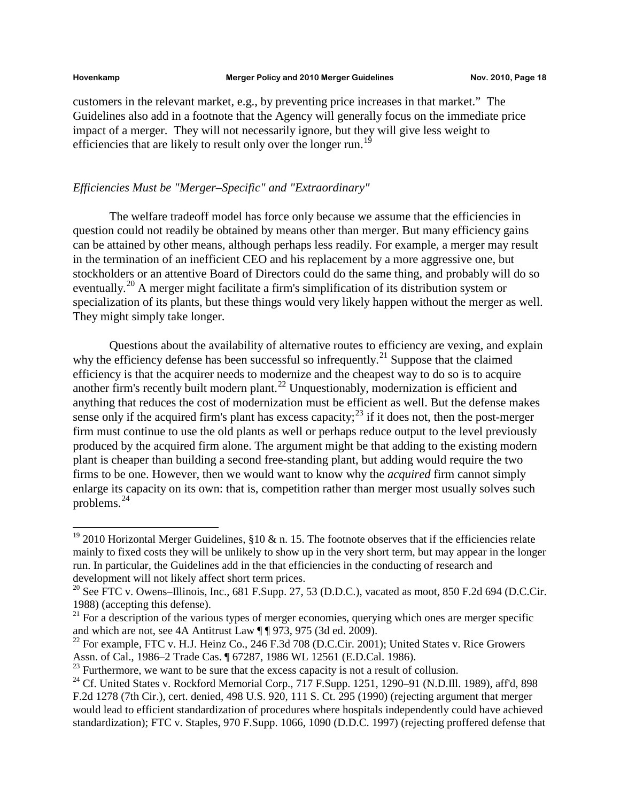customers in the relevant market, e.g., by preventing price increases in that market." The Guidelines also add in a footnote that the Agency will generally focus on the immediate price impact of a merger. They will not necessarily ignore, but they will give less weight to efficiencies that are likely to result only over the longer run.<sup>[19](#page-18-0)</sup>

### *Efficiencies Must be "Merger–Specific" and "Extraordinary"*

The welfare tradeoff model has force only because we assume that the efficiencies in question could not readily be obtained by means other than merger. But many efficiency gains can be attained by other means, although perhaps less readily. For example, a merger may result in the termination of an inefficient CEO and his replacement by a more aggressive one, but stockholders or an attentive Board of Directors could do the same thing, and probably will do so eventually.<sup>[20](#page-18-1)</sup> A merger might facilitate a firm's simplification of its distribution system or specialization of its plants, but these things would very likely happen without the merger as well. They might simply take longer.

Questions about the availability of alternative routes to efficiency are vexing, and explain why the efficiency defense has been successful so infrequently.<sup>[21](#page-18-2)</sup> Suppose that the claimed efficiency is that the acquirer needs to modernize and the cheapest way to do so is to acquire another firm's recently built modern plant.<sup>[22](#page-18-3)</sup> Unquestionably, modernization is efficient and anything that reduces the cost of modernization must be efficient as well. But the defense makes sense only if the acquired firm's plant has excess capacity;  $^{23}$  $^{23}$  $^{23}$  if it does not, then the post-merger firm must continue to use the old plants as well or perhaps reduce output to the level previously produced by the acquired firm alone. The argument might be that adding to the existing modern plant is cheaper than building a second free-standing plant, but adding would require the two firms to be one. However, then we would want to know why the *acquired* firm cannot simply enlarge its capacity on its own: that is, competition rather than merger most usually solves such problems.[24](#page-18-5)

<span id="page-18-0"></span><sup>&</sup>lt;sup>19</sup> 2010 Horizontal Merger Guidelines, §10 & n. 15. The footnote observes that if the efficiencies relate mainly to fixed costs they will be unlikely to show up in the very short term, but may appear in the longer run. In particular, the Guidelines add in the that efficiencies in the conducting of research and development will not likely affect short term prices.

<span id="page-18-1"></span><sup>&</sup>lt;sup>20</sup> See FTC v. Owens–Illinois, Inc., 681 F.Supp. 27, 53 (D.D.C.), vacated as moot, 850 F.2d 694 (D.C.Cir. 1988) (accepting this defense).

<span id="page-18-2"></span> $21$  For a description of the various types of merger economies, querying which ones are merger specific and which are not, see 4A Antitrust Law ¶ 973, 975 (3d ed. 2009).

<span id="page-18-3"></span> $^{22}$  For example, FTC v. H.J. Heinz Co., 246 F.3d 708 (D.C.Cir. 2001); United States v. Rice Growers Assn. of Cal., 1986–2 Trade Cas. ¶ 67287, 1986 WL 12561 (E.D.Cal. 1986).

<span id="page-18-4"></span> $^{23}$  Furthermore, we want to be sure that the excess capacity is not a result of collusion.

<span id="page-18-5"></span><sup>&</sup>lt;sup>24</sup> Cf. United States v. Rockford Memorial Corp., 717 F.Supp. 1251, 1290–91 (N.D.Ill. 1989), aff'd, 898 F.2d 1278 (7th Cir.), cert. denied, 498 U.S. 920, 111 S. Ct. 295 (1990) (rejecting argument that merger would lead to efficient standardization of procedures where hospitals independently could have achieved standardization); FTC v. Staples, 970 F.Supp. 1066, 1090 (D.D.C. 1997) (rejecting proffered defense that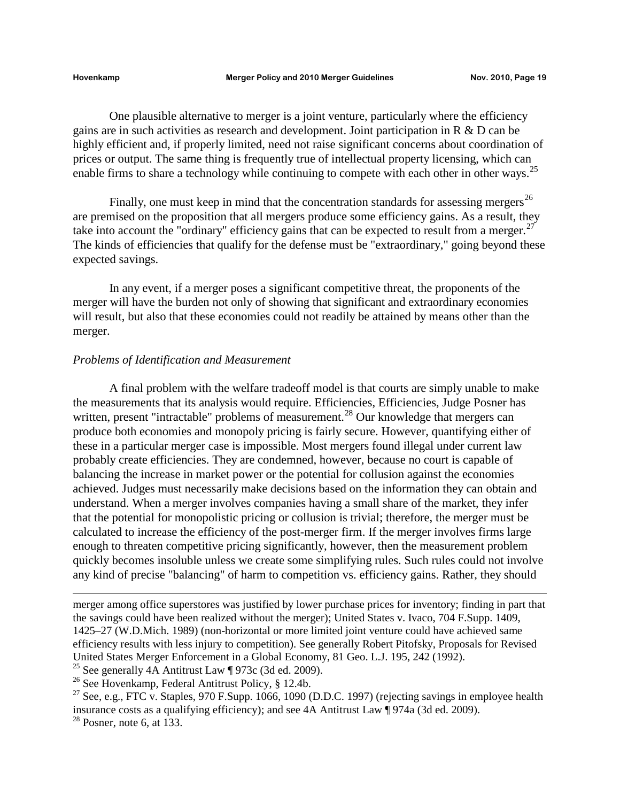One plausible alternative to merger is a joint venture, particularly where the efficiency gains are in such activities as research and development. Joint participation in R & D can be highly efficient and, if properly limited, need not raise significant concerns about coordination of prices or output. The same thing is frequently true of intellectual property licensing, which can enable firms to share a technology while continuing to compete with each other in other ways.<sup>[25](#page-19-0)</sup>

Finally, one must keep in mind that the concentration standards for assessing mergers<sup>[26](#page-19-1)</sup> are premised on the proposition that all mergers produce some efficiency gains. As a result, they take into account the "ordinary" efficiency gains that can be expected to result from a merger.  $27$ The kinds of efficiencies that qualify for the defense must be "extraordinary," going beyond these expected savings.

In any event, if a merger poses a significant competitive threat, the proponents of the merger will have the burden not only of showing that significant and extraordinary economies will result, but also that these economies could not readily be attained by means other than the merger.

### *Problems of Identification and Measurement*

A final problem with the welfare tradeoff model is that courts are simply unable to make the measurements that its analysis would require. Efficiencies, Efficiencies, Judge Posner has written, present "intractable" problems of measurement.<sup>[28](#page-19-3)</sup> Our knowledge that mergers can produce both economies and monopoly pricing is fairly secure. However, quantifying either of these in a particular merger case is impossible. Most mergers found illegal under current law probably create efficiencies. They are condemned, however, because no court is capable of balancing the increase in market power or the potential for collusion against the economies achieved. Judges must necessarily make decisions based on the information they can obtain and understand. When a merger involves companies having a small share of the market, they infer that the potential for monopolistic pricing or collusion is trivial; therefore, the merger must be calculated to increase the efficiency of the post-merger firm. If the merger involves firms large enough to threaten competitive pricing significantly, however, then the measurement problem quickly becomes insoluble unless we create some simplifying rules. Such rules could not involve any kind of precise "balancing" of harm to competition vs. efficiency gains. Rather, they should

merger among office superstores was justified by lower purchase prices for inventory; finding in part that the savings could have been realized without the merger); United States v. Ivaco, 704 F.Supp. 1409, 1425–27 (W.D.Mich. 1989) (non-horizontal or more limited joint venture could have achieved same efficiency results with less injury to competition). See generally Robert Pitofsky, Proposals for Revised United States Merger Enforcement in a Global Economy, 81 Geo. L.J. 195, 242 (1992).

<span id="page-19-0"></span><sup>25</sup> See generally 4A Antitrust Law ¶ 973c (3d ed. 2009).

<span id="page-19-1"></span><sup>26</sup> See Hovenkamp, Federal Antitrust Policy, § 12.4b.

<span id="page-19-2"></span><sup>27</sup> See, e.g., FTC v. Staples, 970 F.Supp. 1066, 1090 (D.D.C. 1997) (rejecting savings in employee health insurance costs as a qualifying efficiency); and see 4A Antitrust Law ¶ 974a (3d ed. 2009).

 $\overline{a}$ 

<span id="page-19-3"></span> $28$  Posner, note 6, at 133.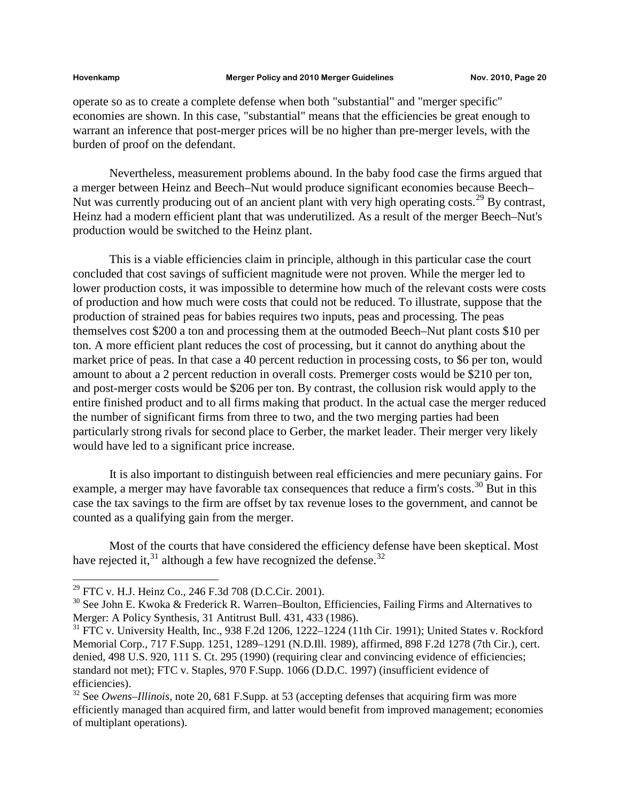operate so as to create a complete defense when both "substantial" and "merger specific" economies are shown. In this case, "substantial" means that the efficiencies be great enough to warrant an inference that post-merger prices will be no higher than pre-merger levels, with the burden of proof on the defendant.

Nevertheless, measurement problems abound. In the baby food case the firms argued that a merger between Heinz and Beech–Nut would produce significant economies because Beech– Nut was currently producing out of an ancient plant with very high operating costs.<sup>[29](#page-20-0)</sup> By contrast, Heinz had a modern efficient plant that was underutilized. As a result of the merger Beech–Nut's production would be switched to the Heinz plant.

This is a viable efficiencies claim in principle, although in this particular case the court concluded that cost savings of sufficient magnitude were not proven. While the merger led to lower production costs, it was impossible to determine how much of the relevant costs were costs of production and how much were costs that could not be reduced. To illustrate, suppose that the production of strained peas for babies requires two inputs, peas and processing. The peas themselves cost \$200 a ton and processing them at the outmoded Beech–Nut plant costs \$10 per ton. A more efficient plant reduces the cost of processing, but it cannot do anything about the market price of peas. In that case a 40 percent reduction in processing costs, to \$6 per ton, would amount to about a 2 percent reduction in overall costs. Premerger costs would be \$210 per ton, and post-merger costs would be \$206 per ton. By contrast, the collusion risk would apply to the entire finished product and to all firms making that product. In the actual case the merger reduced the number of significant firms from three to two, and the two merging parties had been particularly strong rivals for second place to Gerber, the market leader. Their merger very likely would have led to a significant price increase.

It is also important to distinguish between real efficiencies and mere pecuniary gains. For example, a merger may have favorable tax consequences that reduce a firm's costs.<sup>[30](#page-20-1)</sup> But in this case the tax savings to the firm are offset by tax revenue loses to the government, and cannot be counted as a qualifying gain from the merger.

Most of the courts that have considered the efficiency defense have been skeptical. Most have rejected it,  $31$  although a few have recognized the defense.  $32$ 

<span id="page-20-0"></span> <sup>29</sup> FTC v. H.J. Heinz Co., 246 F.3d 708 (D.C.Cir. 2001).

<span id="page-20-1"></span> $30$  See John E. Kwoka & Frederick R. Warren–Boulton, Efficiencies, Failing Firms and Alternatives to Merger: A Policy Synthesis, 31 Antitrust Bull. 431, 433 (1986).

<span id="page-20-2"></span><sup>&</sup>lt;sup>31</sup> FTC v. University Health, Inc., 938 F.2d 1206, 1222–1224 (11th Cir. 1991); United States v. Rockford Memorial Corp., 717 F.Supp. 1251, 1289–1291 (N.D.Ill. 1989), affirmed, 898 F.2d 1278 (7th Cir.), cert. denied, 498 U.S. 920, 111 S. Ct. 295 (1990) (requiring clear and convincing evidence of efficiencies; standard not met); FTC v. Staples, 970 F.Supp. 1066 (D.D.C. 1997) (insufficient evidence of efficiencies).

<span id="page-20-3"></span><sup>&</sup>lt;sup>32</sup> See *Owens–Illinois*, note 20, 681 F.Supp. at 53 (accepting defenses that acquiring firm was more efficiently managed than acquired firm, and latter would benefit from improved management; economies of multiplant operations).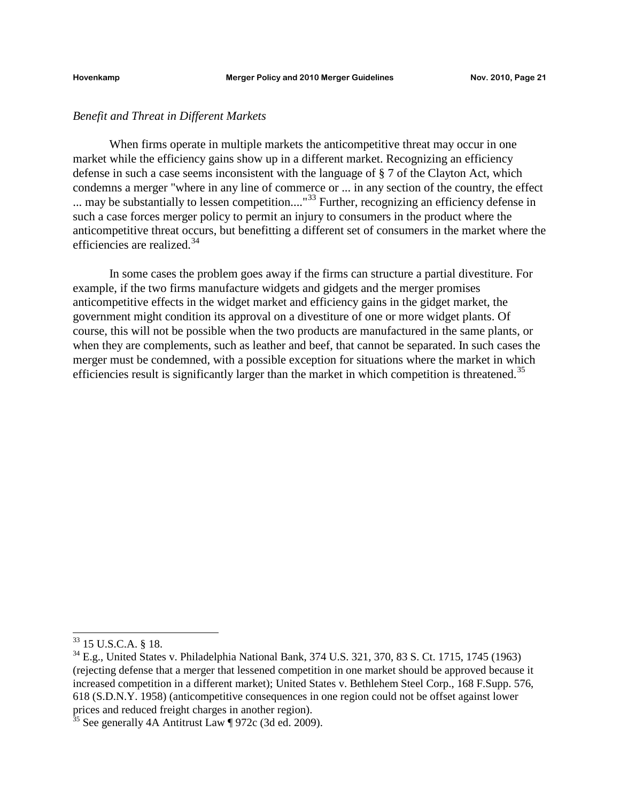### *Benefit and Threat in Different Markets*

When firms operate in multiple markets the anticompetitive threat may occur in one market while the efficiency gains show up in a different market. Recognizing an efficiency defense in such a case seems inconsistent with the language of § 7 of the Clayton Act, which condemns a merger "where in any line of commerce or ... in any section of the country, the effect ... may be substantially to lessen competition...."<sup>[33](#page-21-0)</sup> Further, recognizing an efficiency defense in such a case forces merger policy to permit an injury to consumers in the product where the anticompetitive threat occurs, but benefitting a different set of consumers in the market where the efficiencies are realized.[34](#page-21-1)

In some cases the problem goes away if the firms can structure a partial divestiture. For example, if the two firms manufacture widgets and gidgets and the merger promises anticompetitive effects in the widget market and efficiency gains in the gidget market, the government might condition its approval on a divestiture of one or more widget plants. Of course, this will not be possible when the two products are manufactured in the same plants, or when they are complements, such as leather and beef, that cannot be separated. In such cases the merger must be condemned, with a possible exception for situations where the market in which efficiencies result is significantly larger than the market in which competition is threatened.<sup>[35](#page-21-2)</sup>

<span id="page-21-0"></span> <sup>33</sup> 15 U.S.C.A. § 18.

<span id="page-21-1"></span> $34$  E.g., United States v. Philadelphia National Bank, 374 U.S. 321, 370, 83 S. Ct. 1715, 1745 (1963) (rejecting defense that a merger that lessened competition in one market should be approved because it increased competition in a different market); United States v. Bethlehem Steel Corp., 168 F.Supp. 576, 618 (S.D.N.Y. 1958) (anticompetitive consequences in one region could not be offset against lower prices and reduced freight charges in another region).

<span id="page-21-2"></span><sup>&</sup>lt;sup>35</sup> See generally 4A Antitrust Law ¶ 972c (3d ed. 2009).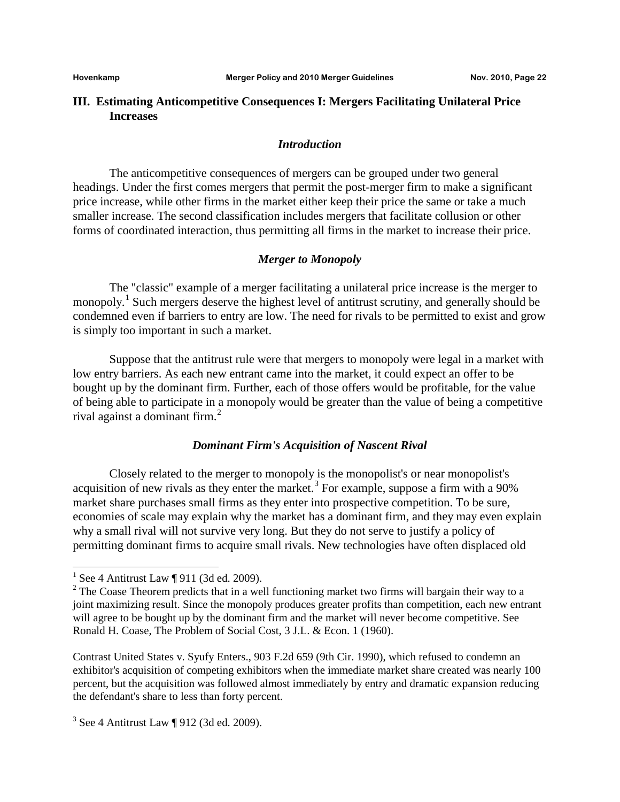# **III. Estimating Anticompetitive Consequences I: Mergers Facilitating Unilateral Price Increases**

### *Introduction*

The anticompetitive consequences of mergers can be grouped under two general headings. Under the first comes mergers that permit the post-merger firm to make a significant price increase, while other firms in the market either keep their price the same or take a much smaller increase. The second classification includes mergers that facilitate collusion or other forms of coordinated interaction, thus permitting all firms in the market to increase their price.

# *Merger to Monopoly*

The "classic" example of a merger facilitating a unilateral price increase is the merger to monopoly.[1](#page-22-0) Such mergers deserve the highest level of antitrust scrutiny, and generally should be condemned even if barriers to entry are low. The need for rivals to be permitted to exist and grow is simply too important in such a market.

Suppose that the antitrust rule were that mergers to monopoly were legal in a market with low entry barriers. As each new entrant came into the market, it could expect an offer to be bought up by the dominant firm. Further, each of those offers would be profitable, for the value of being able to participate in a monopoly would be greater than the value of being a competitive rival against a dominant firm.<sup>[2](#page-22-1)</sup>

# *Dominant Firm's Acquisition of Nascent Rival*

Closely related to the merger to monopoly is the monopolist's or near monopolist's acquisition of new rivals as they enter the market.<sup>[3](#page-22-2)</sup> For example, suppose a firm with a 90% market share purchases small firms as they enter into prospective competition. To be sure, economies of scale may explain why the market has a dominant firm, and they may even explain why a small rival will not survive very long. But they do not serve to justify a policy of permitting dominant firms to acquire small rivals. New technologies have often displaced old

<span id="page-22-0"></span><sup>&</sup>lt;sup>1</sup> See 4 Antitrust Law  $\P$  911 (3d ed. 2009).

<span id="page-22-1"></span><sup>&</sup>lt;sup>2</sup> The Coase Theorem predicts that in a well functioning market two firms will bargain their way to a joint maximizing result. Since the monopoly produces greater profits than competition, each new entrant will agree to be bought up by the dominant firm and the market will never become competitive. See Ronald H. Coase, The Problem of Social Cost, 3 J.L. & Econ. 1 (1960).

Contrast United States v. Syufy Enters., 903 F.2d 659 (9th Cir. 1990), which refused to condemn an exhibitor's acquisition of competing exhibitors when the immediate market share created was nearly 100 percent, but the acquisition was followed almost immediately by entry and dramatic expansion reducing the defendant's share to less than forty percent.

<span id="page-22-2"></span> $3$  See 4 Antitrust Law ¶ 912 (3d ed. 2009).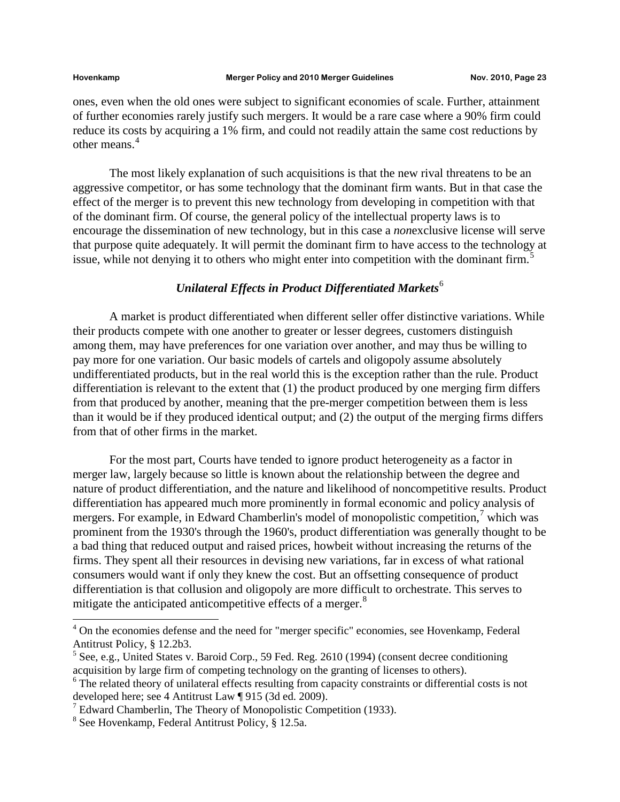ones, even when the old ones were subject to significant economies of scale. Further, attainment of further economies rarely justify such mergers. It would be a rare case where a 90% firm could reduce its costs by acquiring a 1% firm, and could not readily attain the same cost reductions by other means.<sup>[4](#page-23-0)</sup>

The most likely explanation of such acquisitions is that the new rival threatens to be an aggressive competitor, or has some technology that the dominant firm wants. But in that case the effect of the merger is to prevent this new technology from developing in competition with that of the dominant firm. Of course, the general policy of the intellectual property laws is to encourage the dissemination of new technology, but in this case a *non*exclusive license will serve that purpose quite adequately. It will permit the dominant firm to have access to the technology at issue, while not denying it to others who might enter into competition with the dominant firm.<sup>[5](#page-23-1)</sup>

# *Unilateral Effects in Product Differentiated Markets*[6](#page-23-2)

A market is product differentiated when different seller offer distinctive variations. While their products compete with one another to greater or lesser degrees, customers distinguish among them, may have preferences for one variation over another, and may thus be willing to pay more for one variation. Our basic models of cartels and oligopoly assume absolutely undifferentiated products, but in the real world this is the exception rather than the rule. Product differentiation is relevant to the extent that (1) the product produced by one merging firm differs from that produced by another, meaning that the pre-merger competition between them is less than it would be if they produced identical output; and (2) the output of the merging firms differs from that of other firms in the market.

For the most part, Courts have tended to ignore product heterogeneity as a factor in merger law, largely because so little is known about the relationship between the degree and nature of product differentiation, and the nature and likelihood of noncompetitive results. Product differentiation has appeared much more prominently in formal economic and policy analysis of mergers. For example, in Edward Chamberlin's model of monopolistic competition,<sup>[7](#page-23-3)</sup> which was prominent from the 1930's through the 1960's, product differentiation was generally thought to be a bad thing that reduced output and raised prices, howbeit without increasing the returns of the firms. They spent all their resources in devising new variations, far in excess of what rational consumers would want if only they knew the cost. But an offsetting consequence of product differentiation is that collusion and oligopoly are more difficult to orchestrate. This serves to mitigate the anticipated anticompetitive effects of a merger.<sup>[8](#page-23-4)</sup>

<span id="page-23-0"></span><sup>&</sup>lt;sup>4</sup> On the economies defense and the need for "merger specific" economies, see Hovenkamp, Federal Antitrust Policy, § 12.2b3.

<span id="page-23-1"></span><sup>&</sup>lt;sup>5</sup> See, e.g., United States v. Baroid Corp., 59 Fed. Reg. 2610 (1994) (consent decree conditioning acquisition by large firm of competing technology on the granting of licenses to others).

<span id="page-23-2"></span><sup>&</sup>lt;sup>6</sup> The related theory of unilateral effects resulting from capacity constraints or differential costs is not developed here; see 4 Antitrust Law ¶ 915 (3d ed. 2009).

<span id="page-23-3"></span> $<sup>7</sup>$  Edward Chamberlin, The Theory of Monopolistic Competition (1933).</sup>

<span id="page-23-4"></span><sup>8</sup> See Hovenkamp, Federal Antitrust Policy, § 12.5a.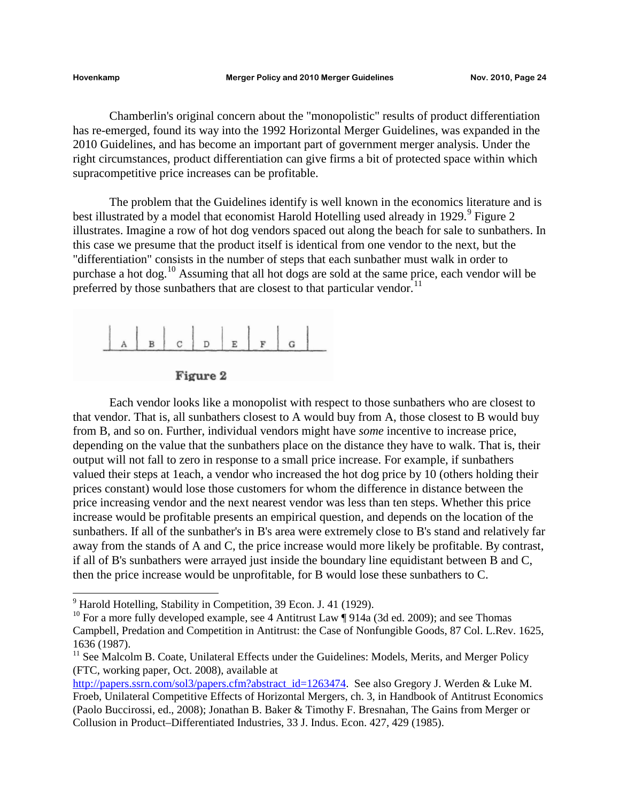Chamberlin's original concern about the "monopolistic" results of product differentiation has re-emerged, found its way into the 1992 Horizontal Merger Guidelines, was expanded in the 2010 Guidelines, and has become an important part of government merger analysis. Under the right circumstances, product differentiation can give firms a bit of protected space within which supracompetitive price increases can be profitable.

The problem that the Guidelines identify is well known in the economics literature and is best illustrated by a model that economist Harold Hotelling used already in 1[9](#page-24-0)29.<sup>9</sup> Figure 2 illustrates. Imagine a row of hot dog vendors spaced out along the beach for sale to sunbathers. In this case we presume that the product itself is identical from one vendor to the next, but the "differentiation" consists in the number of steps that each sunbather must walk in order to purchase a hot dog.[10](#page-24-1) Assuming that all hot dogs are sold at the same price, each vendor will be preferred by those sunbathers that are closest to that particular vendor.<sup>[11](#page-24-2)</sup>



### Figure 2

Each vendor looks like a monopolist with respect to those sunbathers who are closest to that vendor. That is, all sunbathers closest to A would buy from A, those closest to B would buy from B, and so on. Further, individual vendors might have *some* incentive to increase price, depending on the value that the sunbathers place on the distance they have to walk. That is, their output will not fall to zero in response to a small price increase. For example, if sunbathers valued their steps at 1each, a vendor who increased the hot dog price by 10 (others holding their prices constant) would lose those customers for whom the difference in distance between the price increasing vendor and the next nearest vendor was less than ten steps. Whether this price increase would be profitable presents an empirical question, and depends on the location of the sunbathers. If all of the sunbather's in B's area were extremely close to B's stand and relatively far away from the stands of A and C, the price increase would more likely be profitable. By contrast, if all of B's sunbathers were arrayed just inside the boundary line equidistant between B and C, then the price increase would be unprofitable, for B would lose these sunbathers to C.

<span id="page-24-0"></span> <sup>9</sup> Harold Hotelling, Stability in Competition, 39 Econ. J. 41 (1929).

<span id="page-24-1"></span><sup>&</sup>lt;sup>10</sup> For a more fully developed example, see 4 Antitrust Law  $\P$  914a (3d ed. 2009); and see Thomas Campbell, Predation and Competition in Antitrust: the Case of Nonfungible Goods, 87 Col. L.Rev. 1625, 1636 (1987).

<span id="page-24-2"></span> $11$  See Malcolm B. Coate, Unilateral Effects under the Guidelines: Models, Merits, and Merger Policy (FTC, working paper, Oct. 2008), available at

[http://papers.ssrn.com/sol3/papers.cfm?abstract\\_id=1263474.](http://papers.ssrn.com/sol3/papers.cfm?abstract_id=1263474) See also Gregory J. Werden & Luke M. Froeb, Unilateral Competitive Effects of Horizontal Mergers, ch. 3, in Handbook of Antitrust Economics (Paolo Buccirossi, ed., 2008); Jonathan B. Baker & Timothy F. Bresnahan, The Gains from Merger or Collusion in Product–Differentiated Industries, 33 J. Indus. Econ. 427, 429 (1985).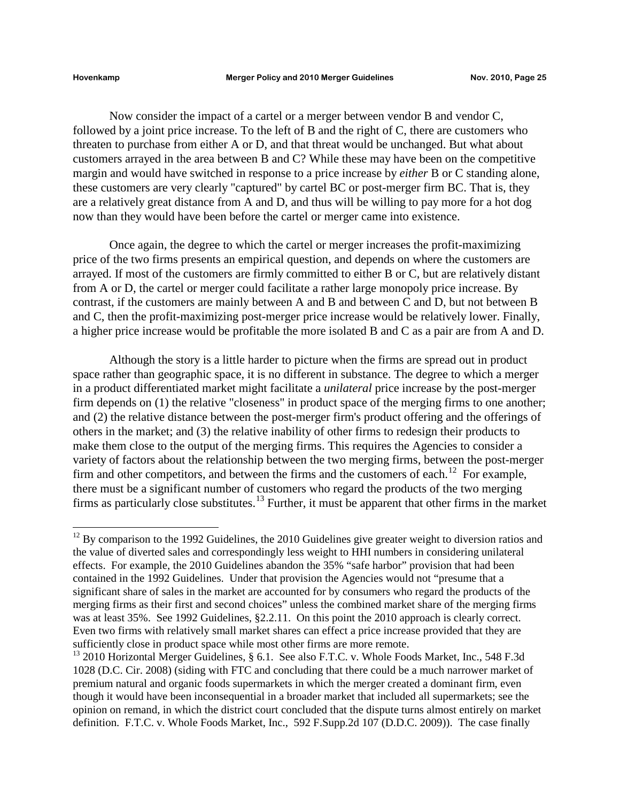Now consider the impact of a cartel or a merger between vendor B and vendor C, followed by a joint price increase. To the left of B and the right of C, there are customers who threaten to purchase from either A or D, and that threat would be unchanged. But what about customers arrayed in the area between B and C? While these may have been on the competitive margin and would have switched in response to a price increase by *either* B or C standing alone, these customers are very clearly "captured" by cartel BC or post-merger firm BC. That is, they are a relatively great distance from A and D, and thus will be willing to pay more for a hot dog now than they would have been before the cartel or merger came into existence.

Once again, the degree to which the cartel or merger increases the profit-maximizing price of the two firms presents an empirical question, and depends on where the customers are arrayed. If most of the customers are firmly committed to either B or C, but are relatively distant from A or D, the cartel or merger could facilitate a rather large monopoly price increase. By contrast, if the customers are mainly between A and B and between C and D, but not between B and C, then the profit-maximizing post-merger price increase would be relatively lower. Finally, a higher price increase would be profitable the more isolated B and C as a pair are from A and D.

Although the story is a little harder to picture when the firms are spread out in product space rather than geographic space, it is no different in substance. The degree to which a merger in a product differentiated market might facilitate a *unilateral* price increase by the post-merger firm depends on (1) the relative "closeness" in product space of the merging firms to one another; and (2) the relative distance between the post-merger firm's product offering and the offerings of others in the market; and (3) the relative inability of other firms to redesign their products to make them close to the output of the merging firms. This requires the Agencies to consider a variety of factors about the relationship between the two merging firms, between the post-merger firm and other competitors, and between the firms and the customers of each.<sup>[12](#page-25-0)</sup> For example, there must be a significant number of customers who regard the products of the two merging firms as particularly close substitutes.<sup>[13](#page-25-1)</sup> Further, it must be apparent that other firms in the market

<span id="page-25-0"></span><sup>&</sup>lt;sup>12</sup> By comparison to the 1992 Guidelines, the 2010 Guidelines give greater weight to diversion ratios and the value of diverted sales and correspondingly less weight to HHI numbers in considering unilateral effects. For example, the 2010 Guidelines abandon the 35% "safe harbor" provision that had been contained in the 1992 Guidelines. Under that provision the Agencies would not "presume that a significant share of sales in the market are accounted for by consumers who regard the products of the merging firms as their first and second choices" unless the combined market share of the merging firms was at least 35%. See 1992 Guidelines, §2.2.11. On this point the 2010 approach is clearly correct. Even two firms with relatively small market shares can effect a price increase provided that they are sufficiently close in product space while most other firms are more remote.

<span id="page-25-1"></span><sup>&</sup>lt;sup>13</sup> 2010 Horizontal Merger Guidelines, § 6.1. See also F.T.C. v. Whole Foods Market, Inc., 548 F.3d 1028 (D.C. Cir. 2008) (siding with FTC and concluding that there could be a much narrower market of premium natural and organic foods supermarkets in which the merger created a dominant firm, even though it would have been inconsequential in a broader market that included all supermarkets; see the opinion on remand, in which the district court concluded that the dispute turns almost entirely on market definition. F.T.C. v. Whole Foods Market, Inc., 592 F.Supp.2d 107 (D.D.C. 2009)). The case finally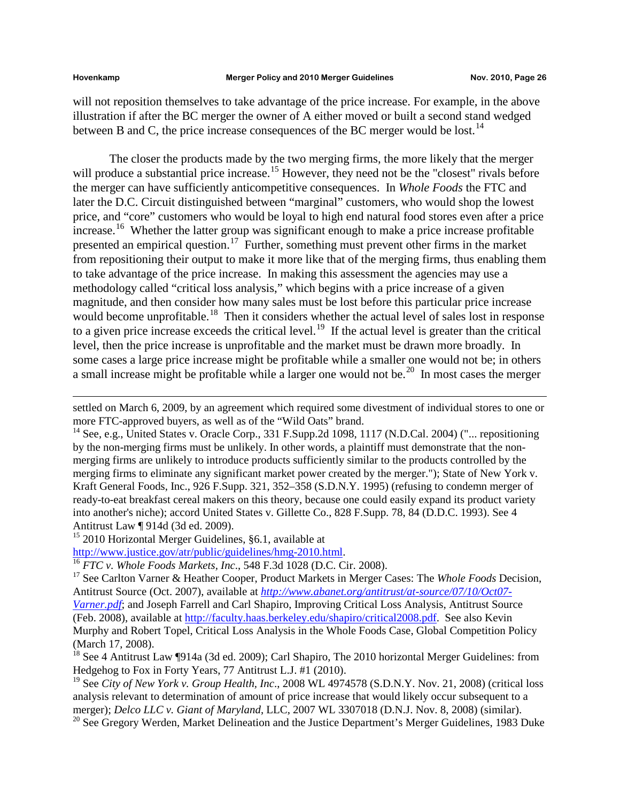$\overline{a}$ 

will not reposition themselves to take advantage of the price increase. For example, in the above illustration if after the BC merger the owner of A either moved or built a second stand wedged between B and C, the price increase consequences of the BC merger would be lost.<sup>[14](#page-26-0)</sup>

The closer the products made by the two merging firms, the more likely that the merger will produce a substantial price increase.<sup>[15](#page-26-1)</sup> However, they need not be the "closest" rivals before the merger can have sufficiently anticompetitive consequences. In *Whole Foods* the FTC and later the D.C. Circuit distinguished between "marginal" customers, who would shop the lowest price, and "core" customers who would be loyal to high end natural food stores even after a price increase.<sup>16</sup> Whether the latter group was significant enough to make a price increase profitable presented an empirical question.[17](#page-26-3) Further, something must prevent other firms in the market from repositioning their output to make it more like that of the merging firms, thus enabling them to take advantage of the price increase. In making this assessment the agencies may use a methodology called "critical loss analysis," which begins with a price increase of a given magnitude, and then consider how many sales must be lost before this particular price increase would become unprofitable.<sup>[18](#page-26-4)</sup> Then it considers whether the actual level of sales lost in response to a given price increase exceeds the critical level.<sup>19</sup> If the actual level is greater than the critical level, then the price increase is unprofitable and the market must be drawn more broadly. In some cases a large price increase might be profitable while a smaller one would not be; in others a small increase might be profitable while a larger one would not be.<sup>[20](#page-26-6)</sup> In most cases the merger

<span id="page-26-1"></span><sup>15</sup> 2010 Horizontal Merger Guidelines, §6.1, available at

[http://www.justice.gov/atr/public/guidelines/hmg-2010.html.](http://www.justice.gov/atr/public/guidelines/hmg-2010.html)

settled on March 6, 2009, by an agreement which required some divestment of individual stores to one or more FTC-approved buyers, as well as of the "Wild Oats" brand.

<span id="page-26-0"></span><sup>&</sup>lt;sup>14</sup> See, e.g., United States v. Oracle Corp., 331 F.Supp.2d 1098, 1117 (N.D.Cal. 2004) ("... repositioning by the non-merging firms must be unlikely. In other words, a plaintiff must demonstrate that the nonmerging firms are unlikely to introduce products sufficiently similar to the products controlled by the merging firms to eliminate any significant market power created by the merger."); State of New York v. Kraft General Foods, Inc., 926 F.Supp. 321, 352–358 (S.D.N.Y. 1995) (refusing to condemn merger of ready-to-eat breakfast cereal makers on this theory, because one could easily expand its product variety into another's niche); accord United States v. Gillette Co., 828 F.Supp. 78, 84 (D.D.C. 1993). See 4 Antitrust Law ¶ 914d (3d ed. 2009).

<span id="page-26-2"></span><sup>16</sup> *FTC v. Whole Foods Markets, Inc*., 548 F.3d 1028 (D.C. Cir. 2008).

<span id="page-26-3"></span><sup>17</sup> See Carlton Varner & Heather Cooper, Product Markets in Merger Cases: The *Whole Foods* Decision, Antitrust Source (Oct. 2007), available at *[http://www.abanet.org/antitrust/at-source/07/10/Oct07-](http://www.abanet.org/antitrust/at-source/07/10/Oct07-Varner.pdf) [Varner.pdf](http://www.abanet.org/antitrust/at-source/07/10/Oct07-Varner.pdf)*; and Joseph Farrell and Carl Shapiro, Improving Critical Loss Analysis, Antitrust Source (Feb. 2008), available at [http://faculty.haas.berkeley.edu/shapiro/critical2008.pdf.](http://faculty.haas.berkeley.edu/shapiro/critical2008.pdf) See also Kevin Murphy and Robert Topel, Critical Loss Analysis in the Whole Foods Case, Global Competition Policy (March 17, 2008).

<span id="page-26-4"></span><sup>&</sup>lt;sup>18</sup> See 4 Antitrust Law ¶914a (3d ed. 2009); Carl Shapiro, The 2010 horizontal Merger Guidelines: from Hedgehog to Fox in Forty Years, 77 Antitrust L.J. #1 (2010).

<span id="page-26-5"></span><sup>19</sup> See *City of New York v. Group Health, Inc*., 2008 WL 4974578 (S.D.N.Y. Nov. 21, 2008) (critical loss analysis relevant to determination of amount of price increase that would likely occur subsequent to a merger); *Delco LLC v. Giant of Maryland*, LLC, 2007 WL 3307018 (D.N.J. Nov. 8, 2008) (similar).

<span id="page-26-6"></span><sup>&</sup>lt;sup>20</sup> See Gregory Werden, Market Delineation and the Justice Department's Merger Guidelines, 1983 Duke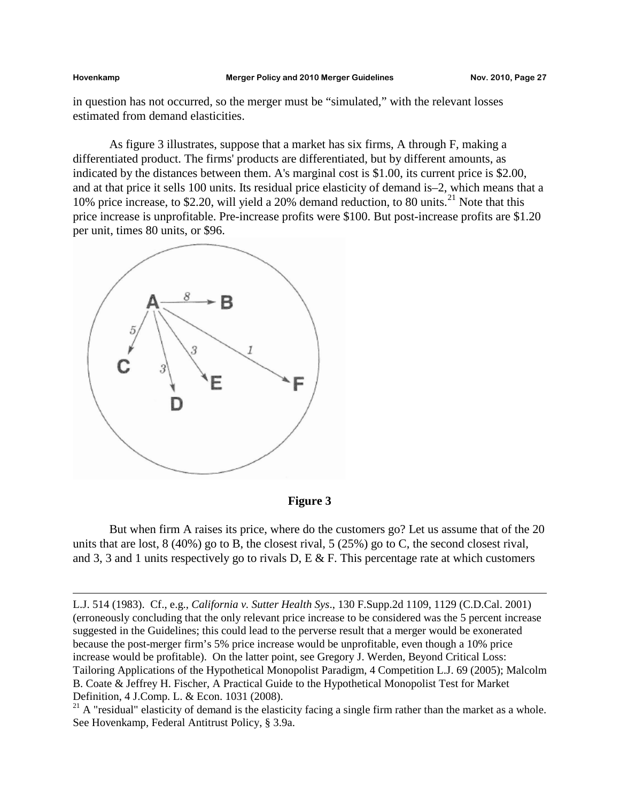$\overline{a}$ 

in question has not occurred, so the merger must be "simulated," with the relevant losses estimated from demand elasticities.

As figure 3 illustrates, suppose that a market has six firms, A through F, making a differentiated product. The firms' products are differentiated, but by different amounts, as indicated by the distances between them. A's marginal cost is \$1.00, its current price is \$2.00, and at that price it sells 100 units. Its residual price elasticity of demand is–2, which means that a 10% price increase, to \$2.20, will yield a 20% demand reduction, to 80 units.<sup>[21](#page-27-0)</sup> Note that this price increase is unprofitable. Pre-increase profits were \$100. But post-increase profits are \$1.20 per unit, times 80 units, or \$96.



**Figure 3**

But when firm A raises its price, where do the customers go? Let us assume that of the 20 units that are lost, 8 (40%) go to B, the closest rival, 5 (25%) go to C, the second closest rival, and 3, 3 and 1 units respectively go to rivals D, E  $\&$  F. This percentage rate at which customers

L.J. 514 (1983). Cf., e.g., *California v. Sutter Health Sys*., 130 F.Supp.2d 1109, 1129 (C.D.Cal. 2001) (erroneously concluding that the only relevant price increase to be considered was the 5 percent increase suggested in the Guidelines; this could lead to the perverse result that a merger would be exonerated because the post-merger firm's 5% price increase would be unprofitable, even though a 10% price increase would be profitable). On the latter point, see Gregory J. Werden, Beyond Critical Loss: Tailoring Applications of the Hypothetical Monopolist Paradigm, 4 Competition L.J. 69 (2005); Malcolm B. Coate & Jeffrey H. Fischer, A Practical Guide to the Hypothetical Monopolist Test for Market Definition, 4 J.Comp. L. & Econ. 1031 (2008).

<span id="page-27-0"></span><sup>&</sup>lt;sup>21</sup> A "residual" elasticity of demand is the elasticity facing a single firm rather than the market as a whole. See Hovenkamp, Federal Antitrust Policy, § 3.9a.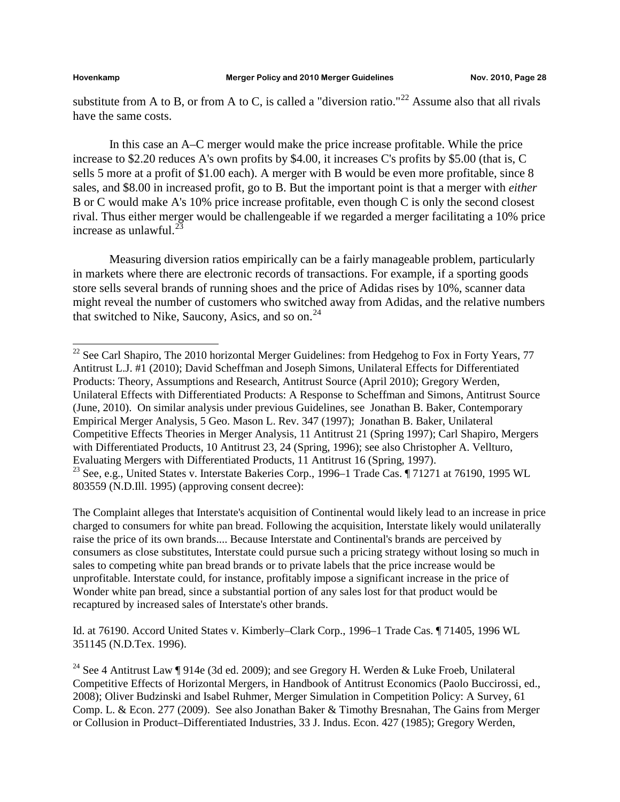substitute from A to B, or from A to C, is called a "diversion ratio."<sup>[22](#page-28-0)</sup> Assume also that all rivals have the same costs.

In this case an A–C merger would make the price increase profitable. While the price increase to \$2.20 reduces A's own profits by \$4.00, it increases C's profits by \$5.00 (that is, C sells 5 more at a profit of \$1.00 each). A merger with B would be even more profitable, since 8 sales, and \$8.00 in increased profit, go to B. But the important point is that a merger with *either* B or C would make A's 10% price increase profitable, even though C is only the second closest rival. Thus either merger would be challengeable if we regarded a merger facilitating a 10% price increase as unlawful. $^{23}$  $^{23}$  $^{23}$ 

Measuring diversion ratios empirically can be a fairly manageable problem, particularly in markets where there are electronic records of transactions. For example, if a sporting goods store sells several brands of running shoes and the price of Adidas rises by 10%, scanner data might reveal the number of customers who switched away from Adidas, and the relative numbers that switched to Nike, Saucony, Asics, and so on. $^{24}$  $^{24}$  $^{24}$ 

<span id="page-28-1"></span>The Complaint alleges that Interstate's acquisition of Continental would likely lead to an increase in price charged to consumers for white pan bread. Following the acquisition, Interstate likely would unilaterally raise the price of its own brands.... Because Interstate and Continental's brands are perceived by consumers as close substitutes, Interstate could pursue such a pricing strategy without losing so much in sales to competing white pan bread brands or to private labels that the price increase would be unprofitable. Interstate could, for instance, profitably impose a significant increase in the price of Wonder white pan bread, since a substantial portion of any sales lost for that product would be recaptured by increased sales of Interstate's other brands.

Id. at 76190. Accord United States v. Kimberly–Clark Corp., 1996–1 Trade Cas. ¶ 71405, 1996 WL 351145 (N.D.Tex. 1996).

<span id="page-28-2"></span><sup>24</sup> See 4 Antitrust Law ¶ 914e (3d ed. 2009); and see Gregory H. Werden & Luke Froeb, Unilateral Competitive Effects of Horizontal Mergers, in Handbook of Antitrust Economics (Paolo Buccirossi, ed., 2008); Oliver Budzinski and Isabel Ruhmer, Merger Simulation in Competition Policy: A Survey, 61 Comp. L. & Econ. 277 (2009). See also Jonathan Baker & Timothy Bresnahan, The Gains from Merger or Collusion in Product–Differentiated Industries, 33 J. Indus. Econ. 427 (1985); Gregory Werden,

<span id="page-28-0"></span><sup>&</sup>lt;sup>22</sup> See Carl Shapiro, The 2010 horizontal Merger Guidelines: from Hedgehog to Fox in Forty Years, 77 Antitrust L.J. #1 (2010); David Scheffman and Joseph Simons, Unilateral Effects for Differentiated Products: Theory, Assumptions and Research, Antitrust Source (April 2010); Gregory Werden, Unilateral Effects with Differentiated Products: A Response to Scheffman and Simons, Antitrust Source (June, 2010). On similar analysis under previous Guidelines, see Jonathan B. Baker, Contemporary Empirical Merger Analysis, 5 Geo. Mason L. Rev. 347 (1997); Jonathan B. Baker, Unilateral Competitive Effects Theories in Merger Analysis, 11 Antitrust 21 (Spring 1997); Carl Shapiro, Mergers with Differentiated Products, 10 Antitrust 23, 24 (Spring, 1996); see also Christopher A. Vellturo, Evaluating Mergers with Differentiated Products, 11 Antitrust 16 (Spring, 1997). <sup>23</sup> See, e.g., United States v. Interstate Bakeries Corp., 1996–1 Trade Cas. ¶ 71271 at 76190, 1995 WL 803559 (N.D.Ill. 1995) (approving consent decree):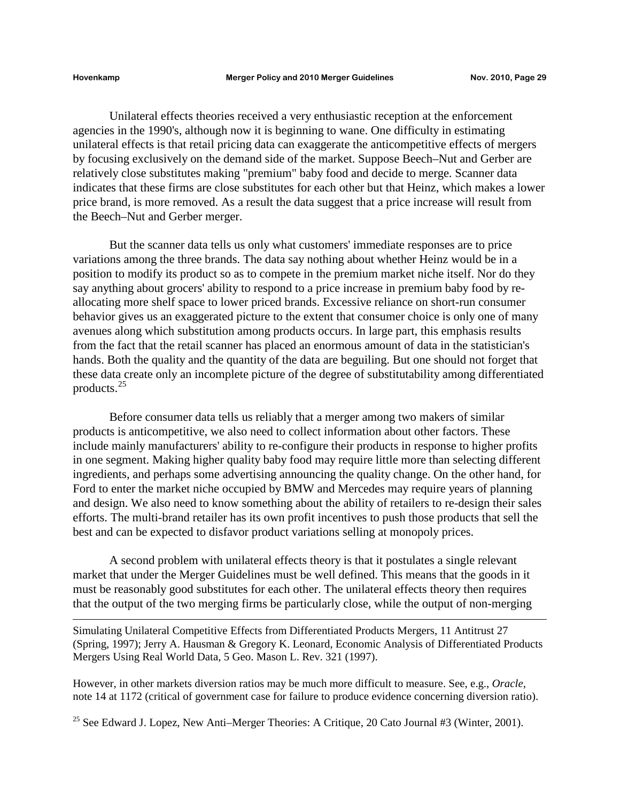$\overline{a}$ 

Unilateral effects theories received a very enthusiastic reception at the enforcement agencies in the 1990's, although now it is beginning to wane. One difficulty in estimating unilateral effects is that retail pricing data can exaggerate the anticompetitive effects of mergers by focusing exclusively on the demand side of the market. Suppose Beech–Nut and Gerber are relatively close substitutes making "premium" baby food and decide to merge. Scanner data indicates that these firms are close substitutes for each other but that Heinz, which makes a lower price brand, is more removed. As a result the data suggest that a price increase will result from the Beech–Nut and Gerber merger.

But the scanner data tells us only what customers' immediate responses are to price variations among the three brands. The data say nothing about whether Heinz would be in a position to modify its product so as to compete in the premium market niche itself. Nor do they say anything about grocers' ability to respond to a price increase in premium baby food by reallocating more shelf space to lower priced brands. Excessive reliance on short-run consumer behavior gives us an exaggerated picture to the extent that consumer choice is only one of many avenues along which substitution among products occurs. In large part, this emphasis results from the fact that the retail scanner has placed an enormous amount of data in the statistician's hands. Both the quality and the quantity of the data are beguiling. But one should not forget that these data create only an incomplete picture of the degree of substitutability among differentiated products.[25](#page-29-0)

Before consumer data tells us reliably that a merger among two makers of similar products is anticompetitive, we also need to collect information about other factors. These include mainly manufacturers' ability to re-configure their products in response to higher profits in one segment. Making higher quality baby food may require little more than selecting different ingredients, and perhaps some advertising announcing the quality change. On the other hand, for Ford to enter the market niche occupied by BMW and Mercedes may require years of planning and design. We also need to know something about the ability of retailers to re-design their sales efforts. The multi-brand retailer has its own profit incentives to push those products that sell the best and can be expected to disfavor product variations selling at monopoly prices.

A second problem with unilateral effects theory is that it postulates a single relevant market that under the Merger Guidelines must be well defined. This means that the goods in it must be reasonably good substitutes for each other. The unilateral effects theory then requires that the output of the two merging firms be particularly close, while the output of non-merging

Simulating Unilateral Competitive Effects from Differentiated Products Mergers, 11 Antitrust 27 (Spring, 1997); Jerry A. Hausman & Gregory K. Leonard, Economic Analysis of Differentiated Products Mergers Using Real World Data, 5 Geo. Mason L. Rev. 321 (1997).

However, in other markets diversion ratios may be much more difficult to measure. See, e.g., *Oracle*, note 14 at 1172 (critical of government case for failure to produce evidence concerning diversion ratio).

<span id="page-29-0"></span><sup>25</sup> See Edward J. Lopez, New Anti–Merger Theories: A Critique, 20 Cato Journal #3 (Winter, 2001).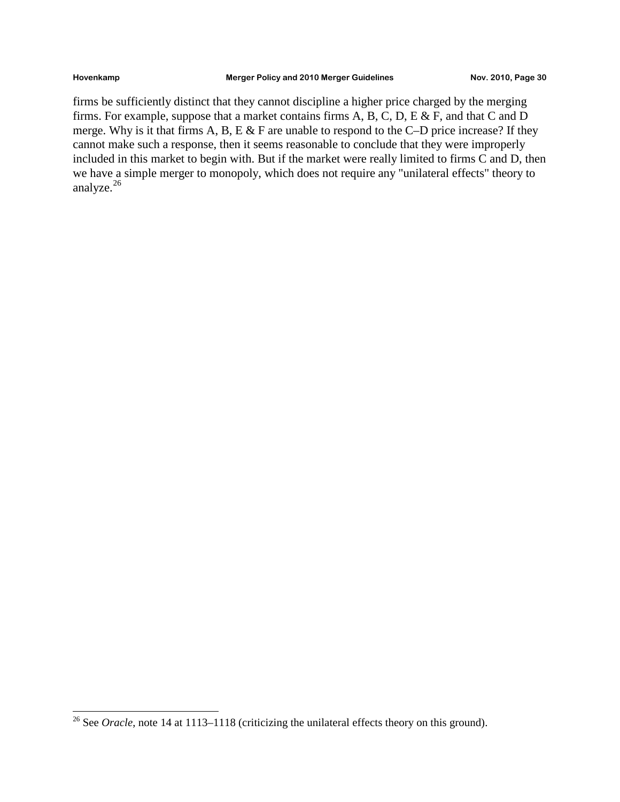### **Hovenkamp Merger Policy and 2010 Merger Guidelines Nov. 2010, Page 30**

firms be sufficiently distinct that they cannot discipline a higher price charged by the merging firms. For example, suppose that a market contains firms A, B, C, D, E & F, and that C and D merge. Why is it that firms A, B, E  $\&$  F are unable to respond to the C–D price increase? If they cannot make such a response, then it seems reasonable to conclude that they were improperly included in this market to begin with. But if the market were really limited to firms C and D, then we have a simple merger to monopoly, which does not require any "unilateral effects" theory to analyze.[26](#page-30-0)

<span id="page-30-0"></span><sup>&</sup>lt;sup>26</sup> See *Oracle*, note 14 at 1113–1118 (criticizing the unilateral effects theory on this ground).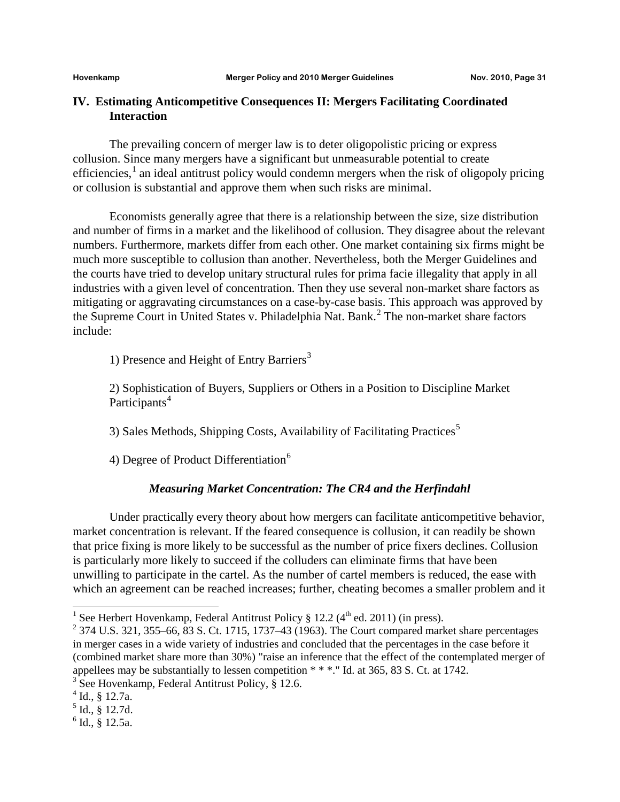# **IV. Estimating Anticompetitive Consequences II: Mergers Facilitating Coordinated Interaction**

The prevailing concern of merger law is to deter oligopolistic pricing or express collusion. Since many mergers have a significant but unmeasurable potential to create efficiencies, $\frac{1}{2}$  $\frac{1}{2}$  $\frac{1}{2}$  an ideal antitrust policy would condemn mergers when the risk of oligopoly pricing or collusion is substantial and approve them when such risks are minimal.

Economists generally agree that there is a relationship between the size, size distribution and number of firms in a market and the likelihood of collusion. They disagree about the relevant numbers. Furthermore, markets differ from each other. One market containing six firms might be much more susceptible to collusion than another. Nevertheless, both the Merger Guidelines and the courts have tried to develop unitary structural rules for prima facie illegality that apply in all industries with a given level of concentration. Then they use several non-market share factors as mitigating or aggravating circumstances on a case-by-case basis. This approach was approved by the Supreme Court in United States v. Philadelphia Nat. Bank.<sup>[2](#page-31-1)</sup> The non-market share factors include:

1) Presence and Height of Entry Barriers<sup>[3](#page-31-2)</sup>

2) Sophistication of Buyers, Suppliers or Others in a Position to Discipline Market Participants<sup>[4](#page-31-3)</sup>

3) Sales Methods, Shipping Costs, Availability of Facilitating Practices<sup>[5](#page-31-4)</sup>

4) Degree of Product Differentiation<sup>[6](#page-31-5)</sup>

# *Measuring Market Concentration: The CR4 and the Herfindahl*

Under practically every theory about how mergers can facilitate anticompetitive behavior, market concentration is relevant. If the feared consequence is collusion, it can readily be shown that price fixing is more likely to be successful as the number of price fixers declines. Collusion is particularly more likely to succeed if the colluders can eliminate firms that have been unwilling to participate in the cartel. As the number of cartel members is reduced, the ease with which an agreement can be reached increases; further, cheating becomes a smaller problem and it

<span id="page-31-0"></span><sup>&</sup>lt;sup>1</sup> See Herbert Hovenkamp, Federal Antitrust Policy § 12.2 ( $4^{\text{th}}$  ed. 2011) (in press).

<span id="page-31-1"></span> $2$  374 U.S. 321, 355–66, 83 S. Ct. 1715, 1737–43 (1963). The Court compared market share percentages in merger cases in a wide variety of industries and concluded that the percentages in the case before it (combined market share more than 30%) "raise an inference that the effect of the contemplated merger of appellees may be substantially to lessen competition \* \* \*." Id. at 365, 83 S. Ct. at 1742.

<sup>&</sup>lt;sup>3</sup> See Hovenkamp, Federal Antitrust Policy, § 12.6.

<span id="page-31-3"></span><span id="page-31-2"></span> $4$  Id., § 12.7a.

<span id="page-31-4"></span> $<sup>5</sup>$  Id., § 12.7d.</sup>

<span id="page-31-5"></span> $6$  Id., § 12.5a.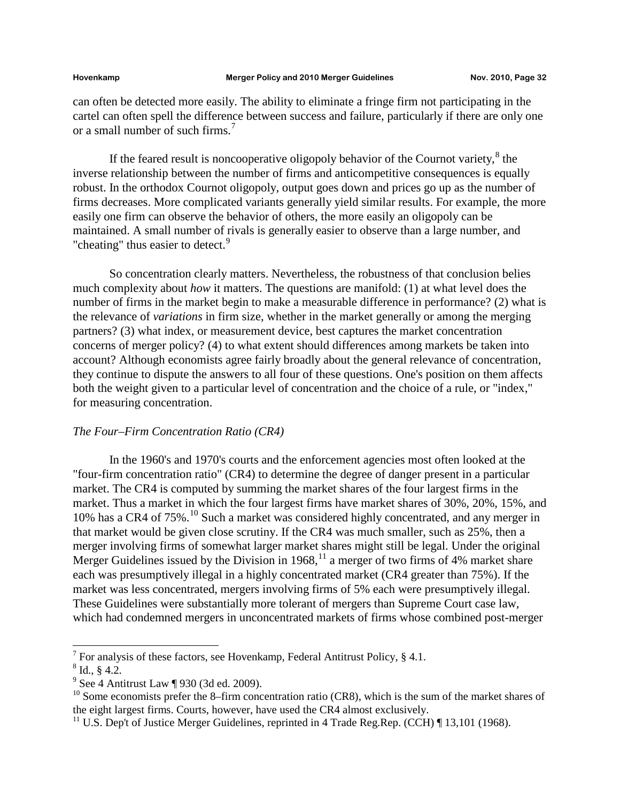can often be detected more easily. The ability to eliminate a fringe firm not participating in the cartel can often spell the difference between success and failure, particularly if there are only one or a small number of such firms.<sup>[7](#page-32-0)</sup>

If the feared result is noncooperative oligopoly behavior of the Cournot variety, $^8$  $^8$  the inverse relationship between the number of firms and anticompetitive consequences is equally robust. In the orthodox Cournot oligopoly, output goes down and prices go up as the number of firms decreases. More complicated variants generally yield similar results. For example, the more easily one firm can observe the behavior of others, the more easily an oligopoly can be maintained. A small number of rivals is generally easier to observe than a large number, and "cheating" thus easier to detect.<sup>[9](#page-32-2)</sup>

So concentration clearly matters. Nevertheless, the robustness of that conclusion belies much complexity about *how* it matters. The questions are manifold: (1) at what level does the number of firms in the market begin to make a measurable difference in performance? (2) what is the relevance of *variations* in firm size, whether in the market generally or among the merging partners? (3) what index, or measurement device, best captures the market concentration concerns of merger policy? (4) to what extent should differences among markets be taken into account? Although economists agree fairly broadly about the general relevance of concentration, they continue to dispute the answers to all four of these questions. One's position on them affects both the weight given to a particular level of concentration and the choice of a rule, or "index," for measuring concentration.

### *The Four–Firm Concentration Ratio (CR4)*

In the 1960's and 1970's courts and the enforcement agencies most often looked at the "four-firm concentration ratio" (CR4) to determine the degree of danger present in a particular market. The CR4 is computed by summing the market shares of the four largest firms in the market. Thus a market in which the four largest firms have market shares of 30%, 20%, 15%, and 10% has a CR4 of 75%.[10](#page-32-3) Such a market was considered highly concentrated, and any merger in that market would be given close scrutiny. If the CR4 was much smaller, such as 25%, then a merger involving firms of somewhat larger market shares might still be legal. Under the original Merger Guidelines issued by the Division in 1968,  $11$  a merger of two firms of 4% market share each was presumptively illegal in a highly concentrated market (CR4 greater than 75%). If the market was less concentrated, mergers involving firms of 5% each were presumptively illegal. These Guidelines were substantially more tolerant of mergers than Supreme Court case law, which had condemned mergers in unconcentrated markets of firms whose combined post-merger

<span id="page-32-0"></span><sup>&</sup>lt;sup>7</sup> For analysis of these factors, see Hovenkamp, Federal Antitrust Policy, § 4.1.

<span id="page-32-1"></span> $8$  Id.,  $8$  4.2.

<span id="page-32-2"></span><sup>&</sup>lt;sup>9</sup> See 4 Antitrust Law ¶ 930 (3d ed. 2009).

<span id="page-32-3"></span> $10$  Some economists prefer the 8–firm concentration ratio (CR8), which is the sum of the market shares of the eight largest firms. Courts, however, have used the CR4 almost exclusively.

<span id="page-32-4"></span><sup>&</sup>lt;sup>11</sup> U.S. Dep't of Justice Merger Guidelines, reprinted in 4 Trade Reg.Rep. (CCH)  $\P$  13,101 (1968).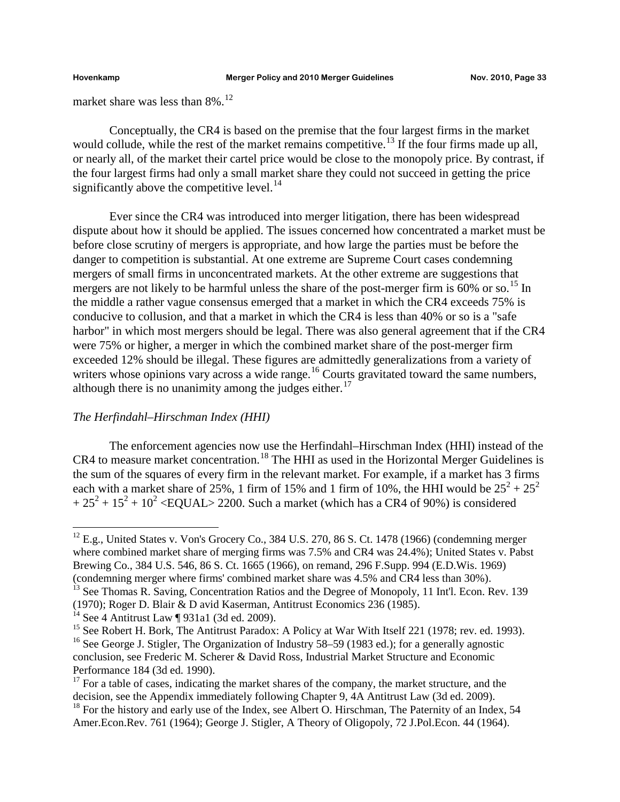market share was less than 8%.<sup>[12](#page-33-0)</sup>

Conceptually, the CR4 is based on the premise that the four largest firms in the market would collude, while the rest of the market remains competitive.<sup>[13](#page-33-1)</sup> If the four firms made up all, or nearly all, of the market their cartel price would be close to the monopoly price. By contrast, if the four largest firms had only a small market share they could not succeed in getting the price significantly above the competitive level. $14$ 

Ever since the CR4 was introduced into merger litigation, there has been widespread dispute about how it should be applied. The issues concerned how concentrated a market must be before close scrutiny of mergers is appropriate, and how large the parties must be before the danger to competition is substantial. At one extreme are Supreme Court cases condemning mergers of small firms in unconcentrated markets. At the other extreme are suggestions that mergers are not likely to be harmful unless the share of the post-merger firm is  $60\%$  or so.<sup>[15](#page-33-3)</sup> In the middle a rather vague consensus emerged that a market in which the CR4 exceeds 75% is conducive to collusion, and that a market in which the CR4 is less than 40% or so is a "safe harbor" in which most mergers should be legal. There was also general agreement that if the CR4 were 75% or higher, a merger in which the combined market share of the post-merger firm exceeded 12% should be illegal. These figures are admittedly generalizations from a variety of writers whose opinions vary across a wide range.<sup>[16](#page-33-4)</sup> Courts gravitated toward the same numbers, although there is no unanimity among the judges either.<sup>[17](#page-33-5)</sup>

### *The Herfindahl–Hirschman Index (HHI)*

The enforcement agencies now use the Herfindahl–Hirschman Index (HHI) instead of the  $CR4$  to measure market concentration.<sup>[18](#page-33-6)</sup> The HHI as used in the Horizontal Merger Guidelines is the sum of the squares of every firm in the relevant market. For example, if a market has 3 firms each with a market share of 25%, 1 firm of 15% and 1 firm of 10%, the HHI would be  $25^2 + 25^2$  $+ 25^2 + 15^2 + 10^2$  <EQUAL> 2200. Such a market (which has a CR4 of 90%) is considered

<span id="page-33-1"></span><sup>13</sup> See Thomas R. Saving, Concentration Ratios and the Degree of Monopoly, 11 Int'l. Econ. Rev. 139 (1970); Roger D. Blair & D avid Kaserman, Antitrust Economics 236 (1985).

<span id="page-33-0"></span> $12$  E.g., United States v. Von's Grocery Co., 384 U.S. 270, 86 S. Ct. 1478 (1966) (condemning merger where combined market share of merging firms was 7.5% and CR4 was 24.4%); United States v. Pabst Brewing Co., 384 U.S. 546, 86 S. Ct. 1665 (1966), on remand, 296 F.Supp. 994 (E.D.Wis. 1969) (condemning merger where firms' combined market share was 4.5% and CR4 less than 30%).

<sup>&</sup>lt;sup>14</sup> See 4 Antitrust Law  $\P$  931a1 (3d ed. 2009).

<span id="page-33-3"></span><span id="page-33-2"></span><sup>&</sup>lt;sup>15</sup> See Robert H. Bork, The Antitrust Paradox: A Policy at War With Itself 221 (1978; rev. ed. 1993).

<span id="page-33-4"></span><sup>&</sup>lt;sup>16</sup> See George J. Stigler, The Organization of Industry 58–59 (1983 ed.); for a generally agnostic conclusion, see Frederic M. Scherer & David Ross, Industrial Market Structure and Economic Performance 184 (3d ed. 1990).

<span id="page-33-5"></span> $17$  For a table of cases, indicating the market shares of the company, the market structure, and the decision, see the Appendix immediately following Chapter 9, 4A Antitrust Law (3d ed. 2009).

<span id="page-33-6"></span><sup>&</sup>lt;sup>18</sup> For the history and early use of the Index, see Albert O. Hirschman, The Paternity of an Index, 54 Amer.Econ.Rev. 761 (1964); George J. Stigler, A Theory of Oligopoly, 72 J.Pol.Econ. 44 (1964).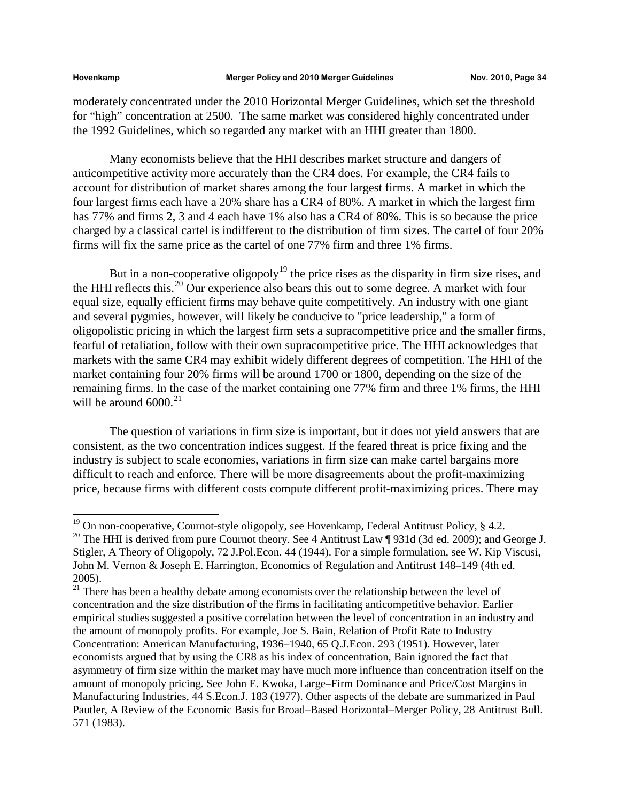moderately concentrated under the 2010 Horizontal Merger Guidelines, which set the threshold for "high" concentration at 2500. The same market was considered highly concentrated under the 1992 Guidelines, which so regarded any market with an HHI greater than 1800.

Many economists believe that the HHI describes market structure and dangers of anticompetitive activity more accurately than the CR4 does. For example, the CR4 fails to account for distribution of market shares among the four largest firms. A market in which the four largest firms each have a 20% share has a CR4 of 80%. A market in which the largest firm has 77% and firms 2, 3 and 4 each have 1% also has a CR4 of 80%. This is so because the price charged by a classical cartel is indifferent to the distribution of firm sizes. The cartel of four 20% firms will fix the same price as the cartel of one 77% firm and three 1% firms.

But in a non-cooperative oligopoly<sup>[19](#page-34-0)</sup> the price rises as the disparity in firm size rises, and the HHI reflects this.<sup>[20](#page-34-1)</sup> Our experience also bears this out to some degree. A market with four equal size, equally efficient firms may behave quite competitively. An industry with one giant and several pygmies, however, will likely be conducive to "price leadership," a form of oligopolistic pricing in which the largest firm sets a supracompetitive price and the smaller firms, fearful of retaliation, follow with their own supracompetitive price. The HHI acknowledges that markets with the same CR4 may exhibit widely different degrees of competition. The HHI of the market containing four 20% firms will be around 1700 or 1800, depending on the size of the remaining firms. In the case of the market containing one 77% firm and three 1% firms, the HHI will be around  $6000$ <sup>[21](#page-34-2)</sup>

The question of variations in firm size is important, but it does not yield answers that are consistent, as the two concentration indices suggest. If the feared threat is price fixing and the industry is subject to scale economies, variations in firm size can make cartel bargains more difficult to reach and enforce. There will be more disagreements about the profit-maximizing price, because firms with different costs compute different profit-maximizing prices. There may

<span id="page-34-0"></span><sup>&</sup>lt;sup>19</sup> On non-cooperative, Cournot-style oligopoly, see Hovenkamp, Federal Antitrust Policy, § 4.2.

<span id="page-34-1"></span><sup>&</sup>lt;sup>20</sup> The HHI is derived from pure Cournot theory. See 4 Antitrust Law ¶ 931d (3d ed. 2009); and George J. Stigler, A Theory of Oligopoly, 72 J.Pol.Econ. 44 (1944). For a simple formulation, see W. Kip Viscusi, John M. Vernon & Joseph E. Harrington, Economics of Regulation and Antitrust 148–149 (4th ed. 2005).

<span id="page-34-2"></span><sup>&</sup>lt;sup>21</sup> There has been a healthy debate among economists over the relationship between the level of concentration and the size distribution of the firms in facilitating anticompetitive behavior. Earlier empirical studies suggested a positive correlation between the level of concentration in an industry and the amount of monopoly profits. For example, Joe S. Bain, Relation of Profit Rate to Industry Concentration: American Manufacturing, 1936–1940, 65 Q.J.Econ. 293 (1951). However, later economists argued that by using the CR8 as his index of concentration, Bain ignored the fact that asymmetry of firm size within the market may have much more influence than concentration itself on the amount of monopoly pricing. See John E. Kwoka, Large–Firm Dominance and Price/Cost Margins in Manufacturing Industries, 44 S.Econ.J. 183 (1977). Other aspects of the debate are summarized in Paul Pautler, A Review of the Economic Basis for Broad–Based Horizontal–Merger Policy, 28 Antitrust Bull. 571 (1983).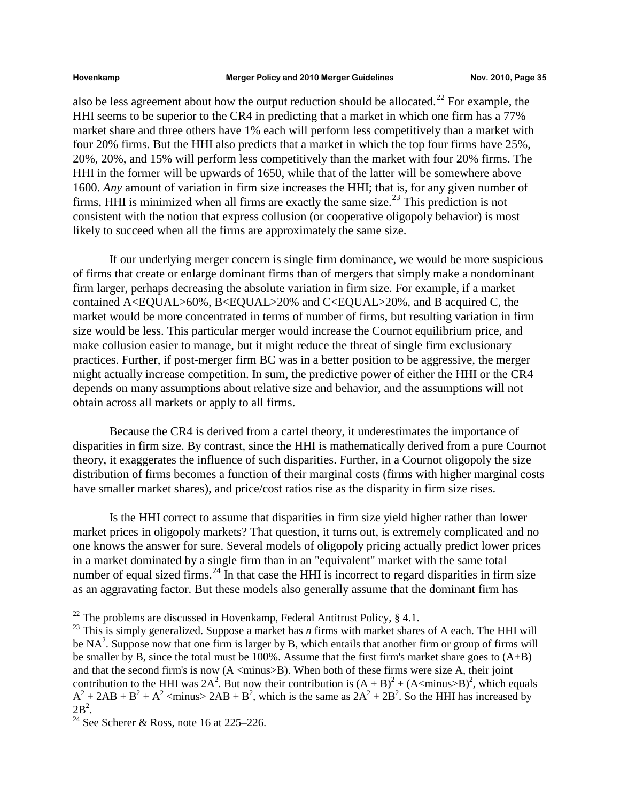also be less agreement about how the output reduction should be allocated.<sup>[22](#page-35-0)</sup> For example, the HHI seems to be superior to the CR4 in predicting that a market in which one firm has a 77% market share and three others have 1% each will perform less competitively than a market with four 20% firms. But the HHI also predicts that a market in which the top four firms have 25%, 20%, 20%, and 15% will perform less competitively than the market with four 20% firms. The HHI in the former will be upwards of 1650, while that of the latter will be somewhere above 1600. *Any* amount of variation in firm size increases the HHI; that is, for any given number of firms, HHI is minimized when all firms are exactly the same size.<sup>[23](#page-35-1)</sup> This prediction is not consistent with the notion that express collusion (or cooperative oligopoly behavior) is most likely to succeed when all the firms are approximately the same size.

If our underlying merger concern is single firm dominance, we would be more suspicious of firms that create or enlarge dominant firms than of mergers that simply make a nondominant firm larger, perhaps decreasing the absolute variation in firm size. For example, if a market contained  $A \leq 20\%$ ,  $B \leq 20\%$  and  $C \leq 20\%$ , and B acquired C, the market would be more concentrated in terms of number of firms, but resulting variation in firm size would be less. This particular merger would increase the Cournot equilibrium price, and make collusion easier to manage, but it might reduce the threat of single firm exclusionary practices. Further, if post-merger firm BC was in a better position to be aggressive, the merger might actually increase competition. In sum, the predictive power of either the HHI or the CR4 depends on many assumptions about relative size and behavior, and the assumptions will not obtain across all markets or apply to all firms.

Because the CR4 is derived from a cartel theory, it underestimates the importance of disparities in firm size. By contrast, since the HHI is mathematically derived from a pure Cournot theory, it exaggerates the influence of such disparities. Further, in a Cournot oligopoly the size distribution of firms becomes a function of their marginal costs (firms with higher marginal costs have smaller market shares), and price/cost ratios rise as the disparity in firm size rises.

Is the HHI correct to assume that disparities in firm size yield higher rather than lower market prices in oligopoly markets? That question, it turns out, is extremely complicated and no one knows the answer for sure. Several models of oligopoly pricing actually predict lower prices in a market dominated by a single firm than in an "equivalent" market with the same total number of equal sized firms.<sup>[24](#page-35-2)</sup> In that case the HHI is incorrect to regard disparities in firm size as an aggravating factor. But these models also generally assume that the dominant firm has

<span id="page-35-0"></span><sup>&</sup>lt;sup>22</sup> The problems are discussed in Hovenkamp, Federal Antitrust Policy,  $\S$  4.1.

<span id="page-35-1"></span><sup>&</sup>lt;sup>23</sup> This is simply generalized. Suppose a market has *n* firms with market shares of A each. The HHI will be  $NA<sup>2</sup>$ . Suppose now that one firm is larger by B, which entails that another firm or group of firms will be smaller by B, since the total must be  $100\%$ . Assume that the first firm's market share goes to  $(A+B)$ and that the second firm's is now  $(A \leq m)$ . When both of these firms were size A, their joint contribution to the HHI was  $2A^2$ . But now their contribution is  $(A + B)^2 + (A \leq \text{minus} B)^2$ , which equals  $A^2 + 2AB + B^2 + A^2$  < minus > 2AB + B<sup>2</sup>, which is the same as  $2A^2 + 2B^2$ . So the HHI has increased by  $2B^2$ .

<span id="page-35-2"></span><sup>&</sup>lt;sup>24</sup> See Scherer & Ross, note 16 at  $225-226$ .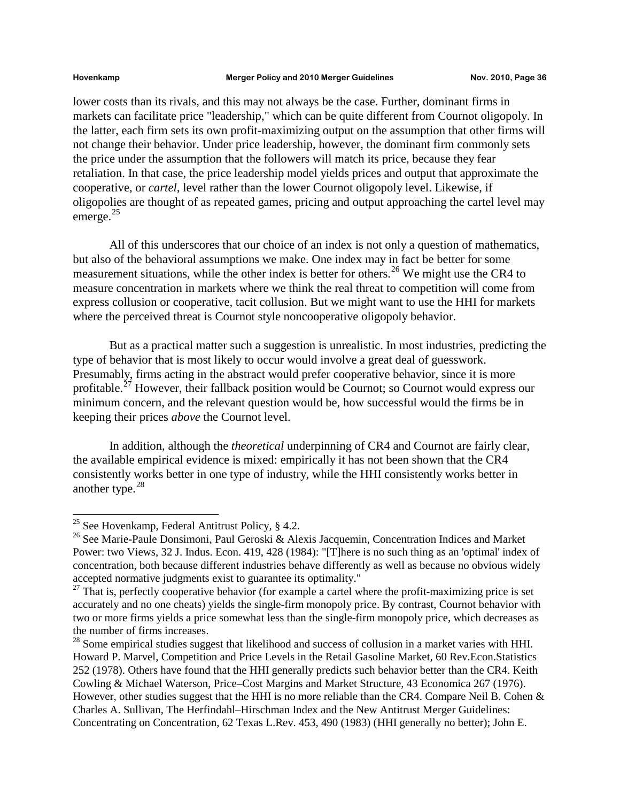lower costs than its rivals, and this may not always be the case. Further, dominant firms in markets can facilitate price "leadership," which can be quite different from Cournot oligopoly. In the latter, each firm sets its own profit-maximizing output on the assumption that other firms will not change their behavior. Under price leadership, however, the dominant firm commonly sets the price under the assumption that the followers will match its price, because they fear retaliation. In that case, the price leadership model yields prices and output that approximate the cooperative, or *cartel*, level rather than the lower Cournot oligopoly level. Likewise, if oligopolies are thought of as repeated games, pricing and output approaching the cartel level may emerge. $^{25}$  $^{25}$  $^{25}$ 

All of this underscores that our choice of an index is not only a question of mathematics, but also of the behavioral assumptions we make. One index may in fact be better for some measurement situations, while the other index is better for others.<sup>[26](#page-36-1)</sup> We might use the CR4 to measure concentration in markets where we think the real threat to competition will come from express collusion or cooperative, tacit collusion. But we might want to use the HHI for markets where the perceived threat is Cournot style noncooperative oligopoly behavior.

But as a practical matter such a suggestion is unrealistic. In most industries, predicting the type of behavior that is most likely to occur would involve a great deal of guesswork. Presumably, firms acting in the abstract would prefer cooperative behavior, since it is more profitable.<sup> $27$ </sup> However, their fallback position would be Cournot; so Cournot would express our minimum concern, and the relevant question would be, how successful would the firms be in keeping their prices *above* the Cournot level.

In addition, although the *theoretical* underpinning of CR4 and Cournot are fairly clear, the available empirical evidence is mixed: empirically it has not been shown that the CR4 consistently works better in one type of industry, while the HHI consistently works better in another type.<sup>[28](#page-36-3)</sup>

<span id="page-36-0"></span><sup>&</sup>lt;sup>25</sup> See Hovenkamp, Federal Antitrust Policy,  $\S$  4.2.

<span id="page-36-1"></span><sup>&</sup>lt;sup>26</sup> See Marie-Paule Donsimoni, Paul Geroski & Alexis Jacquemin, Concentration Indices and Market Power: two Views, 32 J. Indus. Econ. 419, 428 (1984): "[T]here is no such thing as an 'optimal' index of concentration, both because different industries behave differently as well as because no obvious widely accepted normative judgments exist to guarantee its optimality."

<span id="page-36-2"></span><sup>&</sup>lt;sup>27</sup> That is, perfectly cooperative behavior (for example a cartel where the profit-maximizing price is set accurately and no one cheats) yields the single-firm monopoly price. By contrast, Cournot behavior with two or more firms yields a price somewhat less than the single-firm monopoly price, which decreases as the number of firms increases.

<span id="page-36-3"></span> $^{28}$  Some empirical studies suggest that likelihood and success of collusion in a market varies with HHI. Howard P. Marvel, Competition and Price Levels in the Retail Gasoline Market, 60 Rev.Econ.Statistics 252 (1978). Others have found that the HHI generally predicts such behavior better than the CR4. Keith Cowling & Michael Waterson, Price–Cost Margins and Market Structure, 43 Economica 267 (1976). However, other studies suggest that the HHI is no more reliable than the CR4. Compare Neil B. Cohen & Charles A. Sullivan, The Herfindahl–Hirschman Index and the New Antitrust Merger Guidelines: Concentrating on Concentration, 62 Texas L.Rev. 453, 490 (1983) (HHI generally no better); John E.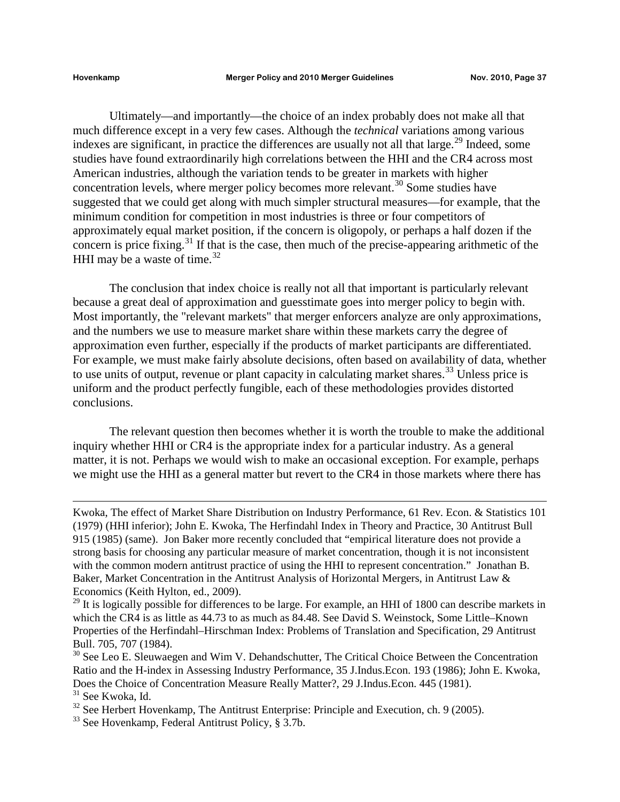$\overline{a}$ 

Ultimately—and importantly—the choice of an index probably does not make all that much difference except in a very few cases. Although the *technical* variations among various indexes are significant, in practice the differences are usually not all that large.<sup>[29](#page-37-0)</sup> Indeed, some studies have found extraordinarily high correlations between the HHI and the CR4 across most American industries, although the variation tends to be greater in markets with higher concentration levels, where merger policy becomes more relevant.<sup>[30](#page-37-1)</sup> Some studies have suggested that we could get along with much simpler structural measures—for example, that the minimum condition for competition in most industries is three or four competitors of approximately equal market position, if the concern is oligopoly, or perhaps a half dozen if the concern is price fixing.<sup>[31](#page-37-2)</sup> If that is the case, then much of the precise-appearing arithmetic of the HHI may be a waste of time. $32$ 

The conclusion that index choice is really not all that important is particularly relevant because a great deal of approximation and guesstimate goes into merger policy to begin with. Most importantly, the "relevant markets" that merger enforcers analyze are only approximations, and the numbers we use to measure market share within these markets carry the degree of approximation even further, especially if the products of market participants are differentiated. For example, we must make fairly absolute decisions, often based on availability of data, whether to use units of output, revenue or plant capacity in calculating market shares.<sup>[33](#page-37-4)</sup> Unless price is uniform and the product perfectly fungible, each of these methodologies provides distorted conclusions.

The relevant question then becomes whether it is worth the trouble to make the additional inquiry whether HHI or CR4 is the appropriate index for a particular industry. As a general matter, it is not. Perhaps we would wish to make an occasional exception. For example, perhaps we might use the HHI as a general matter but revert to the CR4 in those markets where there has

Kwoka, The effect of Market Share Distribution on Industry Performance, 61 Rev. Econ. & Statistics 101 (1979) (HHI inferior); John E. Kwoka, The Herfindahl Index in Theory and Practice, 30 Antitrust Bull 915 (1985) (same). Jon Baker more recently concluded that "empirical literature does not provide a strong basis for choosing any particular measure of market concentration, though it is not inconsistent with the common modern antitrust practice of using the HHI to represent concentration." Jonathan B. Baker, Market Concentration in the Antitrust Analysis of Horizontal Mergers, in Antitrust Law & Economics (Keith Hylton, ed., 2009).

<span id="page-37-0"></span> $^{29}$  It is logically possible for differences to be large. For example, an HHI of 1800 can describe markets in which the CR4 is as little as 44.73 to as much as 84.48. See David S. Weinstock, Some Little–Known Properties of the Herfindahl–Hirschman Index: Problems of Translation and Specification, 29 Antitrust Bull. 705, 707 (1984).

<span id="page-37-1"></span> $30$  See Leo E. Sleuwaegen and Wim V. Dehandschutter, The Critical Choice Between the Concentration Ratio and the H-index in Assessing Industry Performance, 35 J.Indus.Econ. 193 (1986); John E. Kwoka, Does the Choice of Concentration Measure Really Matter?, 29 J.Indus.Econ. 445 (1981).  $^{31}$  See Kwoka, Id.

<span id="page-37-3"></span><span id="page-37-2"></span> $32$  See Herbert Hovenkamp, The Antitrust Enterprise: Principle and Execution, ch. 9 (2005).

<span id="page-37-4"></span><sup>&</sup>lt;sup>33</sup> See Hovenkamp, Federal Antitrust Policy, § 3.7b.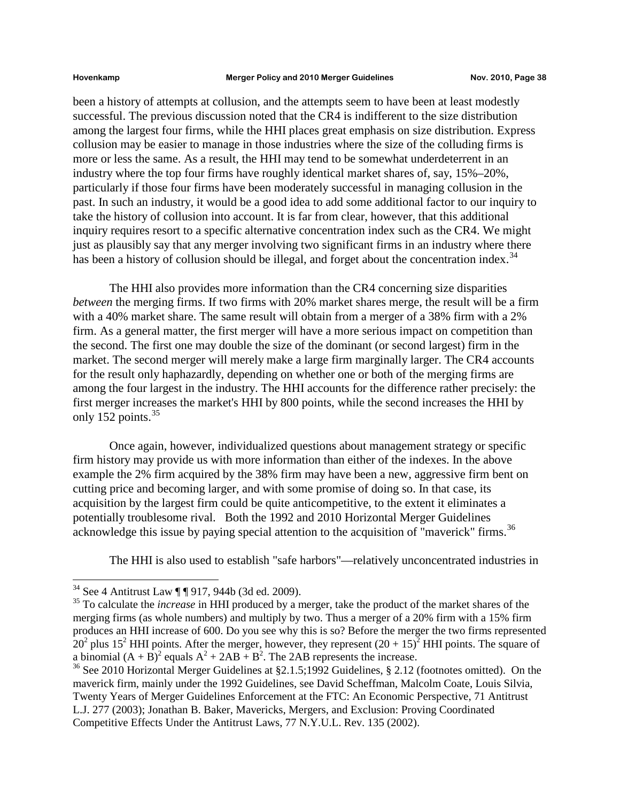been a history of attempts at collusion, and the attempts seem to have been at least modestly successful. The previous discussion noted that the CR4 is indifferent to the size distribution among the largest four firms, while the HHI places great emphasis on size distribution. Express collusion may be easier to manage in those industries where the size of the colluding firms is more or less the same. As a result, the HHI may tend to be somewhat underdeterrent in an industry where the top four firms have roughly identical market shares of, say, 15%–20%, particularly if those four firms have been moderately successful in managing collusion in the past. In such an industry, it would be a good idea to add some additional factor to our inquiry to take the history of collusion into account. It is far from clear, however, that this additional inquiry requires resort to a specific alternative concentration index such as the CR4. We might just as plausibly say that any merger involving two significant firms in an industry where there has been a history of collusion should be illegal, and forget about the concentration index.<sup>[34](#page-38-0)</sup>

The HHI also provides more information than the CR4 concerning size disparities *between* the merging firms. If two firms with 20% market shares merge, the result will be a firm with a 40% market share. The same result will obtain from a merger of a 38% firm with a 2% firm. As a general matter, the first merger will have a more serious impact on competition than the second. The first one may double the size of the dominant (or second largest) firm in the market. The second merger will merely make a large firm marginally larger. The CR4 accounts for the result only haphazardly, depending on whether one or both of the merging firms are among the four largest in the industry. The HHI accounts for the difference rather precisely: the first merger increases the market's HHI by 800 points, while the second increases the HHI by only 152 points. $35$ 

Once again, however, individualized questions about management strategy or specific firm history may provide us with more information than either of the indexes. In the above example the 2% firm acquired by the 38% firm may have been a new, aggressive firm bent on cutting price and becoming larger, and with some promise of doing so. In that case, its acquisition by the largest firm could be quite anticompetitive, to the extent it eliminates a potentially troublesome rival. Both the 1992 and 2010 Horizontal Merger Guidelines acknowledge this issue by paying special attention to the acquisition of "maverick" firms.<sup>[36](#page-38-2)</sup>

The HHI is also used to establish "safe harbors"—relatively unconcentrated industries in

<span id="page-38-0"></span> <sup>34</sup> See 4 Antitrust Law ¶ ¶ 917, 944b (3d ed. 2009).

<span id="page-38-1"></span><sup>&</sup>lt;sup>35</sup> To calculate the *increase* in HHI produced by a merger, take the product of the market shares of the merging firms (as whole numbers) and multiply by two. Thus a merger of a 20% firm with a 15% firm produces an HHI increase of 600. Do you see why this is so? Before the merger the two firms represented  $20^2$  plus 15<sup>2</sup> HHI points. After the merger, however, they represent  $(20 + 15)^2$  HHI points. The square of a binomial  $(A + B)^2$  equals  $A^2 + 2AB + B^2$ . The 2AB represents the increase.

<span id="page-38-2"></span><sup>&</sup>lt;sup>36</sup> See 2010 Horizontal Merger Guidelines at §2.1.5;1992 Guidelines, § 2.12 (footnotes omitted). On the maverick firm, mainly under the 1992 Guidelines, see David Scheffman, Malcolm Coate, Louis Silvia, Twenty Years of Merger Guidelines Enforcement at the FTC: An Economic Perspective, 71 Antitrust L.J. 277 (2003); Jonathan B. Baker, Mavericks, Mergers, and Exclusion: Proving Coordinated Competitive Effects Under the Antitrust Laws, 77 N.Y.U.L. Rev. 135 (2002).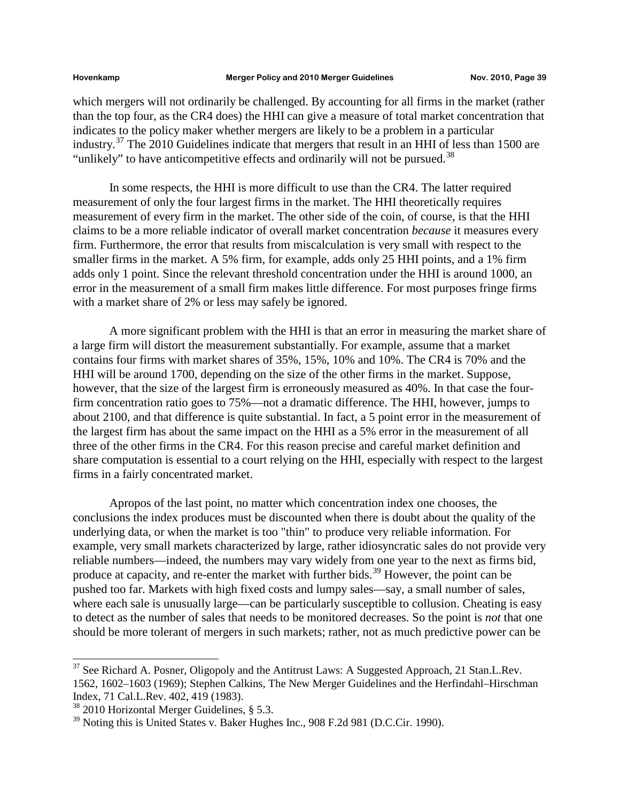which mergers will not ordinarily be challenged. By accounting for all firms in the market (rather than the top four, as the CR4 does) the HHI can give a measure of total market concentration that indicates to the policy maker whether mergers are likely to be a problem in a particular industry.[37](#page-39-0) The 2010 Guidelines indicate that mergers that result in an HHI of less than 1500 are "unlikely" to have anticompetitive effects and ordinarily will not be pursued.<sup>[38](#page-39-1)</sup>

In some respects, the HHI is more difficult to use than the CR4. The latter required measurement of only the four largest firms in the market. The HHI theoretically requires measurement of every firm in the market. The other side of the coin, of course, is that the HHI claims to be a more reliable indicator of overall market concentration *because* it measures every firm. Furthermore, the error that results from miscalculation is very small with respect to the smaller firms in the market. A 5% firm, for example, adds only 25 HHI points, and a 1% firm adds only 1 point. Since the relevant threshold concentration under the HHI is around 1000, an error in the measurement of a small firm makes little difference. For most purposes fringe firms with a market share of 2% or less may safely be ignored.

A more significant problem with the HHI is that an error in measuring the market share of a large firm will distort the measurement substantially. For example, assume that a market contains four firms with market shares of 35%, 15%, 10% and 10%. The CR4 is 70% and the HHI will be around 1700, depending on the size of the other firms in the market. Suppose, however, that the size of the largest firm is erroneously measured as 40%. In that case the fourfirm concentration ratio goes to 75%—not a dramatic difference. The HHI, however, jumps to about 2100, and that difference is quite substantial. In fact, a 5 point error in the measurement of the largest firm has about the same impact on the HHI as a 5% error in the measurement of all three of the other firms in the CR4. For this reason precise and careful market definition and share computation is essential to a court relying on the HHI, especially with respect to the largest firms in a fairly concentrated market.

Apropos of the last point, no matter which concentration index one chooses, the conclusions the index produces must be discounted when there is doubt about the quality of the underlying data, or when the market is too "thin" to produce very reliable information. For example, very small markets characterized by large, rather idiosyncratic sales do not provide very reliable numbers—indeed, the numbers may vary widely from one year to the next as firms bid, produce at capacity, and re-enter the market with further bids.<sup>[39](#page-39-2)</sup> However, the point can be pushed too far. Markets with high fixed costs and lumpy sales—say, a small number of sales, where each sale is unusually large—can be particularly susceptible to collusion. Cheating is easy to detect as the number of sales that needs to be monitored decreases. So the point is *not* that one should be more tolerant of mergers in such markets; rather, not as much predictive power can be

<span id="page-39-0"></span><sup>&</sup>lt;sup>37</sup> See Richard A. Posner, Oligopoly and the Antitrust Laws: A Suggested Approach, 21 Stan.L.Rev. 1562, 1602–1603 (1969); Stephen Calkins, The New Merger Guidelines and the Herfindahl–Hirschman Index, 71 Cal.L.Rev. 402, 419 (1983).

<span id="page-39-1"></span><sup>&</sup>lt;sup>38</sup> 2010 Horizontal Merger Guidelines, § 5.3.

<span id="page-39-2"></span><sup>&</sup>lt;sup>39</sup> Noting this is United States v. Baker Hughes Inc., 908 F.2d 981 (D.C.Cir. 1990).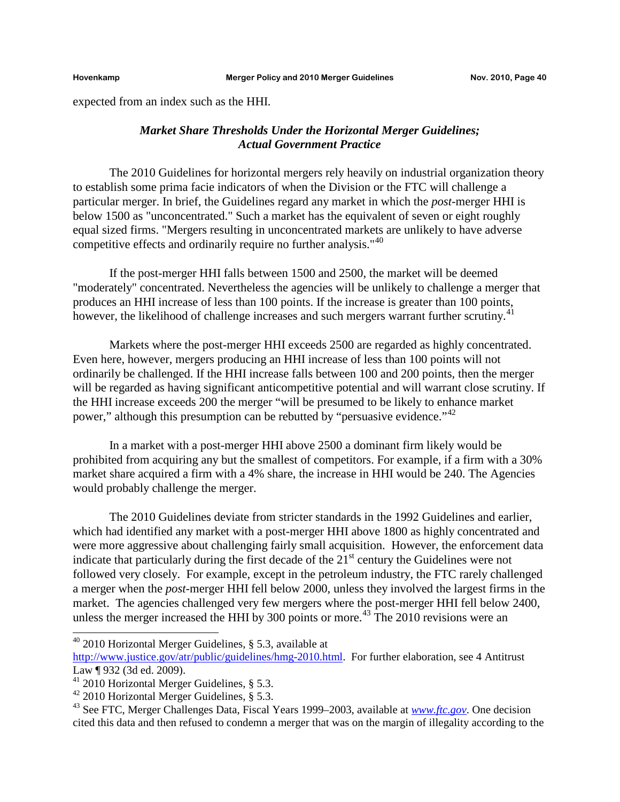expected from an index such as the HHI.

# *Market Share Thresholds Under the Horizontal Merger Guidelines; Actual Government Practice*

The 2010 Guidelines for horizontal mergers rely heavily on industrial organization theory to establish some prima facie indicators of when the Division or the FTC will challenge a particular merger. In brief, the Guidelines regard any market in which the *post*-merger HHI is below 1500 as "unconcentrated." Such a market has the equivalent of seven or eight roughly equal sized firms. "Mergers resulting in unconcentrated markets are unlikely to have adverse competitive effects and ordinarily require no further analysis."<sup>[40](#page-40-0)</sup>

If the post-merger HHI falls between 1500 and 2500, the market will be deemed "moderately" concentrated. Nevertheless the agencies will be unlikely to challenge a merger that produces an HHI increase of less than 100 points. If the increase is greater than 100 points, however, the likelihood of challenge increases and such mergers warrant further scrutiny.<sup>[41](#page-40-1)</sup>

Markets where the post-merger HHI exceeds 2500 are regarded as highly concentrated. Even here, however, mergers producing an HHI increase of less than 100 points will not ordinarily be challenged. If the HHI increase falls between 100 and 200 points, then the merger will be regarded as having significant anticompetitive potential and will warrant close scrutiny. If the HHI increase exceeds 200 the merger "will be presumed to be likely to enhance market power," although this presumption can be rebutted by "persuasive evidence."<sup>[42](#page-40-2)</sup>

In a market with a post-merger HHI above 2500 a dominant firm likely would be prohibited from acquiring any but the smallest of competitors. For example, if a firm with a 30% market share acquired a firm with a 4% share, the increase in HHI would be 240. The Agencies would probably challenge the merger.

The 2010 Guidelines deviate from stricter standards in the 1992 Guidelines and earlier, which had identified any market with a post-merger HHI above 1800 as highly concentrated and were more aggressive about challenging fairly small acquisition. However, the enforcement data indicate that particularly during the first decade of the  $21<sup>st</sup>$  century the Guidelines were not followed very closely. For example, except in the petroleum industry, the FTC rarely challenged a merger when the *post*-merger HHI fell below 2000, unless they involved the largest firms in the market. The agencies challenged very few mergers where the post-merger HHI fell below 2400, unless the merger increased the HHI by 300 points or more.<sup>[43](#page-40-3)</sup> The 2010 revisions were an

<span id="page-40-0"></span> $40$  2010 Horizontal Merger Guidelines, § 5.3, available at

[http://www.justice.gov/atr/public/guidelines/hmg-2010.html.](http://www.justice.gov/atr/public/guidelines/hmg-2010.html) For further elaboration, see 4 Antitrust Law ¶ 932 (3d ed. 2009).

<span id="page-40-1"></span><sup>&</sup>lt;sup>41</sup> 2010 Horizontal Merger Guidelines, § 5.3.

<span id="page-40-2"></span><sup>&</sup>lt;sup>42</sup> 2010 Horizontal Merger Guidelines, § 5.3.

<span id="page-40-3"></span><sup>43</sup> See FTC, Merger Challenges Data, Fiscal Years 1999–2003, available at *[www.ftc.gov](http://www.ftc.gov/)*. One decision cited this data and then refused to condemn a merger that was on the margin of illegality according to the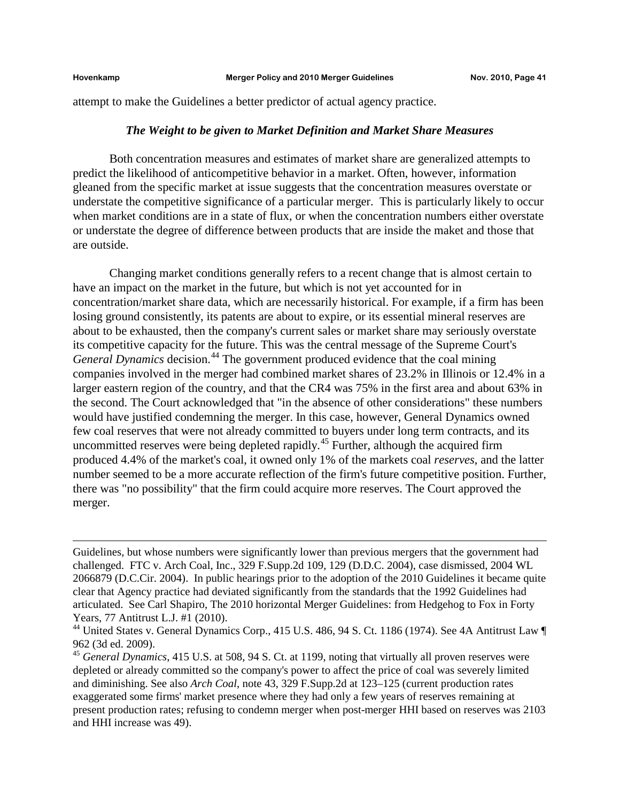$\overline{a}$ 

attempt to make the Guidelines a better predictor of actual agency practice.

## *The Weight to be given to Market Definition and Market Share Measures*

Both concentration measures and estimates of market share are generalized attempts to predict the likelihood of anticompetitive behavior in a market. Often, however, information gleaned from the specific market at issue suggests that the concentration measures overstate or understate the competitive significance of a particular merger. This is particularly likely to occur when market conditions are in a state of flux, or when the concentration numbers either overstate or understate the degree of difference between products that are inside the maket and those that are outside.

Changing market conditions generally refers to a recent change that is almost certain to have an impact on the market in the future, but which is not yet accounted for in concentration/market share data, which are necessarily historical. For example, if a firm has been losing ground consistently, its patents are about to expire, or its essential mineral reserves are about to be exhausted, then the company's current sales or market share may seriously overstate its competitive capacity for the future. This was the central message of the Supreme Court's *General Dynamics* decision.<sup>[44](#page-41-0)</sup> The government produced evidence that the coal mining companies involved in the merger had combined market shares of 23.2% in Illinois or 12.4% in a larger eastern region of the country, and that the CR4 was 75% in the first area and about 63% in the second. The Court acknowledged that "in the absence of other considerations" these numbers would have justified condemning the merger. In this case, however, General Dynamics owned few coal reserves that were not already committed to buyers under long term contracts, and its uncommitted reserves were being depleted rapidly.<sup>[45](#page-41-1)</sup> Further, although the acquired firm produced 4.4% of the market's coal, it owned only 1% of the markets coal *reserves*, and the latter number seemed to be a more accurate reflection of the firm's future competitive position. Further, there was "no possibility" that the firm could acquire more reserves. The Court approved the merger.

Guidelines, but whose numbers were significantly lower than previous mergers that the government had challenged. FTC v. Arch Coal, Inc., 329 F.Supp.2d 109, 129 (D.D.C. 2004), case dismissed, 2004 WL 2066879 (D.C.Cir. 2004). In public hearings prior to the adoption of the 2010 Guidelines it became quite clear that Agency practice had deviated significantly from the standards that the 1992 Guidelines had articulated. See Carl Shapiro, The 2010 horizontal Merger Guidelines: from Hedgehog to Fox in Forty Years, 77 Antitrust L.J. #1 (2010).

<span id="page-41-0"></span><sup>&</sup>lt;sup>44</sup> United States v. General Dynamics Corp., 415 U.S. 486, 94 S. Ct. 1186 (1974). See 4A Antitrust Law ¶ 962 (3d ed. 2009).

<span id="page-41-1"></span><sup>45</sup> *General Dynamics*, 415 U.S. at 508, 94 S. Ct. at 1199, noting that virtually all proven reserves were depleted or already committed so the company's power to affect the price of coal was severely limited and diminishing. See also *Arch Coal*, note 43, 329 F.Supp.2d at 123–125 (current production rates exaggerated some firms' market presence where they had only a few years of reserves remaining at present production rates; refusing to condemn merger when post-merger HHI based on reserves was 2103 and HHI increase was 49).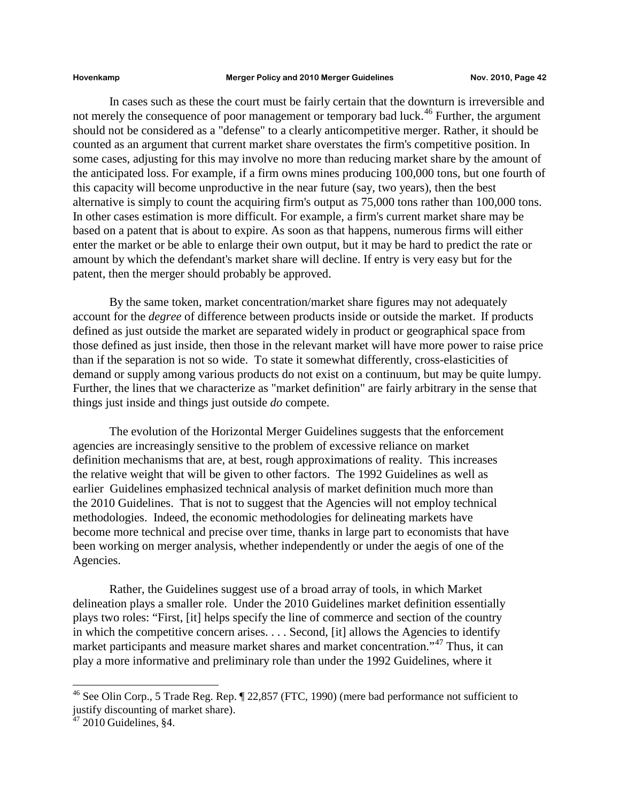In cases such as these the court must be fairly certain that the downturn is irreversible and not merely the consequence of poor management or temporary bad luck.<sup>[46](#page-42-0)</sup> Further, the argument should not be considered as a "defense" to a clearly anticompetitive merger. Rather, it should be counted as an argument that current market share overstates the firm's competitive position. In some cases, adjusting for this may involve no more than reducing market share by the amount of the anticipated loss. For example, if a firm owns mines producing 100,000 tons, but one fourth of this capacity will become unproductive in the near future (say, two years), then the best alternative is simply to count the acquiring firm's output as 75,000 tons rather than 100,000 tons. In other cases estimation is more difficult. For example, a firm's current market share may be based on a patent that is about to expire. As soon as that happens, numerous firms will either enter the market or be able to enlarge their own output, but it may be hard to predict the rate or amount by which the defendant's market share will decline. If entry is very easy but for the patent, then the merger should probably be approved.

By the same token, market concentration/market share figures may not adequately account for the *degree* of difference between products inside or outside the market. If products defined as just outside the market are separated widely in product or geographical space from those defined as just inside, then those in the relevant market will have more power to raise price than if the separation is not so wide. To state it somewhat differently, cross-elasticities of demand or supply among various products do not exist on a continuum, but may be quite lumpy. Further, the lines that we characterize as "market definition" are fairly arbitrary in the sense that things just inside and things just outside *do* compete.

The evolution of the Horizontal Merger Guidelines suggests that the enforcement agencies are increasingly sensitive to the problem of excessive reliance on market definition mechanisms that are, at best, rough approximations of reality. This increases the relative weight that will be given to other factors. The 1992 Guidelines as well as earlier Guidelines emphasized technical analysis of market definition much more than the 2010 Guidelines. That is not to suggest that the Agencies will not employ technical methodologies. Indeed, the economic methodologies for delineating markets have become more technical and precise over time, thanks in large part to economists that have been working on merger analysis, whether independently or under the aegis of one of the Agencies.

Rather, the Guidelines suggest use of a broad array of tools, in which Market delineation plays a smaller role. Under the 2010 Guidelines market definition essentially plays two roles: "First, [it] helps specify the line of commerce and section of the country in which the competitive concern arises. . . . Second, [it] allows the Agencies to identify market participants and measure market shares and market concentration."<sup>[47](#page-42-1)</sup> Thus, it can play a more informative and preliminary role than under the 1992 Guidelines, where it

<span id="page-42-0"></span><sup>&</sup>lt;sup>46</sup> See Olin Corp., 5 Trade Reg. Rep. ¶ 22,857 (FTC, 1990) (mere bad performance not sufficient to justify discounting of market share).

<span id="page-42-1"></span> $47$  2010 Guidelines, §4.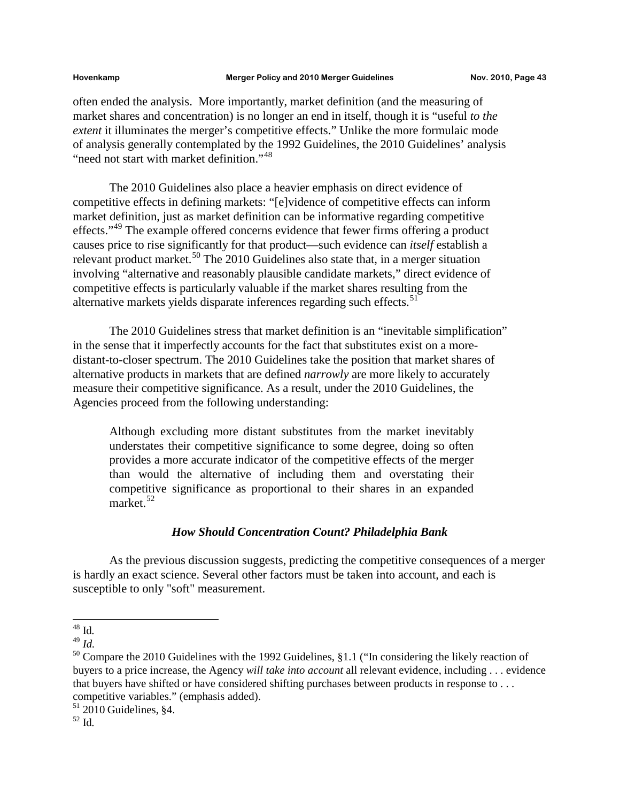often ended the analysis. More importantly, market definition (and the measuring of market shares and concentration) is no longer an end in itself, though it is "useful *to the extent* it illuminates the merger's competitive effects." Unlike the more formulaic mode of analysis generally contemplated by the 1992 Guidelines, the 2010 Guidelines' analysis "need not start with market definition."<sup>[48](#page-43-0)</sup>

The 2010 Guidelines also place a heavier emphasis on direct evidence of competitive effects in defining markets: "[e]vidence of competitive effects can inform market definition, just as market definition can be informative regarding competitive effects."<sup>[49](#page-43-1)</sup> The example offered concerns evidence that fewer firms offering a product causes price to rise significantly for that product—such evidence can *itself* establish a relevant product market.<sup>[50](#page-43-2)</sup> The 2010 Guidelines also state that, in a merger situation involving "alternative and reasonably plausible candidate markets," direct evidence of competitive effects is particularly valuable if the market shares resulting from the alternative markets yields disparate inferences regarding such effects.<sup>[51](#page-43-3)</sup>

The 2010 Guidelines stress that market definition is an "inevitable simplification" in the sense that it imperfectly accounts for the fact that substitutes exist on a moredistant-to-closer spectrum. The 2010 Guidelines take the position that market shares of alternative products in markets that are defined *narrowly* are more likely to accurately measure their competitive significance. As a result, under the 2010 Guidelines, the Agencies proceed from the following understanding:

Although excluding more distant substitutes from the market inevitably understates their competitive significance to some degree, doing so often provides a more accurate indicator of the competitive effects of the merger than would the alternative of including them and overstating their competitive significance as proportional to their shares in an expanded market.<sup>[52](#page-43-4)</sup>

# *How Should Concentration Count? Philadelphia Bank*

As the previous discussion suggests, predicting the competitive consequences of a merger is hardly an exact science. Several other factors must be taken into account, and each is susceptible to only "soft" measurement.

<span id="page-43-3"></span> $51$  2010 Guidelines, §4.

<span id="page-43-0"></span> <sup>48</sup> Id*.*

<span id="page-43-1"></span><sup>49</sup> *Id.*

<span id="page-43-2"></span><sup>&</sup>lt;sup>50</sup> Compare the 2010 Guidelines with the 1992 Guidelines, §1.1 ("In considering the likely reaction of buyers to a price increase, the Agency *will take into account* all relevant evidence, including . . . evidence that buyers have shifted or have considered shifting purchases between products in response to . . . competitive variables." (emphasis added).

<span id="page-43-4"></span><sup>52</sup> Id*.*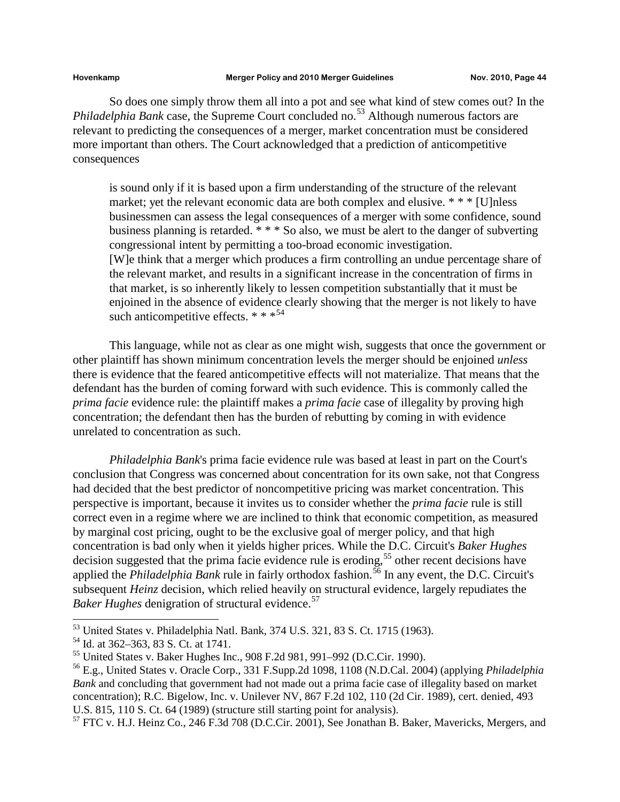So does one simply throw them all into a pot and see what kind of stew comes out? In the *Philadelphia Bank* case, the Supreme Court concluded no.<sup>[53](#page-44-0)</sup> Although numerous factors are relevant to predicting the consequences of a merger, market concentration must be considered more important than others. The Court acknowledged that a prediction of anticompetitive consequences

is sound only if it is based upon a firm understanding of the structure of the relevant market; yet the relevant economic data are both complex and elusive. \* \* \* [U]nless businessmen can assess the legal consequences of a merger with some confidence, sound business planning is retarded. \* \* \* So also, we must be alert to the danger of subverting congressional intent by permitting a too-broad economic investigation. [W]e think that a merger which produces a firm controlling an undue percentage share of the relevant market, and results in a significant increase in the concentration of firms in that market, is so inherently likely to lessen competition substantially that it must be enjoined in the absence of evidence clearly showing that the merger is not likely to have such anticompetitive effects.  $* * *54$  $* * *54$ 

This language, while not as clear as one might wish, suggests that once the government or other plaintiff has shown minimum concentration levels the merger should be enjoined *unless* there is evidence that the feared anticompetitive effects will not materialize. That means that the defendant has the burden of coming forward with such evidence. This is commonly called the *prima facie* evidence rule: the plaintiff makes a *prima facie* case of illegality by proving high concentration; the defendant then has the burden of rebutting by coming in with evidence unrelated to concentration as such.

*Philadelphia Bank*'s prima facie evidence rule was based at least in part on the Court's conclusion that Congress was concerned about concentration for its own sake, not that Congress had decided that the best predictor of noncompetitive pricing was market concentration. This perspective is important, because it invites us to consider whether the *prima facie* rule is still correct even in a regime where we are inclined to think that economic competition, as measured by marginal cost pricing, ought to be the exclusive goal of merger policy, and that high concentration is bad only when it yields higher prices. While the D.C. Circuit's *Baker Hughes* decision suggested that the prima facie evidence rule is eroding,<sup>[55](#page-44-2)</sup> other recent decisions have applied the *Philadelphia Bank* rule in fairly orthodox fashion.<sup>[56](#page-44-3)</sup> In any event, the D.C. Circuit's subsequent *Heinz* decision, which relied heavily on structural evidence, largely repudiates the *Baker Hughes* denigration of structural evidence.<sup>[57](#page-44-4)</sup>

<span id="page-44-0"></span> <sup>53</sup> United States v. Philadelphia Natl. Bank, 374 U.S. 321, 83 S. Ct. 1715 (1963).

<span id="page-44-1"></span><sup>54</sup> Id. at 362–363, 83 S. Ct. at 1741.

<span id="page-44-2"></span><sup>55</sup> United States v. Baker Hughes Inc., 908 F.2d 981, 991–992 (D.C.Cir. 1990).

<span id="page-44-3"></span><sup>56</sup> E.g., United States v. Oracle Corp., 331 F.Supp.2d 1098, 1108 (N.D.Cal. 2004) (applying *Philadelphia Bank* and concluding that government had not made out a prima facie case of illegality based on market concentration); R.C. Bigelow, Inc. v. Unilever NV, 867 F.2d 102, 110 (2d Cir. 1989), cert. denied, 493 U.S. 815, 110 S. Ct. 64 (1989) (structure still starting point for analysis).

<span id="page-44-4"></span><sup>57</sup> FTC v. H.J. Heinz Co., 246 F.3d 708 (D.C.Cir. 2001), See Jonathan B. Baker, Mavericks, Mergers, and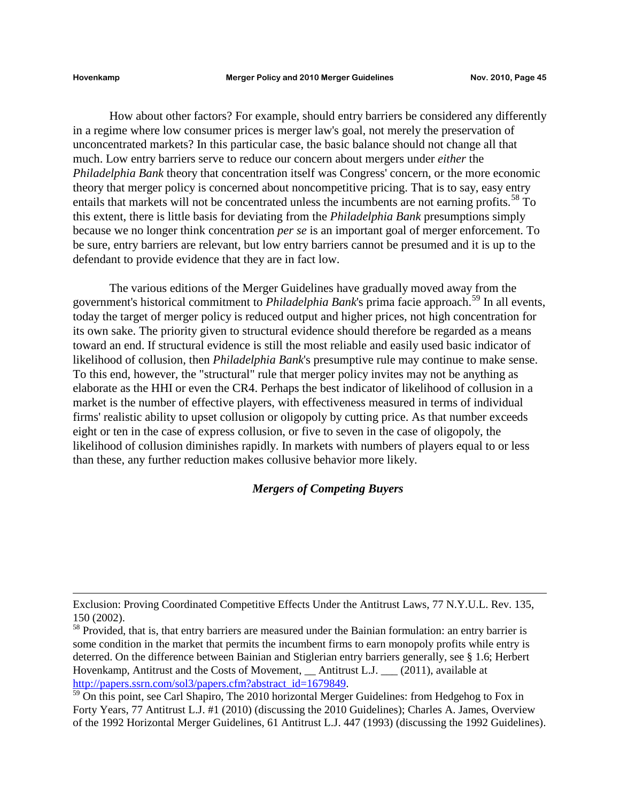$\overline{a}$ 

How about other factors? For example, should entry barriers be considered any differently in a regime where low consumer prices is merger law's goal, not merely the preservation of unconcentrated markets? In this particular case, the basic balance should not change all that much. Low entry barriers serve to reduce our concern about mergers under *either* the *Philadelphia Bank* theory that concentration itself was Congress' concern, or the more economic theory that merger policy is concerned about noncompetitive pricing. That is to say, easy entry entails that markets will not be concentrated unless the incumbents are not earning profits.<sup>[58](#page-45-0)</sup> To this extent, there is little basis for deviating from the *Philadelphia Bank* presumptions simply because we no longer think concentration *per se* is an important goal of merger enforcement. To be sure, entry barriers are relevant, but low entry barriers cannot be presumed and it is up to the defendant to provide evidence that they are in fact low.

The various editions of the Merger Guidelines have gradually moved away from the government's historical commitment to *Philadelphia Bank's* prima facie approach.<sup>[59](#page-45-1)</sup> In all events, today the target of merger policy is reduced output and higher prices, not high concentration for its own sake. The priority given to structural evidence should therefore be regarded as a means toward an end. If structural evidence is still the most reliable and easily used basic indicator of likelihood of collusion, then *Philadelphia Bank*'s presumptive rule may continue to make sense. To this end, however, the "structural" rule that merger policy invites may not be anything as elaborate as the HHI or even the CR4. Perhaps the best indicator of likelihood of collusion in a market is the number of effective players, with effectiveness measured in terms of individual firms' realistic ability to upset collusion or oligopoly by cutting price. As that number exceeds eight or ten in the case of express collusion, or five to seven in the case of oligopoly, the likelihood of collusion diminishes rapidly. In markets with numbers of players equal to or less than these, any further reduction makes collusive behavior more likely.

## *Mergers of Competing Buyers*

Exclusion: Proving Coordinated Competitive Effects Under the Antitrust Laws, 77 N.Y.U.L. Rev. 135, 150 (2002).

<span id="page-45-0"></span><sup>&</sup>lt;sup>58</sup> Provided, that is, that entry barriers are measured under the Bainian formulation: an entry barrier is some condition in the market that permits the incumbent firms to earn monopoly profits while entry is deterred. On the difference between Bainian and Stiglerian entry barriers generally, see § 1.6; Herbert Hovenkamp, Antitrust and the Costs of Movement, Antitrust L.J. (2011), available at [http://papers.ssrn.com/sol3/papers.cfm?abstract\\_id=1679849.](http://papers.ssrn.com/sol3/papers.cfm?abstract_id=1679849)

<span id="page-45-1"></span><sup>&</sup>lt;sup>59</sup> On this point, see Carl Shapiro, The 2010 horizontal Merger Guidelines: from Hedgehog to Fox in Forty Years, 77 Antitrust L.J. #1 (2010) (discussing the 2010 Guidelines); Charles A. James, Overview of the 1992 Horizontal Merger Guidelines, 61 Antitrust L.J. 447 (1993) (discussing the 1992 Guidelines).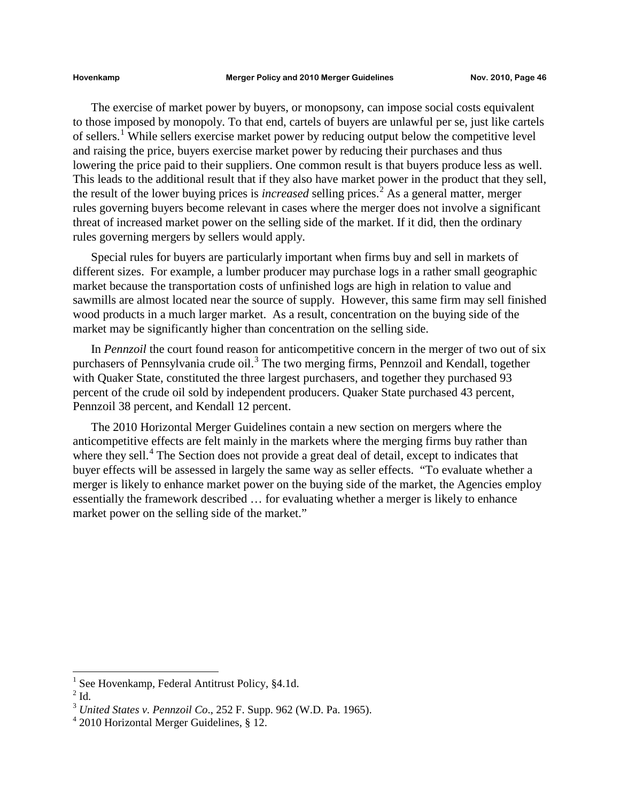The exercise of market power by buyers, or monopsony, can impose social costs equivalent to those imposed by monopoly. To that end, cartels of buyers are unlawful per se, just like cartels of sellers.[1](#page-46-0) While sellers exercise market power by reducing output below the competitive level and raising the price, buyers exercise market power by reducing their purchases and thus lowering the price paid to their suppliers. One common result is that buyers produce less as well. This leads to the additional result that if they also have market power in the product that they sell, the result of the lower buying prices is *increased* selling prices.<sup>[2](#page-46-1)</sup> As a general matter, merger rules governing buyers become relevant in cases where the merger does not involve a significant threat of increased market power on the selling side of the market. If it did, then the ordinary rules governing mergers by sellers would apply.

Special rules for buyers are particularly important when firms buy and sell in markets of different sizes. For example, a lumber producer may purchase logs in a rather small geographic market because the transportation costs of unfinished logs are high in relation to value and sawmills are almost located near the source of supply. However, this same firm may sell finished wood products in a much larger market. As a result, concentration on the buying side of the market may be significantly higher than concentration on the selling side.

In *Pennzoil* the court found reason for anticompetitive concern in the merger of two out of six purchasers of Pennsylvania crude oil.<sup>[3](#page-46-2)</sup> The two merging firms, Pennzoil and Kendall, together with Quaker State, constituted the three largest purchasers, and together they purchased 93 percent of the crude oil sold by independent producers. Quaker State purchased 43 percent, Pennzoil 38 percent, and Kendall 12 percent.

The 2010 Horizontal Merger Guidelines contain a new section on mergers where the anticompetitive effects are felt mainly in the markets where the merging firms buy rather than where they sell.<sup>[4](#page-46-3)</sup> The Section does not provide a great deal of detail, except to indicates that buyer effects will be assessed in largely the same way as seller effects. "To evaluate whether a merger is likely to enhance market power on the buying side of the market, the Agencies employ essentially the framework described … for evaluating whether a merger is likely to enhance market power on the selling side of the market."

<span id="page-46-0"></span>See Hovenkamp, Federal Antitrust Policy, §4.1d.

<span id="page-46-1"></span> $^{2}$  Id.

<span id="page-46-2"></span><sup>3</sup> *United States v. Pennzoil Co*., 252 F. Supp. 962 (W.D. Pa. 1965).

<span id="page-46-3"></span><sup>4</sup> 2010 Horizontal Merger Guidelines, § 12.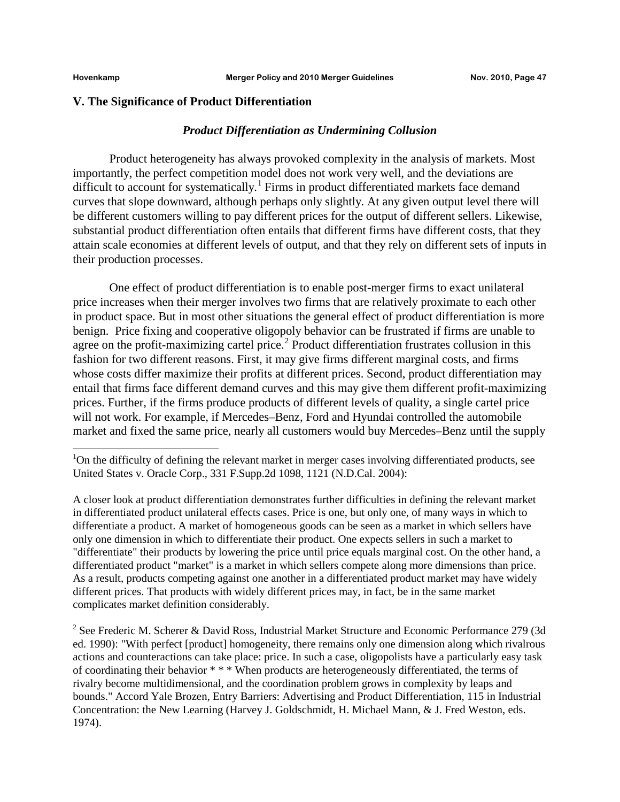## **V. The Significance of Product Differentiation**

## *Product Differentiation as Undermining Collusion*

Product heterogeneity has always provoked complexity in the analysis of markets. Most importantly, the perfect competition model does not work very well, and the deviations are difficult to account for systematically.<sup>[1](#page-47-0)</sup> Firms in product differentiated markets face demand curves that slope downward, although perhaps only slightly. At any given output level there will be different customers willing to pay different prices for the output of different sellers. Likewise, substantial product differentiation often entails that different firms have different costs, that they attain scale economies at different levels of output, and that they rely on different sets of inputs in their production processes.

One effect of product differentiation is to enable post-merger firms to exact unilateral price increases when their merger involves two firms that are relatively proximate to each other in product space. But in most other situations the general effect of product differentiation is more benign. Price fixing and cooperative oligopoly behavior can be frustrated if firms are unable to agree on the profit-maximizing cartel price.<sup>[2](#page-47-1)</sup> Product differentiation frustrates collusion in this fashion for two different reasons. First, it may give firms different marginal costs, and firms whose costs differ maximize their profits at different prices. Second, product differentiation may entail that firms face different demand curves and this may give them different profit-maximizing prices. Further, if the firms produce products of different levels of quality, a single cartel price will not work. For example, if Mercedes–Benz, Ford and Hyundai controlled the automobile market and fixed the same price, nearly all customers would buy Mercedes–Benz until the supply

A closer look at product differentiation demonstrates further difficulties in defining the relevant market in differentiated product unilateral effects cases. Price is one, but only one, of many ways in which to differentiate a product. A market of homogeneous goods can be seen as a market in which sellers have only one dimension in which to differentiate their product. One expects sellers in such a market to "differentiate" their products by lowering the price until price equals marginal cost. On the other hand, a differentiated product "market" is a market in which sellers compete along more dimensions than price. As a result, products competing against one another in a differentiated product market may have widely different prices. That products with widely different prices may, in fact, be in the same market complicates market definition considerably.

<span id="page-47-1"></span><sup>2</sup> See Frederic M. Scherer & David Ross, Industrial Market Structure and Economic Performance 279 (3d ed. 1990): "With perfect [product] homogeneity, there remains only one dimension along which rivalrous actions and counteractions can take place: price. In such a case, oligopolists have a particularly easy task of coordinating their behavior \* \* \* When products are heterogeneously differentiated, the terms of rivalry become multidimensional, and the coordination problem grows in complexity by leaps and bounds." Accord Yale Brozen, Entry Barriers: Advertising and Product Differentiation, 115 in Industrial Concentration: the New Learning (Harvey J. Goldschmidt, H. Michael Mann, & J. Fred Weston, eds. 1974).

<span id="page-47-0"></span><sup>&</sup>lt;sup>1</sup>On the difficulty of defining the relevant market in merger cases involving differentiated products, see United States v. Oracle Corp., 331 F.Supp.2d 1098, 1121 (N.D.Cal. 2004):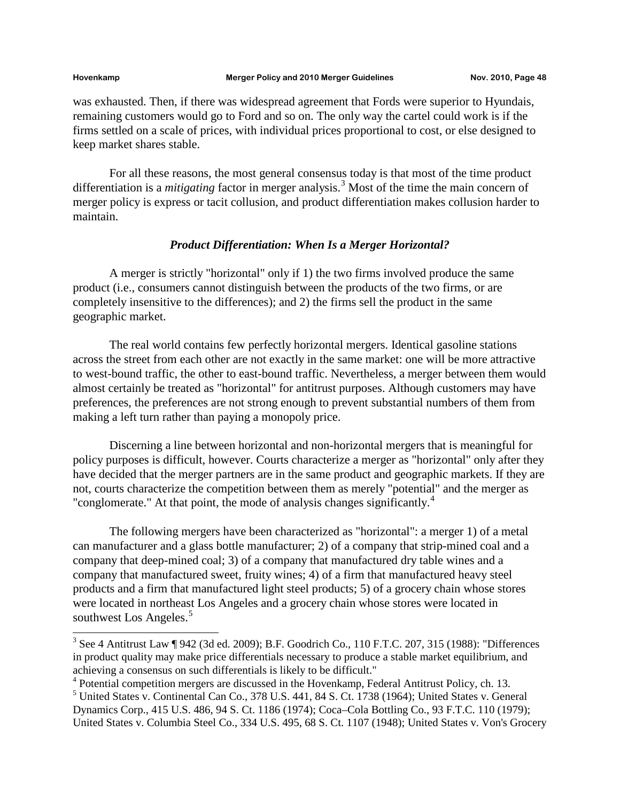was exhausted. Then, if there was widespread agreement that Fords were superior to Hyundais, remaining customers would go to Ford and so on. The only way the cartel could work is if the firms settled on a scale of prices, with individual prices proportional to cost, or else designed to keep market shares stable.

For all these reasons, the most general consensus today is that most of the time product differentiation is a *mitigating* factor in merger analysis.<sup>[3](#page-48-0)</sup> Most of the time the main concern of merger policy is express or tacit collusion, and product differentiation makes collusion harder to maintain.

# *Product Differentiation: When Is a Merger Horizontal?*

A merger is strictly "horizontal" only if 1) the two firms involved produce the same product (i.e., consumers cannot distinguish between the products of the two firms, or are completely insensitive to the differences); and 2) the firms sell the product in the same geographic market.

The real world contains few perfectly horizontal mergers. Identical gasoline stations across the street from each other are not exactly in the same market: one will be more attractive to west-bound traffic, the other to east-bound traffic. Nevertheless, a merger between them would almost certainly be treated as "horizontal" for antitrust purposes. Although customers may have preferences, the preferences are not strong enough to prevent substantial numbers of them from making a left turn rather than paying a monopoly price.

Discerning a line between horizontal and non-horizontal mergers that is meaningful for policy purposes is difficult, however. Courts characterize a merger as "horizontal" only after they have decided that the merger partners are in the same product and geographic markets. If they are not, courts characterize the competition between them as merely "potential" and the merger as "conglomerate." At that point, the mode of analysis changes significantly.<sup>[4](#page-48-1)</sup>

The following mergers have been characterized as "horizontal": a merger 1) of a metal can manufacturer and a glass bottle manufacturer; 2) of a company that strip-mined coal and a company that deep-mined coal; 3) of a company that manufactured dry table wines and a company that manufactured sweet, fruity wines; 4) of a firm that manufactured heavy steel products and a firm that manufactured light steel products; 5) of a grocery chain whose stores were located in northeast Los Angeles and a grocery chain whose stores were located in southwest Los Angeles.<sup>[5](#page-48-2)</sup>

<span id="page-48-0"></span> <sup>3</sup> See 4 Antitrust Law ¶ 942 (3d ed. 2009); B.F. Goodrich Co., 110 F.T.C. 207, 315 (1988): "Differences in product quality may make price differentials necessary to produce a stable market equilibrium, and achieving a consensus on such differentials is likely to be difficult."

<span id="page-48-1"></span><sup>&</sup>lt;sup>4</sup> Potential competition mergers are discussed in the Hovenkamp, Federal Antitrust Policy, ch. 13.

<span id="page-48-2"></span><sup>&</sup>lt;sup>5</sup> United States v. Continental Can Co., 378 U.S. 441, 84 S. Ct. 1738 (1964); United States v. General Dynamics Corp., 415 U.S. 486, 94 S. Ct. 1186 (1974); Coca–Cola Bottling Co., 93 F.T.C. 110 (1979); United States v. Columbia Steel Co., 334 U.S. 495, 68 S. Ct. 1107 (1948); United States v. Von's Grocery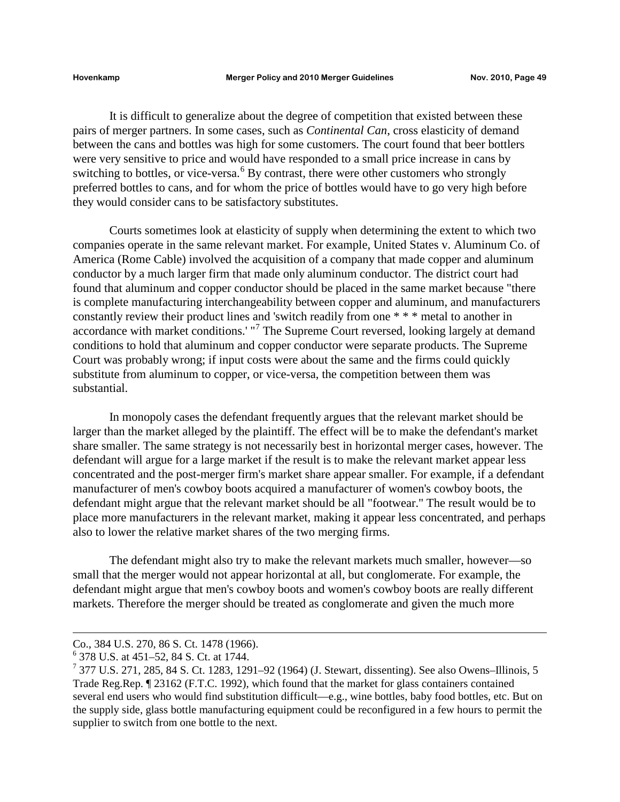It is difficult to generalize about the degree of competition that existed between these pairs of merger partners. In some cases, such as *Continental Can*, cross elasticity of demand between the cans and bottles was high for some customers. The court found that beer bottlers were very sensitive to price and would have responded to a small price increase in cans by switching to bottles, or vice-versa.<sup>[6](#page-49-0)</sup> By contrast, there were other customers who strongly preferred bottles to cans, and for whom the price of bottles would have to go very high before they would consider cans to be satisfactory substitutes.

Courts sometimes look at elasticity of supply when determining the extent to which two companies operate in the same relevant market. For example, United States v. Aluminum Co. of America (Rome Cable) involved the acquisition of a company that made copper and aluminum conductor by a much larger firm that made only aluminum conductor. The district court had found that aluminum and copper conductor should be placed in the same market because "there is complete manufacturing interchangeability between copper and aluminum, and manufacturers constantly review their product lines and 'switch readily from one \* \* \* metal to another in accordance with market conditions.' "[7](#page-49-1) The Supreme Court reversed, looking largely at demand conditions to hold that aluminum and copper conductor were separate products. The Supreme Court was probably wrong; if input costs were about the same and the firms could quickly substitute from aluminum to copper, or vice-versa, the competition between them was substantial.

In monopoly cases the defendant frequently argues that the relevant market should be larger than the market alleged by the plaintiff. The effect will be to make the defendant's market share smaller. The same strategy is not necessarily best in horizontal merger cases, however. The defendant will argue for a large market if the result is to make the relevant market appear less concentrated and the post-merger firm's market share appear smaller. For example, if a defendant manufacturer of men's cowboy boots acquired a manufacturer of women's cowboy boots, the defendant might argue that the relevant market should be all "footwear." The result would be to place more manufacturers in the relevant market, making it appear less concentrated, and perhaps also to lower the relative market shares of the two merging firms.

The defendant might also try to make the relevant markets much smaller, however—so small that the merger would not appear horizontal at all, but conglomerate. For example, the defendant might argue that men's cowboy boots and women's cowboy boots are really different markets. Therefore the merger should be treated as conglomerate and given the much more

 $\overline{a}$ 

Co., 384 U.S. 270, 86 S. Ct. 1478 (1966).

<span id="page-49-0"></span><sup>6</sup> 378 U.S. at 451–52, 84 S. Ct. at 1744.

<span id="page-49-1"></span> $7\,377$  U.S. 271, 285, 84 S. Ct. 1283, 1291–92 (1964) (J. Stewart, dissenting). See also Owens–Illinois, 5 Trade Reg.Rep. ¶ 23162 (F.T.C. 1992), which found that the market for glass containers contained several end users who would find substitution difficult—e.g., wine bottles, baby food bottles, etc. But on the supply side, glass bottle manufacturing equipment could be reconfigured in a few hours to permit the supplier to switch from one bottle to the next.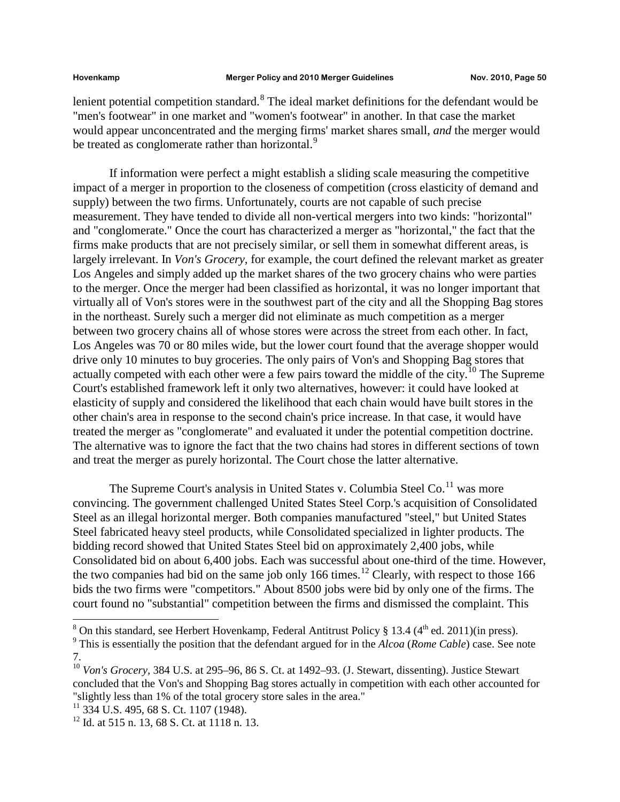lenient potential competition standard.<sup>[8](#page-50-0)</sup> The ideal market definitions for the defendant would be "men's footwear" in one market and "women's footwear" in another. In that case the market would appear unconcentrated and the merging firms' market shares small, *and* the merger would be treated as conglomerate rather than horizontal.<sup>[9](#page-50-1)</sup>

If information were perfect a might establish a sliding scale measuring the competitive impact of a merger in proportion to the closeness of competition (cross elasticity of demand and supply) between the two firms. Unfortunately, courts are not capable of such precise measurement. They have tended to divide all non-vertical mergers into two kinds: "horizontal" and "conglomerate." Once the court has characterized a merger as "horizontal," the fact that the firms make products that are not precisely similar, or sell them in somewhat different areas, is largely irrelevant. In *Von's Grocery*, for example, the court defined the relevant market as greater Los Angeles and simply added up the market shares of the two grocery chains who were parties to the merger. Once the merger had been classified as horizontal, it was no longer important that virtually all of Von's stores were in the southwest part of the city and all the Shopping Bag stores in the northeast. Surely such a merger did not eliminate as much competition as a merger between two grocery chains all of whose stores were across the street from each other. In fact, Los Angeles was 70 or 80 miles wide, but the lower court found that the average shopper would drive only 10 minutes to buy groceries. The only pairs of Von's and Shopping Bag stores that actually competed with each other were a few pairs toward the middle of the city.<sup>[10](#page-50-2)</sup> The Supreme Court's established framework left it only two alternatives, however: it could have looked at elasticity of supply and considered the likelihood that each chain would have built stores in the other chain's area in response to the second chain's price increase. In that case, it would have treated the merger as "conglomerate" and evaluated it under the potential competition doctrine. The alternative was to ignore the fact that the two chains had stores in different sections of town and treat the merger as purely horizontal. The Court chose the latter alternative.

The Supreme Court's analysis in United States v. Columbia Steel Co.<sup>[11](#page-50-3)</sup> was more convincing. The government challenged United States Steel Corp.'s acquisition of Consolidated Steel as an illegal horizontal merger. Both companies manufactured "steel," but United States Steel fabricated heavy steel products, while Consolidated specialized in lighter products. The bidding record showed that United States Steel bid on approximately 2,400 jobs, while Consolidated bid on about 6,400 jobs. Each was successful about one-third of the time. However, the two companies had bid on the same job only 166 times.<sup>[12](#page-50-4)</sup> Clearly, with respect to those 166 bids the two firms were "competitors." About 8500 jobs were bid by only one of the firms. The court found no "substantial" competition between the firms and dismissed the complaint. This

<span id="page-50-1"></span><span id="page-50-0"></span><sup>&</sup>lt;sup>8</sup> On this standard, see Herbert Hovenkamp, Federal Antitrust Policy § 13.4 ( $4<sup>th</sup>$  ed. 2011)(in press). <sup>9</sup> This is essentially the position that the defendant argued for in the *Alcoa* (*Rome Cable*) case. See note 7.

<span id="page-50-2"></span><sup>10</sup> *Von's Grocery,* 384 U.S. at 295–96, 86 S. Ct. at 1492–93. (J. Stewart, dissenting). Justice Stewart concluded that the Von's and Shopping Bag stores actually in competition with each other accounted for "slightly less than 1% of the total grocery store sales in the area."

<span id="page-50-3"></span> $11$  334 U.S. 495, 68 S. Ct. 1107 (1948).

<span id="page-50-4"></span><sup>12</sup> Id. at 515 n. 13, 68 S. Ct. at 1118 n. 13.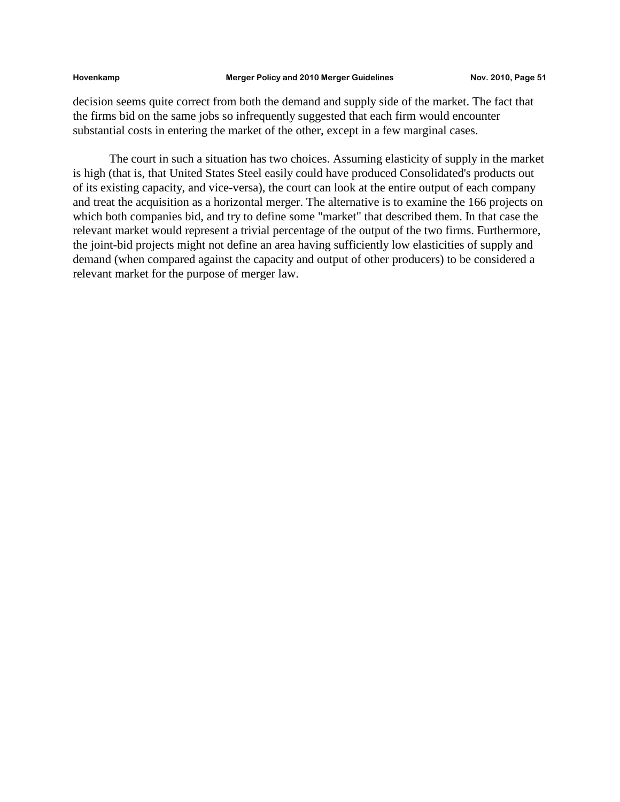decision seems quite correct from both the demand and supply side of the market. The fact that the firms bid on the same jobs so infrequently suggested that each firm would encounter substantial costs in entering the market of the other, except in a few marginal cases.

The court in such a situation has two choices. Assuming elasticity of supply in the market is high (that is, that United States Steel easily could have produced Consolidated's products out of its existing capacity, and vice-versa), the court can look at the entire output of each company and treat the acquisition as a horizontal merger. The alternative is to examine the 166 projects on which both companies bid, and try to define some "market" that described them. In that case the relevant market would represent a trivial percentage of the output of the two firms. Furthermore, the joint-bid projects might not define an area having sufficiently low elasticities of supply and demand (when compared against the capacity and output of other producers) to be considered a relevant market for the purpose of merger law.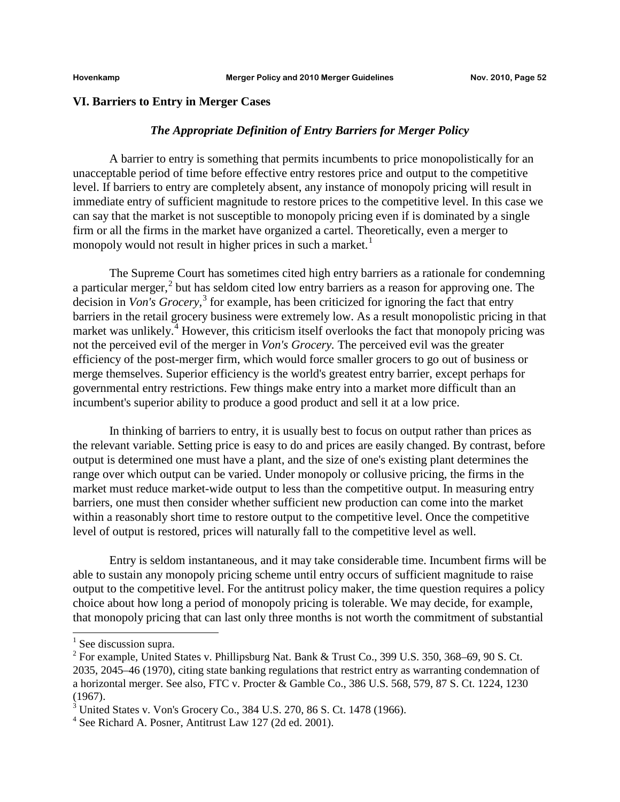## **VI. Barriers to Entry in Merger Cases**

## *The Appropriate Definition of Entry Barriers for Merger Policy*

A barrier to entry is something that permits incumbents to price monopolistically for an unacceptable period of time before effective entry restores price and output to the competitive level. If barriers to entry are completely absent, any instance of monopoly pricing will result in immediate entry of sufficient magnitude to restore prices to the competitive level. In this case we can say that the market is not susceptible to monopoly pricing even if is dominated by a single firm or all the firms in the market have organized a cartel. Theoretically, even a merger to monopoly would not result in higher prices in such a market.<sup>[1](#page-52-0)</sup>

The Supreme Court has sometimes cited high entry barriers as a rationale for condemning a particular merger,<sup>[2](#page-52-1)</sup> but has seldom cited low entry barriers as a reason for approving one. The decision in *Von's Grocery*,<sup>[3](#page-52-2)</sup> for example, has been criticized for ignoring the fact that entry barriers in the retail grocery business were extremely low. As a result monopolistic pricing in that market was unlikely.<sup>[4](#page-52-3)</sup> However, this criticism itself overlooks the fact that monopoly pricing was not the perceived evil of the merger in *Von's Grocery.* The perceived evil was the greater efficiency of the post-merger firm, which would force smaller grocers to go out of business or merge themselves. Superior efficiency is the world's greatest entry barrier, except perhaps for governmental entry restrictions. Few things make entry into a market more difficult than an incumbent's superior ability to produce a good product and sell it at a low price.

In thinking of barriers to entry, it is usually best to focus on output rather than prices as the relevant variable. Setting price is easy to do and prices are easily changed. By contrast, before output is determined one must have a plant, and the size of one's existing plant determines the range over which output can be varied. Under monopoly or collusive pricing, the firms in the market must reduce market-wide output to less than the competitive output. In measuring entry barriers, one must then consider whether sufficient new production can come into the market within a reasonably short time to restore output to the competitive level. Once the competitive level of output is restored, prices will naturally fall to the competitive level as well.

Entry is seldom instantaneous, and it may take considerable time. Incumbent firms will be able to sustain any monopoly pricing scheme until entry occurs of sufficient magnitude to raise output to the competitive level. For the antitrust policy maker, the time question requires a policy choice about how long a period of monopoly pricing is tolerable. We may decide, for example, that monopoly pricing that can last only three months is not worth the commitment of substantial

<span id="page-52-0"></span> $<sup>1</sup>$  See discussion supra.</sup>

<span id="page-52-1"></span><sup>&</sup>lt;sup>2</sup> For example, United States v. Phillipsburg Nat. Bank & Trust Co., 399 U.S. 350, 368–69, 90 S. Ct. 2035, 2045–46 (1970), citing state banking regulations that restrict entry as warranting condemnation of a horizontal merger. See also, FTC v. Procter & Gamble Co., 386 U.S. 568, 579, 87 S. Ct. 1224, 1230 (1967).

<span id="page-52-2"></span> $3 \text{ United States v. Von's Grocery Co., } 384 \text{ U.S. } 270, 86 \text{ S. Ct. } 1478 \text{ (1966).}$ 

<span id="page-52-3"></span> $4$  See Richard A. Posner, Antitrust Law 127 (2d ed. 2001).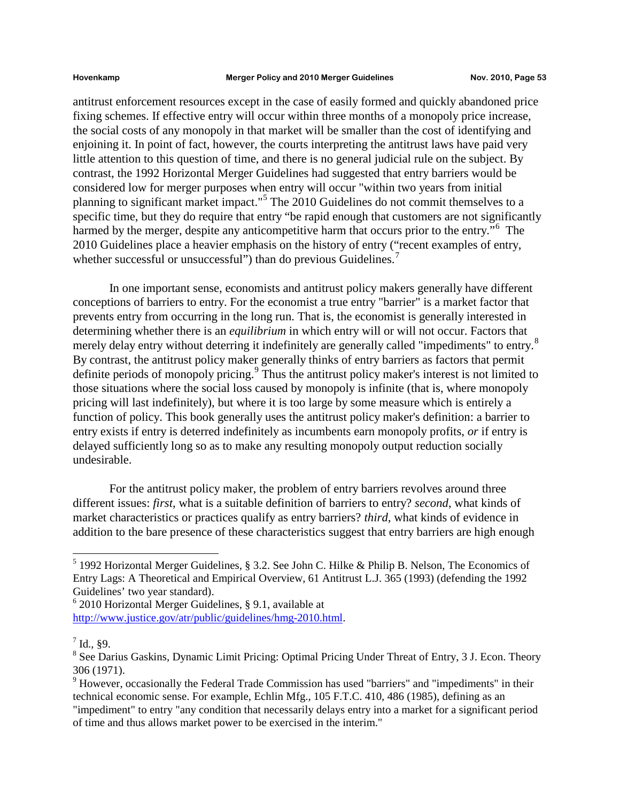antitrust enforcement resources except in the case of easily formed and quickly abandoned price fixing schemes. If effective entry will occur within three months of a monopoly price increase, the social costs of any monopoly in that market will be smaller than the cost of identifying and enjoining it. In point of fact, however, the courts interpreting the antitrust laws have paid very little attention to this question of time, and there is no general judicial rule on the subject. By contrast, the 1992 Horizontal Merger Guidelines had suggested that entry barriers would be considered low for merger purposes when entry will occur "within two years from initial planning to significant market impact."[5](#page-53-0) The 2010 Guidelines do not commit themselves to a specific time, but they do require that entry "be rapid enough that customers are not significantly harmed by the merger, despite any anticompetitive harm that occurs prior to the entry."<sup>[6](#page-53-1)</sup> The 2010 Guidelines place a heavier emphasis on the history of entry ("recent examples of entry, whether successful or unsuccessful") than do previous Guidelines.<sup>[7](#page-53-2)</sup>

In one important sense, economists and antitrust policy makers generally have different conceptions of barriers to entry. For the economist a true entry "barrier" is a market factor that prevents entry from occurring in the long run. That is, the economist is generally interested in determining whether there is an *equilibrium* in which entry will or will not occur. Factors that merely delay entry without deterring it indefinitely are generally called "impediments" to entry.<sup>[8](#page-53-3)</sup> By contrast, the antitrust policy maker generally thinks of entry barriers as factors that permit definite periods of monopoly pricing.<sup>[9](#page-53-4)</sup> Thus the antitrust policy maker's interest is not limited to those situations where the social loss caused by monopoly is infinite (that is, where monopoly pricing will last indefinitely), but where it is too large by some measure which is entirely a function of policy. This book generally uses the antitrust policy maker's definition: a barrier to entry exists if entry is deterred indefinitely as incumbents earn monopoly profits, *or* if entry is delayed sufficiently long so as to make any resulting monopoly output reduction socially undesirable.

For the antitrust policy maker, the problem of entry barriers revolves around three different issues: *first*, what is a suitable definition of barriers to entry? *second*, what kinds of market characteristics or practices qualify as entry barriers? *third*, what kinds of evidence in addition to the bare presence of these characteristics suggest that entry barriers are high enough

<span id="page-53-0"></span> <sup>5</sup> 1992 Horizontal Merger Guidelines, § 3.2. See John C. Hilke & Philip B. Nelson, The Economics of Entry Lags: A Theoretical and Empirical Overview, 61 Antitrust L.J. 365 (1993) (defending the 1992 Guidelines' two year standard).

<span id="page-53-1"></span><sup>6</sup> 2010 Horizontal Merger Guidelines, § 9.1, available at [http://www.justice.gov/atr/public/guidelines/hmg-2010.html.](http://www.justice.gov/atr/public/guidelines/hmg-2010.html)

<span id="page-53-2"></span> $^7$  Id., §9.

<span id="page-53-3"></span><sup>&</sup>lt;sup>8</sup> See Darius Gaskins, Dynamic Limit Pricing: Optimal Pricing Under Threat of Entry, 3 J. Econ. Theory 306 (1971).

<span id="page-53-4"></span><sup>&</sup>lt;sup>9</sup> However, occasionally the Federal Trade Commission has used "barriers" and "impediments" in their technical economic sense. For example, Echlin Mfg., 105 F.T.C. 410, 486 (1985), defining as an "impediment" to entry "any condition that necessarily delays entry into a market for a significant period of time and thus allows market power to be exercised in the interim."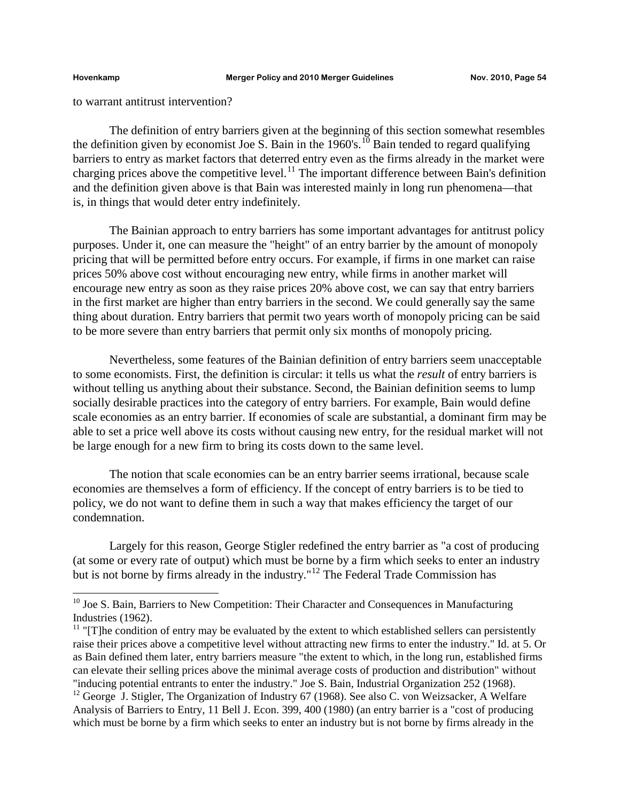to warrant antitrust intervention?

The definition of entry barriers given at the beginning of this section somewhat resembles the definition given by economist Joe S. Bain in the  $1960's$ .<sup>[10](#page-54-0)</sup> Bain tended to regard qualifying barriers to entry as market factors that deterred entry even as the firms already in the market were charging prices above the competitive level.<sup>[11](#page-54-1)</sup> The important difference between Bain's definition and the definition given above is that Bain was interested mainly in long run phenomena—that is, in things that would deter entry indefinitely.

The Bainian approach to entry barriers has some important advantages for antitrust policy purposes. Under it, one can measure the "height" of an entry barrier by the amount of monopoly pricing that will be permitted before entry occurs. For example, if firms in one market can raise prices 50% above cost without encouraging new entry, while firms in another market will encourage new entry as soon as they raise prices 20% above cost, we can say that entry barriers in the first market are higher than entry barriers in the second. We could generally say the same thing about duration. Entry barriers that permit two years worth of monopoly pricing can be said to be more severe than entry barriers that permit only six months of monopoly pricing.

Nevertheless, some features of the Bainian definition of entry barriers seem unacceptable to some economists. First, the definition is circular: it tells us what the *result* of entry barriers is without telling us anything about their substance. Second, the Bainian definition seems to lump socially desirable practices into the category of entry barriers. For example, Bain would define scale economies as an entry barrier. If economies of scale are substantial, a dominant firm may be able to set a price well above its costs without causing new entry, for the residual market will not be large enough for a new firm to bring its costs down to the same level.

The notion that scale economies can be an entry barrier seems irrational, because scale economies are themselves a form of efficiency. If the concept of entry barriers is to be tied to policy, we do not want to define them in such a way that makes efficiency the target of our condemnation.

Largely for this reason, George Stigler redefined the entry barrier as "a cost of producing (at some or every rate of output) which must be borne by a firm which seeks to enter an industry but is not borne by firms already in the industry."<sup>[12](#page-54-2)</sup> The Federal Trade Commission has

<span id="page-54-0"></span><sup>&</sup>lt;sup>10</sup> Joe S. Bain, Barriers to New Competition: Their Character and Consequences in Manufacturing Industries (1962).

<span id="page-54-1"></span> $11$  "[T]he condition of entry may be evaluated by the extent to which established sellers can persistently raise their prices above a competitive level without attracting new firms to enter the industry." Id. at 5. Or as Bain defined them later, entry barriers measure "the extent to which, in the long run, established firms can elevate their selling prices above the minimal average costs of production and distribution" without "inducing potential entrants to enter the industry." Joe S. Bain, Industrial Organization 252 (1968). <sup>12</sup> George J. Stigler, The Organization of Industry 67 (1968). See also C. von Weizsacker, A Welfare Analysis of Barriers to Entry, 11 Bell J. Econ. 399, 400 (1980) (an entry barrier is a "cost of producing

<span id="page-54-2"></span>which must be borne by a firm which seeks to enter an industry but is not borne by firms already in the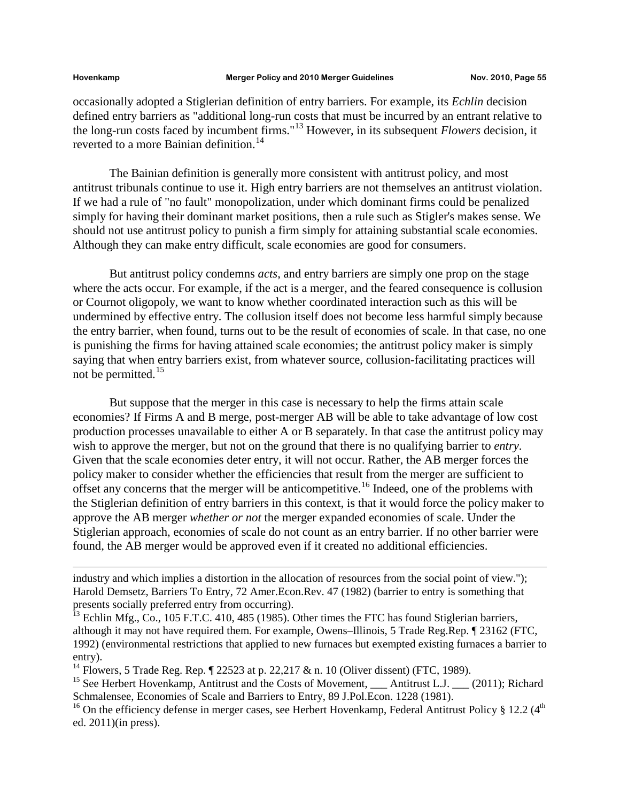$\overline{a}$ 

occasionally adopted a Stiglerian definition of entry barriers. For example, its *Echlin* decision defined entry barriers as "additional long-run costs that must be incurred by an entrant relative to the long-run costs faced by incumbent firms."[13](#page-55-0) However, in its subsequent *Flowers* decision, it reverted to a more Bainian definition.<sup>[14](#page-55-1)</sup>

The Bainian definition is generally more consistent with antitrust policy, and most antitrust tribunals continue to use it. High entry barriers are not themselves an antitrust violation. If we had a rule of "no fault" monopolization, under which dominant firms could be penalized simply for having their dominant market positions, then a rule such as Stigler's makes sense. We should not use antitrust policy to punish a firm simply for attaining substantial scale economies. Although they can make entry difficult, scale economies are good for consumers.

But antitrust policy condemns *acts*, and entry barriers are simply one prop on the stage where the acts occur. For example, if the act is a merger, and the feared consequence is collusion or Cournot oligopoly, we want to know whether coordinated interaction such as this will be undermined by effective entry. The collusion itself does not become less harmful simply because the entry barrier, when found, turns out to be the result of economies of scale. In that case, no one is punishing the firms for having attained scale economies; the antitrust policy maker is simply saying that when entry barriers exist, from whatever source, collusion-facilitating practices will not be permitted.[15](#page-55-2)

But suppose that the merger in this case is necessary to help the firms attain scale economies? If Firms A and B merge, post-merger AB will be able to take advantage of low cost production processes unavailable to either A or B separately. In that case the antitrust policy may wish to approve the merger, but not on the ground that there is no qualifying barrier to *entry*. Given that the scale economies deter entry, it will not occur. Rather, the AB merger forces the policy maker to consider whether the efficiencies that result from the merger are sufficient to offset any concerns that the merger will be anticompetitive.<sup>[16](#page-55-3)</sup> Indeed, one of the problems with the Stiglerian definition of entry barriers in this context, is that it would force the policy maker to approve the AB merger *whether or not* the merger expanded economies of scale. Under the Stiglerian approach, economies of scale do not count as an entry barrier. If no other barrier were found, the AB merger would be approved even if it created no additional efficiencies.

<span id="page-55-1"></span><sup>14</sup> Flowers, 5 Trade Reg. Rep.  $\sqrt{22523}$  at p. 22,217 & n. 10 (Oliver dissent) (FTC, 1989).

industry and which implies a distortion in the allocation of resources from the social point of view."); Harold Demsetz, Barriers To Entry, 72 Amer.Econ.Rev. 47 (1982) (barrier to entry is something that presents socially preferred entry from occurring).

<span id="page-55-0"></span><sup>&</sup>lt;sup>13</sup> Echlin Mfg., Co., 105 F.T.C. 410, 485 (1985). Other times the FTC has found Stiglerian barriers, although it may not have required them. For example, Owens–Illinois, 5 Trade Reg.Rep. ¶ 23162 (FTC, 1992) (environmental restrictions that applied to new furnaces but exempted existing furnaces a barrier to entry).

<span id="page-55-2"></span><sup>&</sup>lt;sup>15</sup> See Herbert Hovenkamp, Antitrust and the Costs of Movement,  $\_\_\_\$ Antitrust L.J.  $\_\_\_\_$  (2011); Richard Schmalensee, Economies of Scale and Barriers to Entry, 89 J.Pol.Econ. 1228 (1981).

<span id="page-55-3"></span><sup>&</sup>lt;sup>16</sup> On the efficiency defense in merger cases, see Herbert Hovenkamp, Federal Antitrust Policy § 12.2 ( $4<sup>th</sup>$ ed. 2011)(in press).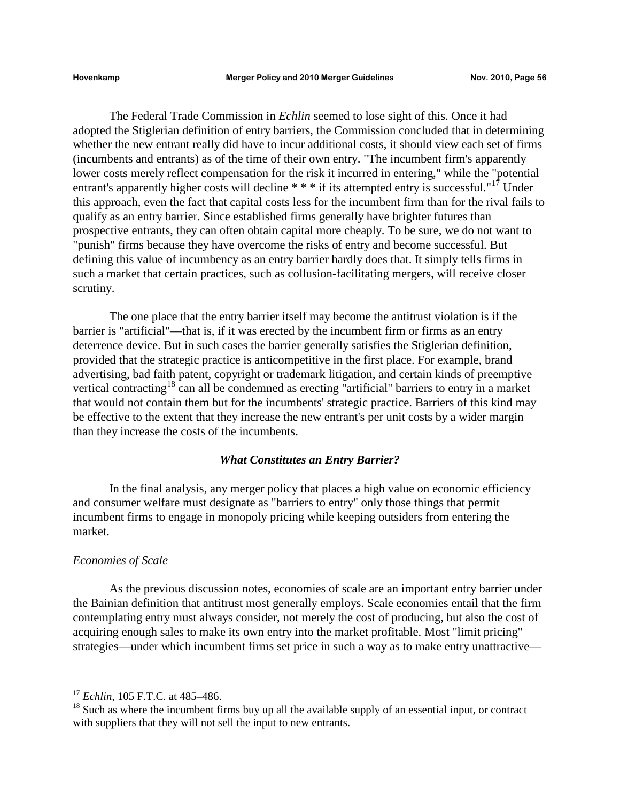The Federal Trade Commission in *Echlin* seemed to lose sight of this. Once it had adopted the Stiglerian definition of entry barriers, the Commission concluded that in determining whether the new entrant really did have to incur additional costs, it should view each set of firms (incumbents and entrants) as of the time of their own entry. "The incumbent firm's apparently lower costs merely reflect compensation for the risk it incurred in entering," while the "potential entrant's apparently higher costs will decline  $**$  \* if its attempted entry is successful."<sup>[17](#page-56-0)</sup> Under this approach, even the fact that capital costs less for the incumbent firm than for the rival fails to qualify as an entry barrier. Since established firms generally have brighter futures than prospective entrants, they can often obtain capital more cheaply. To be sure, we do not want to "punish" firms because they have overcome the risks of entry and become successful. But defining this value of incumbency as an entry barrier hardly does that. It simply tells firms in such a market that certain practices, such as collusion-facilitating mergers, will receive closer scrutiny.

The one place that the entry barrier itself may become the antitrust violation is if the barrier is "artificial"—that is, if it was erected by the incumbent firm or firms as an entry deterrence device. But in such cases the barrier generally satisfies the Stiglerian definition, provided that the strategic practice is anticompetitive in the first place. For example, brand advertising, bad faith patent, copyright or trademark litigation, and certain kinds of preemptive vertical contracting<sup>[18](#page-56-1)</sup> can all be condemned as erecting "artificial" barriers to entry in a market that would not contain them but for the incumbents' strategic practice. Barriers of this kind may be effective to the extent that they increase the new entrant's per unit costs by a wider margin than they increase the costs of the incumbents.

## *What Constitutes an Entry Barrier?*

In the final analysis, any merger policy that places a high value on economic efficiency and consumer welfare must designate as "barriers to entry" only those things that permit incumbent firms to engage in monopoly pricing while keeping outsiders from entering the market.

## *Economies of Scale*

As the previous discussion notes, economies of scale are an important entry barrier under the Bainian definition that antitrust most generally employs. Scale economies entail that the firm contemplating entry must always consider, not merely the cost of producing, but also the cost of acquiring enough sales to make its own entry into the market profitable. Most "limit pricing" strategies—under which incumbent firms set price in such a way as to make entry unattractive—

<span id="page-56-0"></span><sup>&</sup>lt;sup>17</sup> *Echlin*, 105 F.T.C. at 485–486.

<span id="page-56-1"></span> $18$  Such as where the incumbent firms buy up all the available supply of an essential input, or contract with suppliers that they will not sell the input to new entrants.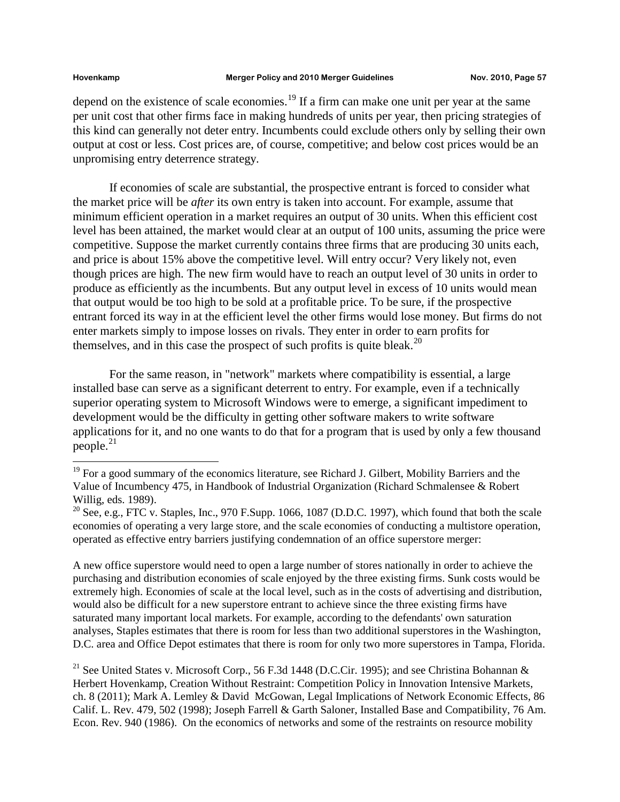depend on the existence of scale economies.<sup>[19](#page-57-0)</sup> If a firm can make one unit per year at the same per unit cost that other firms face in making hundreds of units per year, then pricing strategies of this kind can generally not deter entry. Incumbents could exclude others only by selling their own output at cost or less. Cost prices are, of course, competitive; and below cost prices would be an unpromising entry deterrence strategy.

If economies of scale are substantial, the prospective entrant is forced to consider what the market price will be *after* its own entry is taken into account. For example, assume that minimum efficient operation in a market requires an output of 30 units. When this efficient cost level has been attained, the market would clear at an output of 100 units, assuming the price were competitive. Suppose the market currently contains three firms that are producing 30 units each, and price is about 15% above the competitive level. Will entry occur? Very likely not, even though prices are high. The new firm would have to reach an output level of 30 units in order to produce as efficiently as the incumbents. But any output level in excess of 10 units would mean that output would be too high to be sold at a profitable price. To be sure, if the prospective entrant forced its way in at the efficient level the other firms would lose money. But firms do not enter markets simply to impose losses on rivals. They enter in order to earn profits for themselves, and in this case the prospect of such profits is quite bleak.<sup>[20](#page-57-1)</sup>

For the same reason, in "network" markets where compatibility is essential, a large installed base can serve as a significant deterrent to entry. For example, even if a technically superior operating system to Microsoft Windows were to emerge, a significant impediment to development would be the difficulty in getting other software makers to write software applications for it, and no one wants to do that for a program that is used by only a few thousand people. $^{21}$  $^{21}$  $^{21}$ 

A new office superstore would need to open a large number of stores nationally in order to achieve the purchasing and distribution economies of scale enjoyed by the three existing firms. Sunk costs would be extremely high. Economies of scale at the local level, such as in the costs of advertising and distribution, would also be difficult for a new superstore entrant to achieve since the three existing firms have saturated many important local markets. For example, according to the defendants' own saturation analyses, Staples estimates that there is room for less than two additional superstores in the Washington, D.C. area and Office Depot estimates that there is room for only two more superstores in Tampa, Florida.

<span id="page-57-2"></span><sup>21</sup> See United States v. Microsoft Corp., 56 F.3d 1448 (D.C.Cir. 1995); and see Christina Bohannan & Herbert Hovenkamp, Creation Without Restraint: Competition Policy in Innovation Intensive Markets, ch. 8 (2011); Mark A. Lemley & David McGowan, Legal Implications of Network Economic Effects, 86 Calif. L. Rev. 479, 502 (1998); Joseph Farrell & Garth Saloner, Installed Base and Compatibility, 76 Am. Econ. Rev. 940 (1986). On the economics of networks and some of the restraints on resource mobility

<span id="page-57-0"></span> $19$  For a good summary of the economics literature, see Richard J. Gilbert, Mobility Barriers and the Value of Incumbency 475, in Handbook of Industrial Organization (Richard Schmalensee & Robert Willig, eds. 1989).

<span id="page-57-1"></span><sup>&</sup>lt;sup>20</sup> See, e.g., FTC v. Staples, Inc., 970 F.Supp. 1066, 1087 (D.D.C. 1997), which found that both the scale economies of operating a very large store, and the scale economies of conducting a multistore operation, operated as effective entry barriers justifying condemnation of an office superstore merger: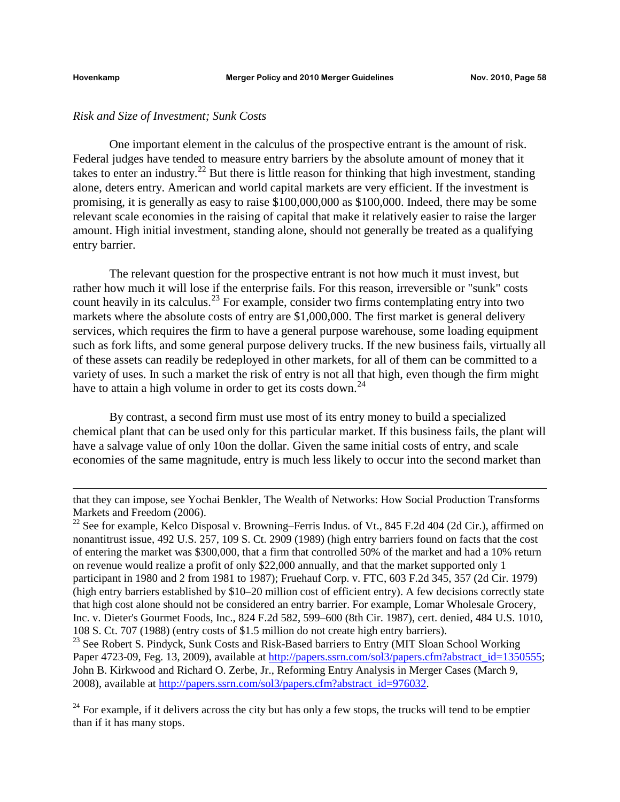$\overline{a}$ 

## *Risk and Size of Investment; Sunk Costs*

One important element in the calculus of the prospective entrant is the amount of risk. Federal judges have tended to measure entry barriers by the absolute amount of money that it takes to enter an industry.<sup>[22](#page-58-0)</sup> But there is little reason for thinking that high investment, standing alone, deters entry. American and world capital markets are very efficient. If the investment is promising, it is generally as easy to raise \$100,000,000 as \$100,000. Indeed, there may be some relevant scale economies in the raising of capital that make it relatively easier to raise the larger amount. High initial investment, standing alone, should not generally be treated as a qualifying entry barrier.

The relevant question for the prospective entrant is not how much it must invest, but rather how much it will lose if the enterprise fails. For this reason, irreversible or "sunk" costs count heavily in its calculus.<sup>[23](#page-58-1)</sup> For example, consider two firms contemplating entry into two markets where the absolute costs of entry are \$1,000,000. The first market is general delivery services, which requires the firm to have a general purpose warehouse, some loading equipment such as fork lifts, and some general purpose delivery trucks. If the new business fails, virtually all of these assets can readily be redeployed in other markets, for all of them can be committed to a variety of uses. In such a market the risk of entry is not all that high, even though the firm might have to attain a high volume in order to get its costs down.<sup>[24](#page-58-2)</sup>

By contrast, a second firm must use most of its entry money to build a specialized chemical plant that can be used only for this particular market. If this business fails, the plant will have a salvage value of only 10on the dollar. Given the same initial costs of entry, and scale economies of the same magnitude, entry is much less likely to occur into the second market than

<span id="page-58-0"></span><sup>22</sup> See for example, Kelco Disposal v. Browning–Ferris Indus. of Vt., 845 F.2d 404 (2d Cir.), affirmed on nonantitrust issue, 492 U.S. 257, 109 S. Ct. 2909 (1989) (high entry barriers found on facts that the cost of entering the market was \$300,000, that a firm that controlled 50% of the market and had a 10% return on revenue would realize a profit of only \$22,000 annually, and that the market supported only 1 participant in 1980 and 2 from 1981 to 1987); Fruehauf Corp. v. FTC, 603 F.2d 345, 357 (2d Cir. 1979) (high entry barriers established by \$10–20 million cost of efficient entry). A few decisions correctly state that high cost alone should not be considered an entry barrier. For example, Lomar Wholesale Grocery, Inc. v. Dieter's Gourmet Foods, Inc., 824 F.2d 582, 599–600 (8th Cir. 1987), cert. denied, 484 U.S. 1010, 108 S. Ct. 707 (1988) (entry costs of \$1.5 million do not create high entry barriers).

<span id="page-58-1"></span><sup>23</sup> See Robert S. Pindyck, Sunk Costs and Risk-Based barriers to Entry (MIT Sloan School Working Paper 4723-09, Feg. 13, 2009), available at [http://papers.ssrn.com/sol3/papers.cfm?abstract\\_id=1350555;](http://papers.ssrn.com/sol3/papers.cfm?abstract_id=1350555) John B. Kirkwood and Richard O. Zerbe, Jr., Reforming Entry Analysis in Merger Cases (March 9, 2008), available at [http://papers.ssrn.com/sol3/papers.cfm?abstract\\_id=976032.](http://papers.ssrn.com/sol3/papers.cfm?abstract_id=976032)

<span id="page-58-2"></span> $24$  For example, if it delivers across the city but has only a few stops, the trucks will tend to be emptier than if it has many stops.

that they can impose, see Yochai Benkler, The Wealth of Networks: How Social Production Transforms Markets and Freedom (2006).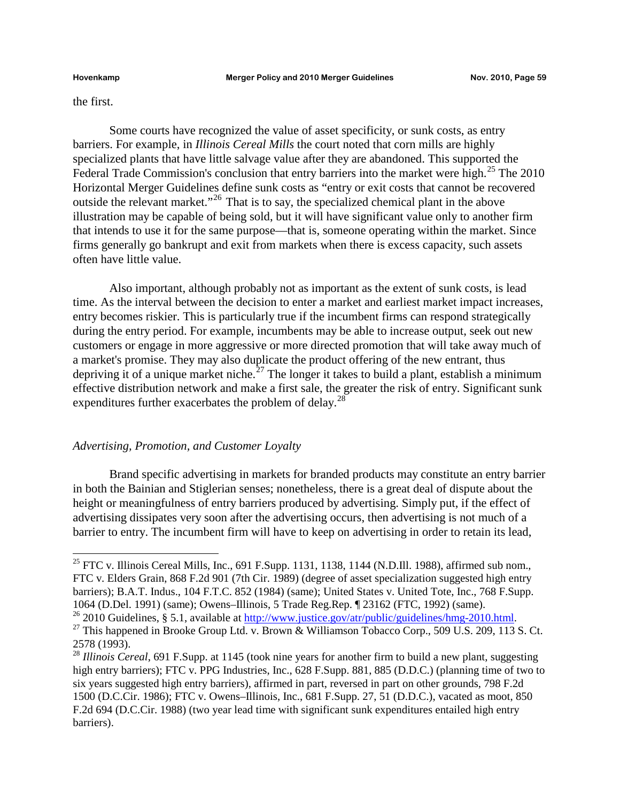the first.

Some courts have recognized the value of asset specificity, or sunk costs, as entry barriers. For example, in *Illinois Cereal Mills* the court noted that corn mills are highly specialized plants that have little salvage value after they are abandoned. This supported the Federal Trade Commission's conclusion that entry barriers into the market were high.<sup>[25](#page-59-0)</sup> The 2010 Horizontal Merger Guidelines define sunk costs as "entry or exit costs that cannot be recovered outside the relevant market."[26](#page-59-1) That is to say, the specialized chemical plant in the above illustration may be capable of being sold, but it will have significant value only to another firm that intends to use it for the same purpose—that is, someone operating within the market. Since firms generally go bankrupt and exit from markets when there is excess capacity, such assets often have little value.

Also important, although probably not as important as the extent of sunk costs, is lead time. As the interval between the decision to enter a market and earliest market impact increases, entry becomes riskier. This is particularly true if the incumbent firms can respond strategically during the entry period. For example, incumbents may be able to increase output, seek out new customers or engage in more aggressive or more directed promotion that will take away much of a market's promise. They may also duplicate the product offering of the new entrant, thus depriving it of a unique market niche.<sup>[27](#page-59-2)</sup> The longer it takes to build a plant, establish a minimum effective distribution network and make a first sale, the greater the risk of entry. Significant sunk expenditures further exacerbates the problem of delay.<sup>[28](#page-59-3)</sup>

## *Advertising, Promotion, and Customer Loyalty*

Brand specific advertising in markets for branded products may constitute an entry barrier in both the Bainian and Stiglerian senses; nonetheless, there is a great deal of dispute about the height or meaningfulness of entry barriers produced by advertising. Simply put, if the effect of advertising dissipates very soon after the advertising occurs, then advertising is not much of a barrier to entry. The incumbent firm will have to keep on advertising in order to retain its lead,

<span id="page-59-0"></span><sup>&</sup>lt;sup>25</sup> FTC v. Illinois Cereal Mills, Inc., 691 F.Supp. 1131, 1138, 1144 (N.D.Ill. 1988), affirmed sub nom., FTC v. Elders Grain, 868 F.2d 901 (7th Cir. 1989) (degree of asset specialization suggested high entry barriers); B.A.T. Indus., 104 F.T.C. 852 (1984) (same); United States v. United Tote, Inc., 768 F.Supp. 1064 (D.Del. 1991) (same); Owens–Illinois, 5 Trade Reg.Rep. ¶ 23162 (FTC, 1992) (same).

<span id="page-59-2"></span><span id="page-59-1"></span><sup>&</sup>lt;sup>26</sup> 2010 Guidelines, § 5.1, available at  $\frac{http://www.justice.gov/atr/public/guidelines/hmg-2010.html}{http://www.justice.gov/atr/public/guidelines/hmg-2010.html}.$ <sup>27</sup> This happened in Brooke Group Ltd. v. Brown & Williamson Tobacco Corp., 509 U.S. 209, 113 S. Ct. 2578 (1993).

<span id="page-59-3"></span><sup>&</sup>lt;sup>28</sup> *Illinois Cereal*, 691 F.Supp. at 1145 (took nine years for another firm to build a new plant, suggesting high entry barriers); FTC v. PPG Industries, Inc., 628 F.Supp. 881, 885 (D.D.C.) (planning time of two to six years suggested high entry barriers), affirmed in part, reversed in part on other grounds, 798 F.2d 1500 (D.C.Cir. 1986); FTC v. Owens–Illinois, Inc., 681 F.Supp. 27, 51 (D.D.C.), vacated as moot, 850 F.2d 694 (D.C.Cir. 1988) (two year lead time with significant sunk expenditures entailed high entry barriers).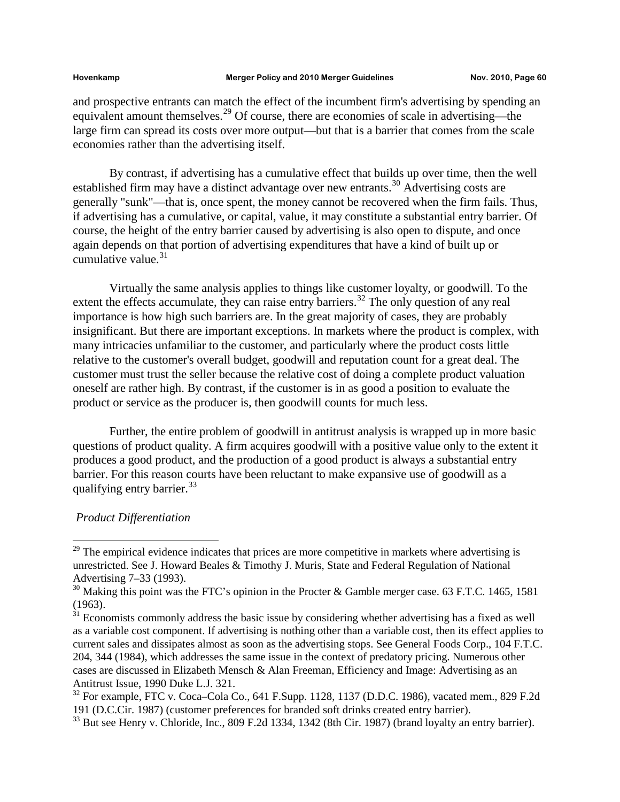and prospective entrants can match the effect of the incumbent firm's advertising by spending an equivalent amount themselves.<sup>[29](#page-60-0)</sup> Of course, there are economies of scale in advertising—the large firm can spread its costs over more output—but that is a barrier that comes from the scale economies rather than the advertising itself.

By contrast, if advertising has a cumulative effect that builds up over time, then the well established firm may have a distinct advantage over new entrants.<sup>[30](#page-60-1)</sup> Advertising costs are generally "sunk"—that is, once spent, the money cannot be recovered when the firm fails. Thus, if advertising has a cumulative, or capital, value, it may constitute a substantial entry barrier. Of course, the height of the entry barrier caused by advertising is also open to dispute, and once again depends on that portion of advertising expenditures that have a kind of built up or cumulative value. $31$ 

Virtually the same analysis applies to things like customer loyalty, or goodwill. To the extent the effects accumulate, they can raise entry barriers.<sup>[32](#page-60-3)</sup> The only question of any real importance is how high such barriers are. In the great majority of cases, they are probably insignificant. But there are important exceptions. In markets where the product is complex, with many intricacies unfamiliar to the customer, and particularly where the product costs little relative to the customer's overall budget, goodwill and reputation count for a great deal. The customer must trust the seller because the relative cost of doing a complete product valuation oneself are rather high. By contrast, if the customer is in as good a position to evaluate the product or service as the producer is, then goodwill counts for much less.

Further, the entire problem of goodwill in antitrust analysis is wrapped up in more basic questions of product quality. A firm acquires goodwill with a positive value only to the extent it produces a good product, and the production of a good product is always a substantial entry barrier. For this reason courts have been reluctant to make expansive use of goodwill as a qualifying entry barrier. $33$ 

# *Product Differentiation*

<span id="page-60-0"></span> $29$  The empirical evidence indicates that prices are more competitive in markets where advertising is unrestricted. See J. Howard Beales & Timothy J. Muris, State and Federal Regulation of National Advertising 7–33 (1993).

<span id="page-60-1"></span><sup>&</sup>lt;sup>30</sup> Making this point was the FTC's opinion in the Procter & Gamble merger case. 63 F.T.C. 1465, 1581 (1963).

<span id="page-60-2"></span><sup>&</sup>lt;sup>31</sup> Economists commonly address the basic issue by considering whether advertising has a fixed as well as a variable cost component. If advertising is nothing other than a variable cost, then its effect applies to current sales and dissipates almost as soon as the advertising stops. See General Foods Corp., 104 F.T.C. 204, 344 (1984), which addresses the same issue in the context of predatory pricing. Numerous other cases are discussed in Elizabeth Mensch & Alan Freeman, Efficiency and Image: Advertising as an Antitrust Issue, 1990 Duke L.J. 321.

<span id="page-60-3"></span> $32$  For example, FTC v. Coca–Cola Co., 641 F.Supp. 1128, 1137 (D.D.C. 1986), vacated mem., 829 F.2d 191 (D.C.Cir. 1987) (customer preferences for branded soft drinks created entry barrier).

<span id="page-60-4"></span><sup>&</sup>lt;sup>33</sup> But see Henry v. Chloride, Inc., 809 F.2d 1334, 1342 (8th Cir. 1987) (brand loyalty an entry barrier).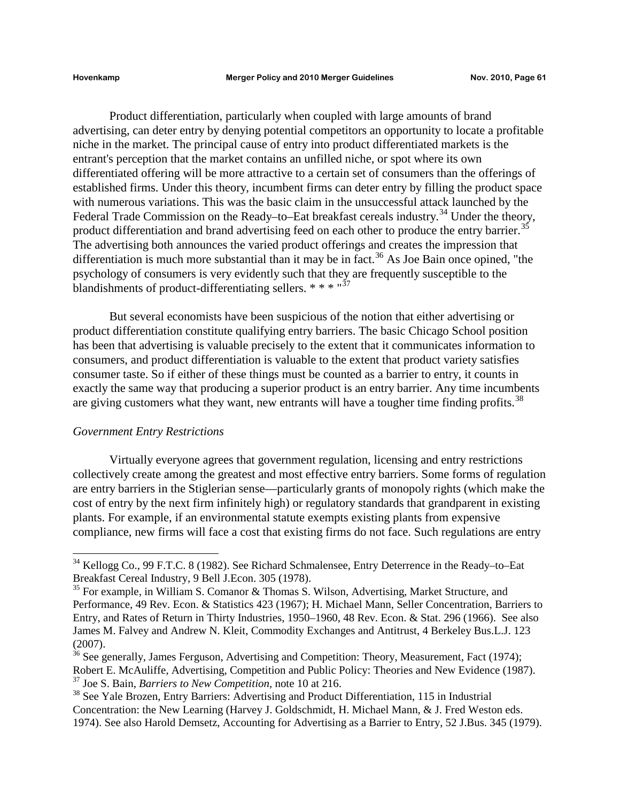Product differentiation, particularly when coupled with large amounts of brand advertising, can deter entry by denying potential competitors an opportunity to locate a profitable niche in the market. The principal cause of entry into product differentiated markets is the entrant's perception that the market contains an unfilled niche, or spot where its own differentiated offering will be more attractive to a certain set of consumers than the offerings of established firms. Under this theory, incumbent firms can deter entry by filling the product space with numerous variations. This was the basic claim in the unsuccessful attack launched by the Federal Trade Commission on the Ready–to–Eat breakfast cereals industry.<sup>[34](#page-61-0)</sup> Under the theory, product differentiation and brand advertising feed on each other to produce the entry barrier.<sup>[35](#page-61-1)</sup> The advertising both announces the varied product offerings and creates the impression that differentiation is much more substantial than it may be in fact.<sup>[36](#page-61-2)</sup> As Joe Bain once opined, "the psychology of consumers is very evidently such that they are frequently susceptible to the blandishments of product-differentiating sellers. \* \* \*  $1^{37}$  $1^{37}$  $1^{37}$ 

But several economists have been suspicious of the notion that either advertising or product differentiation constitute qualifying entry barriers. The basic Chicago School position has been that advertising is valuable precisely to the extent that it communicates information to consumers, and product differentiation is valuable to the extent that product variety satisfies consumer taste. So if either of these things must be counted as a barrier to entry, it counts in exactly the same way that producing a superior product is an entry barrier. Any time incumbents are giving customers what they want, new entrants will have a tougher time finding profits. $38$ 

## *Government Entry Restrictions*

Virtually everyone agrees that government regulation, licensing and entry restrictions collectively create among the greatest and most effective entry barriers. Some forms of regulation are entry barriers in the Stiglerian sense—particularly grants of monopoly rights (which make the cost of entry by the next firm infinitely high) or regulatory standards that grandparent in existing plants. For example, if an environmental statute exempts existing plants from expensive compliance, new firms will face a cost that existing firms do not face. Such regulations are entry

<span id="page-61-0"></span><sup>&</sup>lt;sup>34</sup> Kellogg Co., 99 F.T.C. 8 (1982). See Richard Schmalensee, Entry Deterrence in the Ready–to–Eat Breakfast Cereal Industry, 9 Bell J.Econ. 305 (1978).

<span id="page-61-1"></span><sup>&</sup>lt;sup>35</sup> For example, in William S. Comanor & Thomas S. Wilson, Advertising, Market Structure, and Performance, 49 Rev. Econ. & Statistics 423 (1967); H. Michael Mann, Seller Concentration, Barriers to Entry, and Rates of Return in Thirty Industries, 1950–1960, 48 Rev. Econ. & Stat. 296 (1966). See also James M. Falvey and Andrew N. Kleit, Commodity Exchanges and Antitrust, 4 Berkeley Bus.L.J. 123 (2007).

<span id="page-61-2"></span> $36$  See generally, James Ferguson, Advertising and Competition: Theory, Measurement, Fact (1974); Robert E. McAuliffe, Advertising, Competition and Public Policy: Theories and New Evidence (1987). <sup>37</sup> Joe S. Bain, *Barriers to New Competition*, note 10 at 216.

<span id="page-61-4"></span><span id="page-61-3"></span><sup>&</sup>lt;sup>38</sup> See Yale Brozen, Entry Barriers: Advertising and Product Differentiation, 115 in Industrial Concentration: the New Learning (Harvey J. Goldschmidt, H. Michael Mann, & J. Fred Weston eds. 1974). See also Harold Demsetz, Accounting for Advertising as a Barrier to Entry, 52 J.Bus. 345 (1979).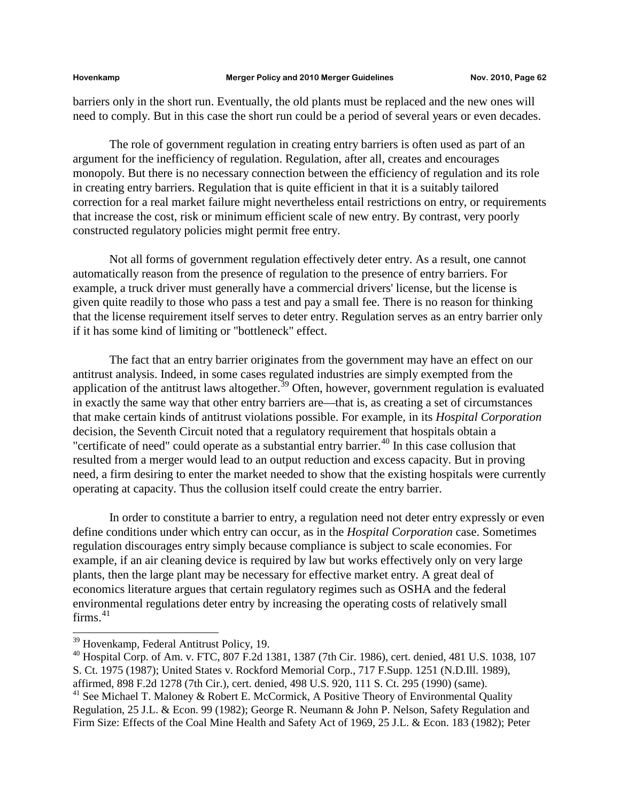barriers only in the short run. Eventually, the old plants must be replaced and the new ones will need to comply. But in this case the short run could be a period of several years or even decades.

The role of government regulation in creating entry barriers is often used as part of an argument for the inefficiency of regulation. Regulation, after all, creates and encourages monopoly. But there is no necessary connection between the efficiency of regulation and its role in creating entry barriers. Regulation that is quite efficient in that it is a suitably tailored correction for a real market failure might nevertheless entail restrictions on entry, or requirements that increase the cost, risk or minimum efficient scale of new entry. By contrast, very poorly constructed regulatory policies might permit free entry.

Not all forms of government regulation effectively deter entry. As a result, one cannot automatically reason from the presence of regulation to the presence of entry barriers. For example, a truck driver must generally have a commercial drivers' license, but the license is given quite readily to those who pass a test and pay a small fee. There is no reason for thinking that the license requirement itself serves to deter entry. Regulation serves as an entry barrier only if it has some kind of limiting or "bottleneck" effect.

The fact that an entry barrier originates from the government may have an effect on our antitrust analysis. Indeed, in some cases regulated industries are simply exempted from the application of the antitrust laws altogether.<sup>[39](#page-62-0)</sup> Often, however, government regulation is evaluated in exactly the same way that other entry barriers are—that is, as creating a set of circumstances that make certain kinds of antitrust violations possible. For example, in its *Hospital Corporation* decision, the Seventh Circuit noted that a regulatory requirement that hospitals obtain a "certificate of need" could operate as a substantial entry barrier.<sup>[40](#page-62-1)</sup> In this case collusion that resulted from a merger would lead to an output reduction and excess capacity. But in proving need, a firm desiring to enter the market needed to show that the existing hospitals were currently operating at capacity. Thus the collusion itself could create the entry barrier.

In order to constitute a barrier to entry, a regulation need not deter entry expressly or even define conditions under which entry can occur, as in the *Hospital Corporation* case. Sometimes regulation discourages entry simply because compliance is subject to scale economies. For example, if an air cleaning device is required by law but works effectively only on very large plants, then the large plant may be necessary for effective market entry. A great deal of economics literature argues that certain regulatory regimes such as OSHA and the federal environmental regulations deter entry by increasing the operating costs of relatively small firms.<sup>[41](#page-62-2)</sup>

affirmed, 898 F.2d 1278 (7th Cir.), cert. denied, 498 U.S. 920, 111 S. Ct. 295 (1990) (same).

<span id="page-62-0"></span><sup>&</sup>lt;sup>39</sup> Hovenkamp, Federal Antitrust Policy, 19.

<span id="page-62-1"></span><sup>40</sup> Hospital Corp. of Am. v. FTC, 807 F.2d 1381, 1387 (7th Cir. 1986), cert. denied, 481 U.S. 1038, 107 S. Ct. 1975 (1987); United States v. Rockford Memorial Corp., 717 F.Supp. 1251 (N.D.Ill. 1989),

<span id="page-62-2"></span> $41$  See Michael T. Maloney & Robert E. McCormick, A Positive Theory of Environmental Quality Regulation, 25 J.L. & Econ. 99 (1982); George R. Neumann & John P. Nelson, Safety Regulation and Firm Size: Effects of the Coal Mine Health and Safety Act of 1969, 25 J.L. & Econ. 183 (1982); Peter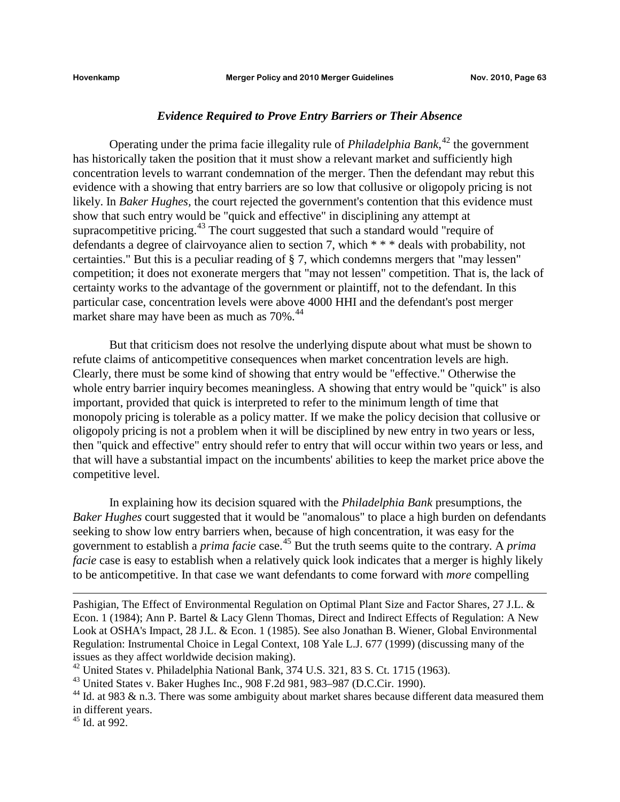## *Evidence Required to Prove Entry Barriers or Their Absence*

Operating under the prima facie illegality rule of *Philadelphia Bank*, [42](#page-63-0) the government has historically taken the position that it must show a relevant market and sufficiently high concentration levels to warrant condemnation of the merger. Then the defendant may rebut this evidence with a showing that entry barriers are so low that collusive or oligopoly pricing is not likely. In *Baker Hughes,* the court rejected the government's contention that this evidence must show that such entry would be "quick and effective" in disciplining any attempt at supracompetitive pricing.<sup>[43](#page-63-1)</sup> The court suggested that such a standard would "require of defendants a degree of clairvoyance alien to section 7, which \* \* \* deals with probability, not certainties." But this is a peculiar reading of § 7, which condemns mergers that "may lessen" competition; it does not exonerate mergers that "may not lessen" competition. That is, the lack of certainty works to the advantage of the government or plaintiff, not to the defendant. In this particular case, concentration levels were above 4000 HHI and the defendant's post merger market share may have been as much as 70%.<sup>[44](#page-63-2)</sup>

But that criticism does not resolve the underlying dispute about what must be shown to refute claims of anticompetitive consequences when market concentration levels are high. Clearly, there must be some kind of showing that entry would be "effective." Otherwise the whole entry barrier inquiry becomes meaningless. A showing that entry would be "quick" is also important, provided that quick is interpreted to refer to the minimum length of time that monopoly pricing is tolerable as a policy matter. If we make the policy decision that collusive or oligopoly pricing is not a problem when it will be disciplined by new entry in two years or less, then "quick and effective" entry should refer to entry that will occur within two years or less, and that will have a substantial impact on the incumbents' abilities to keep the market price above the competitive level.

In explaining how its decision squared with the *Philadelphia Bank* presumptions, the *Baker Hughes* court suggested that it would be "anomalous" to place a high burden on defendants seeking to show low entry barriers when, because of high concentration, it was easy for the government to establish a *prima facie* case.<sup>[45](#page-63-3)</sup> But the truth seems quite to the contrary. A *prima facie* case is easy to establish when a relatively quick look indicates that a merger is highly likely to be anticompetitive. In that case we want defendants to come forward with *more* compelling

 $\overline{a}$ 

Pashigian, The Effect of Environmental Regulation on Optimal Plant Size and Factor Shares, 27 J.L. & Econ. 1 (1984); Ann P. Bartel & Lacy Glenn Thomas, Direct and Indirect Effects of Regulation: A New Look at OSHA's Impact, 28 J.L. & Econ. 1 (1985). See also Jonathan B. Wiener, Global Environmental Regulation: Instrumental Choice in Legal Context, 108 Yale L.J. 677 (1999) (discussing many of the issues as they affect worldwide decision making).

<span id="page-63-0"></span> $42$  United States v. Philadelphia National Bank, 374 U.S. 321, 83 S. Ct. 1715 (1963).

<span id="page-63-1"></span> $43$  United States v. Baker Hughes Inc., 908 F.2d 981, 983–987 (D.C.Cir. 1990).

<span id="page-63-2"></span><sup>&</sup>lt;sup>44</sup> Id. at 983 & n.3. There was some ambiguity about market shares because different data measured them in different years.

<span id="page-63-3"></span> $45$  Id. at 992.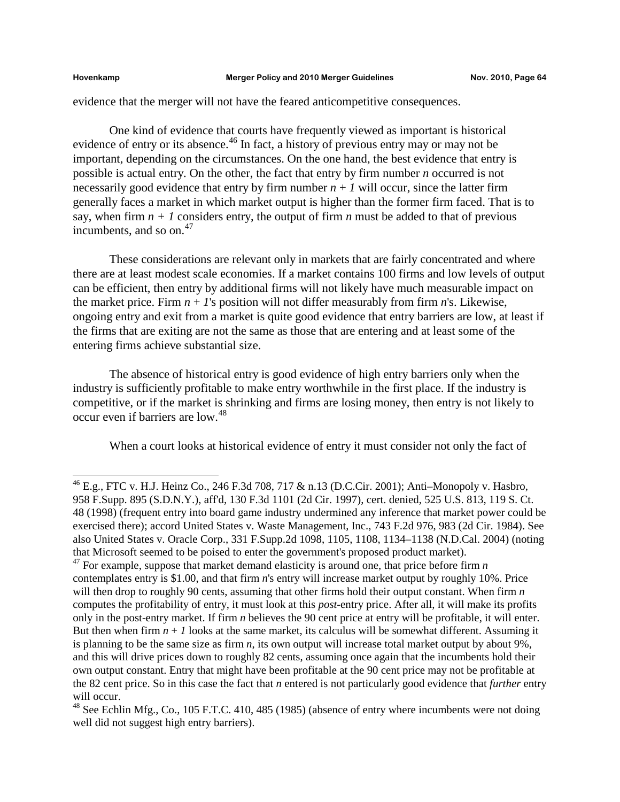evidence that the merger will not have the feared anticompetitive consequences.

One kind of evidence that courts have frequently viewed as important is historical evidence of entry or its absence.<sup>[46](#page-64-0)</sup> In fact, a history of previous entry may or may not be important, depending on the circumstances. On the one hand, the best evidence that entry is possible is actual entry. On the other, the fact that entry by firm number *n* occurred is not necessarily good evidence that entry by firm number  $n + 1$  will occur, since the latter firm generally faces a market in which market output is higher than the former firm faced. That is to say, when firm  $n + 1$  considers entry, the output of firm *n* must be added to that of previous incumbents, and so on. $47$ 

These considerations are relevant only in markets that are fairly concentrated and where there are at least modest scale economies. If a market contains 100 firms and low levels of output can be efficient, then entry by additional firms will not likely have much measurable impact on the market price. Firm  $n + I$ 's position will not differ measurably from firm  $n$ 's. Likewise, ongoing entry and exit from a market is quite good evidence that entry barriers are low, at least if the firms that are exiting are not the same as those that are entering and at least some of the entering firms achieve substantial size.

The absence of historical entry is good evidence of high entry barriers only when the industry is sufficiently profitable to make entry worthwhile in the first place. If the industry is competitive, or if the market is shrinking and firms are losing money, then entry is not likely to occur even if barriers are low.[48](#page-64-2)

When a court looks at historical evidence of entry it must consider not only the fact of

<span id="page-64-0"></span> $^{46}$  E.g., FTC v. H.J. Heinz Co., 246 F.3d 708, 717 & n.13 (D.C.Cir. 2001); Anti–Monopoly v. Hasbro, 958 F.Supp. 895 (S.D.N.Y.), aff'd, 130 F.3d 1101 (2d Cir. 1997), cert. denied, 525 U.S. 813, 119 S. Ct. 48 (1998) (frequent entry into board game industry undermined any inference that market power could be exercised there); accord United States v. Waste Management, Inc., 743 F.2d 976, 983 (2d Cir. 1984). See also United States v. Oracle Corp., 331 F.Supp.2d 1098, 1105, 1108, 1134–1138 (N.D.Cal. 2004) (noting that Microsoft seemed to be poised to enter the government's proposed product market).

<span id="page-64-1"></span> $47$  For example, suppose that market demand elasticity is around one, that price before firm  $n$ contemplates entry is \$1.00, and that firm *n*'s entry will increase market output by roughly 10%. Price will then drop to roughly 90 cents, assuming that other firms hold their output constant. When firm *n* computes the profitability of entry, it must look at this *post*-entry price. After all, it will make its profits only in the post-entry market. If firm *n* believes the 90 cent price at entry will be profitable, it will enter. But then when firm  $n + 1$  looks at the same market, its calculus will be somewhat different. Assuming it is planning to be the same size as firm *n*, its own output will increase total market output by about 9%, and this will drive prices down to roughly 82 cents, assuming once again that the incumbents hold their own output constant. Entry that might have been profitable at the 90 cent price may not be profitable at the 82 cent price. So in this case the fact that *n* entered is not particularly good evidence that *further* entry will occur.

<span id="page-64-2"></span><sup>&</sup>lt;sup>48</sup> See Echlin Mfg., Co., 105 F.T.C. 410, 485 (1985) (absence of entry where incumbents were not doing well did not suggest high entry barriers).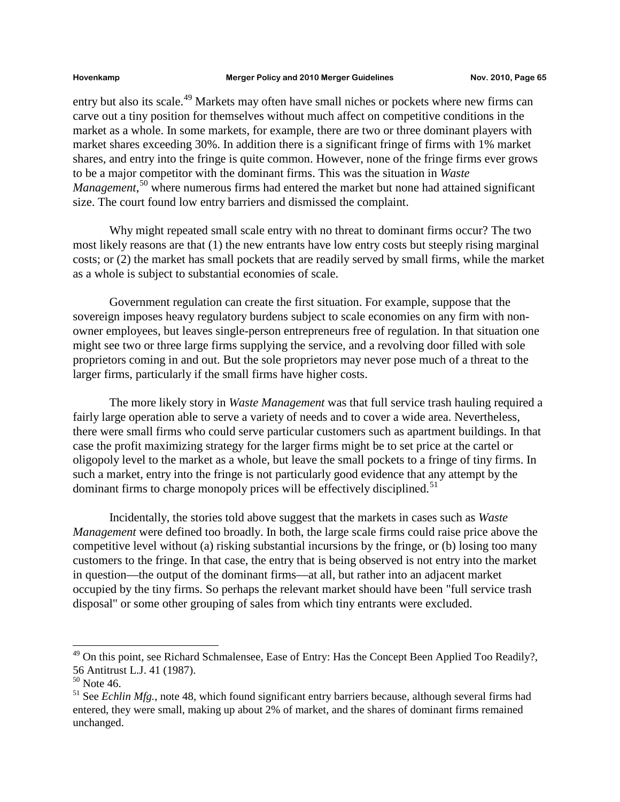entry but also its scale.<sup>[49](#page-65-0)</sup> Markets may often have small niches or pockets where new firms can carve out a tiny position for themselves without much affect on competitive conditions in the market as a whole. In some markets, for example, there are two or three dominant players with market shares exceeding 30%. In addition there is a significant fringe of firms with 1% market shares, and entry into the fringe is quite common. However, none of the fringe firms ever grows to be a major competitor with the dominant firms. This was the situation in *Waste Management*, [50](#page-65-1) where numerous firms had entered the market but none had attained significant size. The court found low entry barriers and dismissed the complaint.

Why might repeated small scale entry with no threat to dominant firms occur? The two most likely reasons are that (1) the new entrants have low entry costs but steeply rising marginal costs; or (2) the market has small pockets that are readily served by small firms, while the market as a whole is subject to substantial economies of scale.

Government regulation can create the first situation. For example, suppose that the sovereign imposes heavy regulatory burdens subject to scale economies on any firm with nonowner employees, but leaves single-person entrepreneurs free of regulation. In that situation one might see two or three large firms supplying the service, and a revolving door filled with sole proprietors coming in and out. But the sole proprietors may never pose much of a threat to the larger firms, particularly if the small firms have higher costs.

The more likely story in *Waste Management* was that full service trash hauling required a fairly large operation able to serve a variety of needs and to cover a wide area. Nevertheless, there were small firms who could serve particular customers such as apartment buildings. In that case the profit maximizing strategy for the larger firms might be to set price at the cartel or oligopoly level to the market as a whole, but leave the small pockets to a fringe of tiny firms. In such a market, entry into the fringe is not particularly good evidence that any attempt by the dominant firms to charge monopoly prices will be effectively disciplined.<sup>[51](#page-65-2)</sup>

Incidentally, the stories told above suggest that the markets in cases such as *Waste Management* were defined too broadly. In both, the large scale firms could raise price above the competitive level without (a) risking substantial incursions by the fringe, or (b) losing too many customers to the fringe. In that case, the entry that is being observed is not entry into the market in question—the output of the dominant firms—at all, but rather into an adjacent market occupied by the tiny firms. So perhaps the relevant market should have been "full service trash disposal" or some other grouping of sales from which tiny entrants were excluded.

<span id="page-65-0"></span><sup>&</sup>lt;sup>49</sup> On this point, see Richard Schmalensee, Ease of Entry: Has the Concept Been Applied Too Readily?, 56 Antitrust L.J. 41 (1987).

<span id="page-65-1"></span><sup>50</sup> Note 46.

<span id="page-65-2"></span><sup>&</sup>lt;sup>51</sup> See *Echlin Mfg.*, note 48, which found significant entry barriers because, although several firms had entered, they were small, making up about 2% of market, and the shares of dominant firms remained unchanged.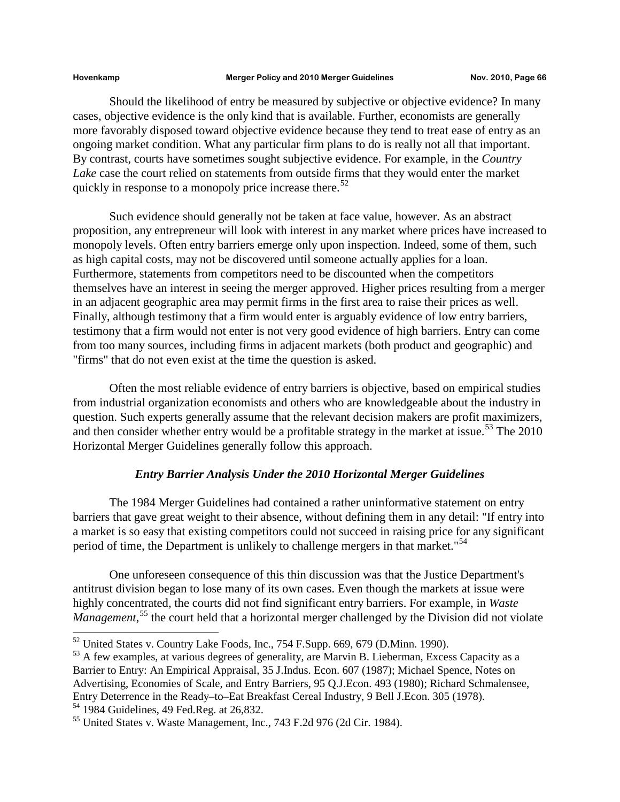Should the likelihood of entry be measured by subjective or objective evidence? In many cases, objective evidence is the only kind that is available. Further, economists are generally more favorably disposed toward objective evidence because they tend to treat ease of entry as an ongoing market condition. What any particular firm plans to do is really not all that important. By contrast, courts have sometimes sought subjective evidence. For example, in the *Country Lake* case the court relied on statements from outside firms that they would enter the market quickly in response to a monopoly price increase there.<sup>[52](#page-66-0)</sup>

Such evidence should generally not be taken at face value, however. As an abstract proposition, any entrepreneur will look with interest in any market where prices have increased to monopoly levels. Often entry barriers emerge only upon inspection. Indeed, some of them, such as high capital costs, may not be discovered until someone actually applies for a loan. Furthermore, statements from competitors need to be discounted when the competitors themselves have an interest in seeing the merger approved. Higher prices resulting from a merger in an adjacent geographic area may permit firms in the first area to raise their prices as well. Finally, although testimony that a firm would enter is arguably evidence of low entry barriers, testimony that a firm would not enter is not very good evidence of high barriers. Entry can come from too many sources, including firms in adjacent markets (both product and geographic) and "firms" that do not even exist at the time the question is asked.

Often the most reliable evidence of entry barriers is objective, based on empirical studies from industrial organization economists and others who are knowledgeable about the industry in question. Such experts generally assume that the relevant decision makers are profit maximizers, and then consider whether entry would be a profitable strategy in the market at issue.<sup>[53](#page-66-1)</sup> The 2010 Horizontal Merger Guidelines generally follow this approach.

## *Entry Barrier Analysis Under the 2010 Horizontal Merger Guidelines*

The 1984 Merger Guidelines had contained a rather uninformative statement on entry barriers that gave great weight to their absence, without defining them in any detail: "If entry into a market is so easy that existing competitors could not succeed in raising price for any significant period of time, the Department is unlikely to challenge mergers in that market."<sup>[54](#page-66-2)</sup>

One unforeseen consequence of this thin discussion was that the Justice Department's antitrust division began to lose many of its own cases. Even though the markets at issue were highly concentrated, the courts did not find significant entry barriers. For example, in *Waste*  Management,<sup>[55](#page-66-3)</sup> the court held that a horizontal merger challenged by the Division did not violate

<span id="page-66-0"></span> <sup>52</sup> United States v. Country Lake Foods, Inc., 754 F.Supp. 669, 679 (D.Minn. 1990).

<span id="page-66-1"></span><sup>&</sup>lt;sup>53</sup> A few examples, at various degrees of generality, are Marvin B. Lieberman, Excess Capacity as a Barrier to Entry: An Empirical Appraisal, 35 J.Indus. Econ. 607 (1987); Michael Spence, Notes on Advertising, Economies of Scale, and Entry Barriers, 95 Q.J.Econ. 493 (1980); Richard Schmalensee, Entry Deterrence in the Ready–to–Eat Breakfast Cereal Industry, 9 Bell J.Econ. 305 (1978). <sup>54</sup> 1984 Guidelines, 49 Fed.Reg. at 26,832.

<span id="page-66-3"></span><span id="page-66-2"></span><sup>55</sup> United States v. Waste Management, Inc., 743 F.2d 976 (2d Cir. 1984).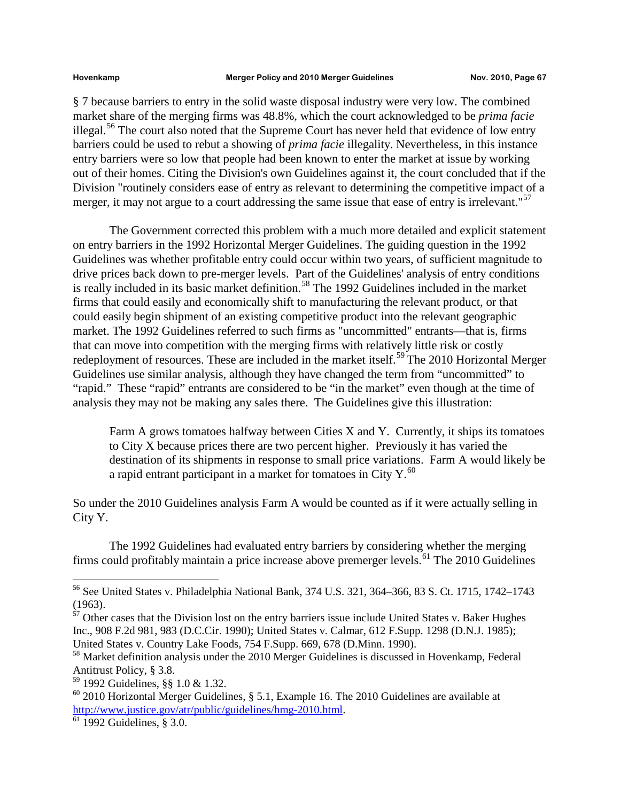§ 7 because barriers to entry in the solid waste disposal industry were very low. The combined market share of the merging firms was 48.8%, which the court acknowledged to be *prima facie* illegal.<sup>[56](#page-67-0)</sup> The court also noted that the Supreme Court has never held that evidence of low entry barriers could be used to rebut a showing of *prima facie* illegality. Nevertheless, in this instance entry barriers were so low that people had been known to enter the market at issue by working out of their homes. Citing the Division's own Guidelines against it, the court concluded that if the Division "routinely considers ease of entry as relevant to determining the competitive impact of a merger, it may not argue to a court addressing the same issue that ease of entry is irrelevant."<sup>[57](#page-67-1)</sup>

The Government corrected this problem with a much more detailed and explicit statement on entry barriers in the 1992 Horizontal Merger Guidelines. The guiding question in the 1992 Guidelines was whether profitable entry could occur within two years, of sufficient magnitude to drive prices back down to pre-merger levels. Part of the Guidelines' analysis of entry conditions is really included in its basic market definition.<sup>[58](#page-67-2)</sup> The 1992 Guidelines included in the market firms that could easily and economically shift to manufacturing the relevant product, or that could easily begin shipment of an existing competitive product into the relevant geographic market. The 1992 Guidelines referred to such firms as "uncommitted" entrants—that is, firms that can move into competition with the merging firms with relatively little risk or costly redeployment of resources. These are included in the market itself.<sup>[59](#page-67-3)</sup> The 2010 Horizontal Merger Guidelines use similar analysis, although they have changed the term from "uncommitted" to "rapid." These "rapid" entrants are considered to be "in the market" even though at the time of analysis they may not be making any sales there. The Guidelines give this illustration:

Farm A grows tomatoes halfway between Cities X and Y. Currently, it ships its tomatoes to City X because prices there are two percent higher. Previously it has varied the destination of its shipments in response to small price variations. Farm A would likely be a rapid entrant participant in a market for tomatoes in City  $Y<sub>0</sub>$ <sup>[60](#page-67-4)</sup>

So under the 2010 Guidelines analysis Farm A would be counted as if it were actually selling in City Y.

The 1992 Guidelines had evaluated entry barriers by considering whether the merging firms could profitably maintain a price increase above premerger levels.<sup>[61](#page-67-5)</sup> The 2010 Guidelines

<span id="page-67-0"></span> <sup>56</sup> See United States v. Philadelphia National Bank, 374 U.S. 321, 364–366, 83 S. Ct. 1715, 1742–1743 (1963).

<span id="page-67-1"></span> $57$  Other cases that the Division lost on the entry barriers issue include United States v. Baker Hughes Inc., 908 F.2d 981, 983 (D.C.Cir. 1990); United States v. Calmar, 612 F.Supp. 1298 (D.N.J. 1985); United States v. Country Lake Foods, 754 F.Supp. 669, 678 (D.Minn. 1990).

<span id="page-67-2"></span><sup>&</sup>lt;sup>58</sup> Market definition analysis under the 2010 Merger Guidelines is discussed in Hovenkamp, Federal Antitrust Policy, § 3.8.

<span id="page-67-3"></span><sup>59</sup> 1992 Guidelines, §§ 1.0 & 1.32.

<span id="page-67-4"></span> $60$  2010 Horizontal Merger Guidelines, § 5.1, Example 16. The 2010 Guidelines are available at [http://www.justice.gov/atr/public/guidelines/hmg-2010.html.](http://www.justice.gov/atr/public/guidelines/hmg-2010.html)

<span id="page-67-5"></span> $\overline{61}$  1992 Guidelines, § 3.0.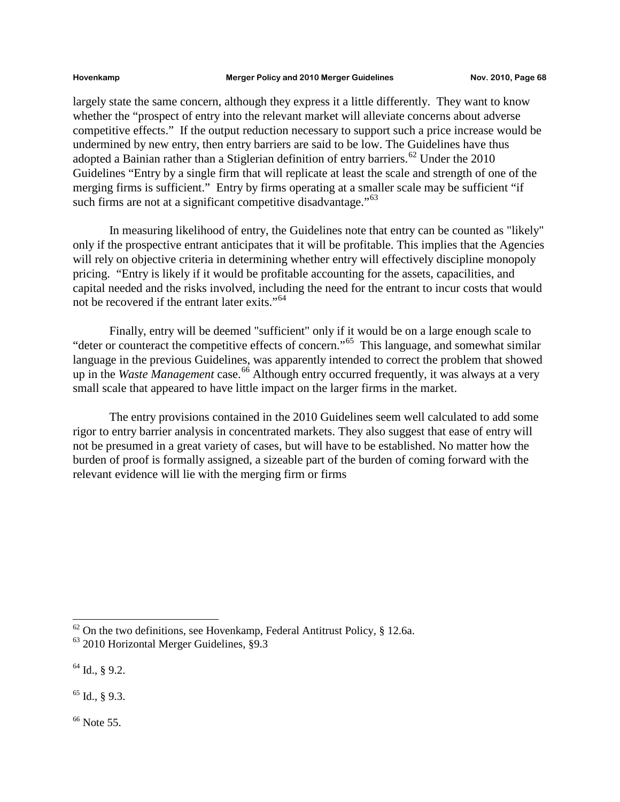largely state the same concern, although they express it a little differently. They want to know whether the "prospect of entry into the relevant market will alleviate concerns about adverse competitive effects." If the output reduction necessary to support such a price increase would be undermined by new entry, then entry barriers are said to be low. The Guidelines have thus adopted a Bainian rather than a Stiglerian definition of entry barriers.<sup>[62](#page-68-0)</sup> Under the 2010 Guidelines "Entry by a single firm that will replicate at least the scale and strength of one of the merging firms is sufficient." Entry by firms operating at a smaller scale may be sufficient "if such firms are not at a significant competitive disadvantage."<sup>[63](#page-68-1)</sup>

In measuring likelihood of entry, the Guidelines note that entry can be counted as "likely" only if the prospective entrant anticipates that it will be profitable. This implies that the Agencies will rely on objective criteria in determining whether entry will effectively discipline monopoly pricing. "Entry is likely if it would be profitable accounting for the assets, capacilities, and capital needed and the risks involved, including the need for the entrant to incur costs that would not be recovered if the entrant later exits."<sup>[64](#page-68-2)</sup>

Finally, entry will be deemed "sufficient" only if it would be on a large enough scale to "deter or counteract the competitive effects of concern."[65](#page-68-3) This language, and somewhat similar language in the previous Guidelines, was apparently intended to correct the problem that showed up in the *Waste Management* case.<sup>[66](#page-68-4)</sup> Although entry occurred frequently, it was always at a very small scale that appeared to have little impact on the larger firms in the market.

The entry provisions contained in the 2010 Guidelines seem well calculated to add some rigor to entry barrier analysis in concentrated markets. They also suggest that ease of entry will not be presumed in a great variety of cases, but will have to be established. No matter how the burden of proof is formally assigned, a sizeable part of the burden of coming forward with the relevant evidence will lie with the merging firm or firms

<span id="page-68-3"></span> $<sup>65</sup>$  Id., § 9.3.</sup>

<span id="page-68-4"></span> $66$  Note 55.

<span id="page-68-1"></span><span id="page-68-0"></span> $62$  On the two definitions, see Hovenkamp, Federal Antitrust Policy, § 12.6a. <sup>63</sup> 2010 Horizontal Merger Guidelines, §9.3

<span id="page-68-2"></span> $64$  Id., § 9.2.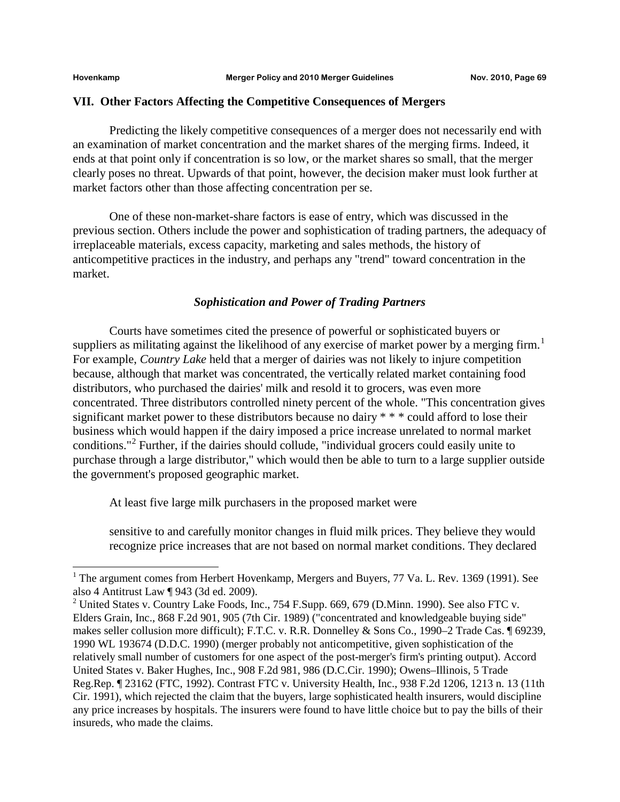## **VII. Other Factors Affecting the Competitive Consequences of Mergers**

Predicting the likely competitive consequences of a merger does not necessarily end with an examination of market concentration and the market shares of the merging firms. Indeed, it ends at that point only if concentration is so low, or the market shares so small, that the merger clearly poses no threat. Upwards of that point, however, the decision maker must look further at market factors other than those affecting concentration per se.

One of these non-market-share factors is ease of entry, which was discussed in the previous section. Others include the power and sophistication of trading partners, the adequacy of irreplaceable materials, excess capacity, marketing and sales methods, the history of anticompetitive practices in the industry, and perhaps any "trend" toward concentration in the market.

# *Sophistication and Power of Trading Partners*

Courts have sometimes cited the presence of powerful or sophisticated buyers or suppliers as militating against the likelihood of any exercise of market power by a merging firm.<sup>[1](#page-69-0)</sup> For example, *Country Lake* held that a merger of dairies was not likely to injure competition because, although that market was concentrated, the vertically related market containing food distributors, who purchased the dairies' milk and resold it to grocers, was even more concentrated. Three distributors controlled ninety percent of the whole. "This concentration gives significant market power to these distributors because no dairy \* \* \* could afford to lose their business which would happen if the dairy imposed a price increase unrelated to normal market conditions."[2](#page-69-1) Further, if the dairies should collude, "individual grocers could easily unite to purchase through a large distributor," which would then be able to turn to a large supplier outside the government's proposed geographic market.

At least five large milk purchasers in the proposed market were

sensitive to and carefully monitor changes in fluid milk prices. They believe they would recognize price increases that are not based on normal market conditions. They declared

<span id="page-69-0"></span> $1$  The argument comes from Herbert Hovenkamp, Mergers and Buyers, 77 Va. L. Rev. 1369 (1991). See also 4 Antitrust Law ¶ 943 (3d ed. 2009).

<span id="page-69-1"></span> $2$  United States v. Country Lake Foods, Inc., 754 F.Supp. 669, 679 (D.Minn. 1990). See also FTC v. Elders Grain, Inc., 868 F.2d 901, 905 (7th Cir. 1989) ("concentrated and knowledgeable buying side" makes seller collusion more difficult); F.T.C. v. R.R. Donnelley & Sons Co., 1990–2 Trade Cas. ¶ 69239, 1990 WL 193674 (D.D.C. 1990) (merger probably not anticompetitive, given sophistication of the relatively small number of customers for one aspect of the post-merger's firm's printing output). Accord United States v. Baker Hughes, Inc., 908 F.2d 981, 986 (D.C.Cir. 1990); Owens–Illinois, 5 Trade Reg.Rep. ¶ 23162 (FTC, 1992). Contrast FTC v. University Health, Inc., 938 F.2d 1206, 1213 n. 13 (11th Cir. 1991), which rejected the claim that the buyers, large sophisticated health insurers, would discipline any price increases by hospitals. The insurers were found to have little choice but to pay the bills of their insureds, who made the claims.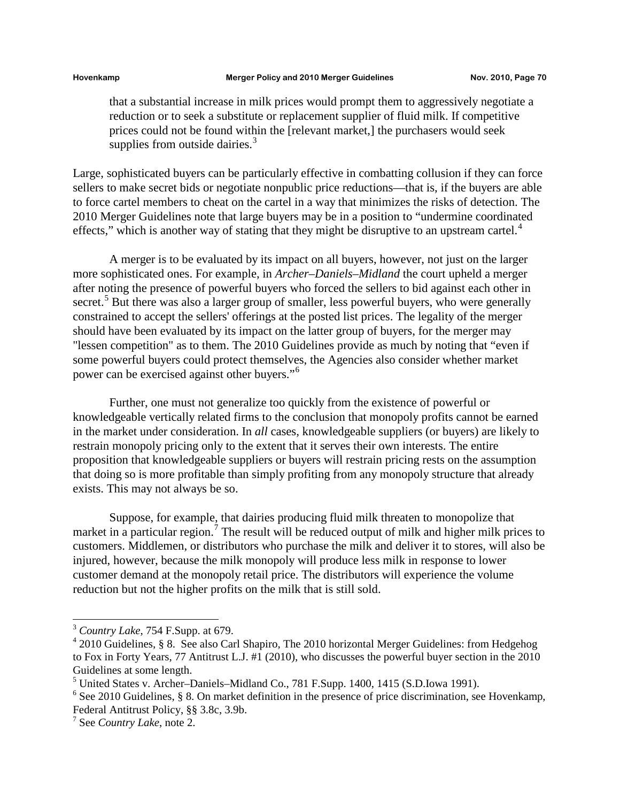that a substantial increase in milk prices would prompt them to aggressively negotiate a reduction or to seek a substitute or replacement supplier of fluid milk. If competitive prices could not be found within the [relevant market,] the purchasers would seek supplies from outside dairies. $3$ 

Large, sophisticated buyers can be particularly effective in combatting collusion if they can force sellers to make secret bids or negotiate nonpublic price reductions—that is, if the buyers are able to force cartel members to cheat on the cartel in a way that minimizes the risks of detection. The 2010 Merger Guidelines note that large buyers may be in a position to "undermine coordinated effects," which is another way of stating that they might be disruptive to an upstream cartel. $4$ 

A merger is to be evaluated by its impact on all buyers, however, not just on the larger more sophisticated ones. For example, in *Archer–Daniels–Midland* the court upheld a merger after noting the presence of powerful buyers who forced the sellers to bid against each other in secret.<sup>[5](#page-70-2)</sup> But there was also a larger group of smaller, less powerful buyers, who were generally constrained to accept the sellers' offerings at the posted list prices. The legality of the merger should have been evaluated by its impact on the latter group of buyers, for the merger may "lessen competition" as to them. The 2010 Guidelines provide as much by noting that "even if some powerful buyers could protect themselves, the Agencies also consider whether market power can be exercised against other buyers."[6](#page-70-3)

Further, one must not generalize too quickly from the existence of powerful or knowledgeable vertically related firms to the conclusion that monopoly profits cannot be earned in the market under consideration. In *all* cases, knowledgeable suppliers (or buyers) are likely to restrain monopoly pricing only to the extent that it serves their own interests. The entire proposition that knowledgeable suppliers or buyers will restrain pricing rests on the assumption that doing so is more profitable than simply profiting from any monopoly structure that already exists. This may not always be so.

Suppose, for example, that dairies producing fluid milk threaten to monopolize that market in a particular region.<sup>[7](#page-70-4)</sup> The result will be reduced output of milk and higher milk prices to customers. Middlemen, or distributors who purchase the milk and deliver it to stores, will also be injured, however, because the milk monopoly will produce less milk in response to lower customer demand at the monopoly retail price. The distributors will experience the volume reduction but not the higher profits on the milk that is still sold.

<span id="page-70-0"></span> <sup>3</sup> *Country Lake*, 754 F.Supp. at 679.

<span id="page-70-1"></span> $42010$  Guidelines, § 8. See also Carl Shapiro, The 2010 horizontal Merger Guidelines: from Hedgehog to Fox in Forty Years, 77 Antitrust L.J. #1 (2010), who discusses the powerful buyer section in the 2010 Guidelines at some length.

<span id="page-70-2"></span><sup>5</sup> United States v. Archer–Daniels–Midland Co., 781 F.Supp. 1400, 1415 (S.D.Iowa 1991).

<span id="page-70-3"></span> $6$  See 2010 Guidelines, § 8. On market definition in the presence of price discrimination, see Hovenkamp, Federal Antitrust Policy, §§ 3.8c, 3.9b.

<span id="page-70-4"></span><sup>7</sup> See *Country Lake*, note 2.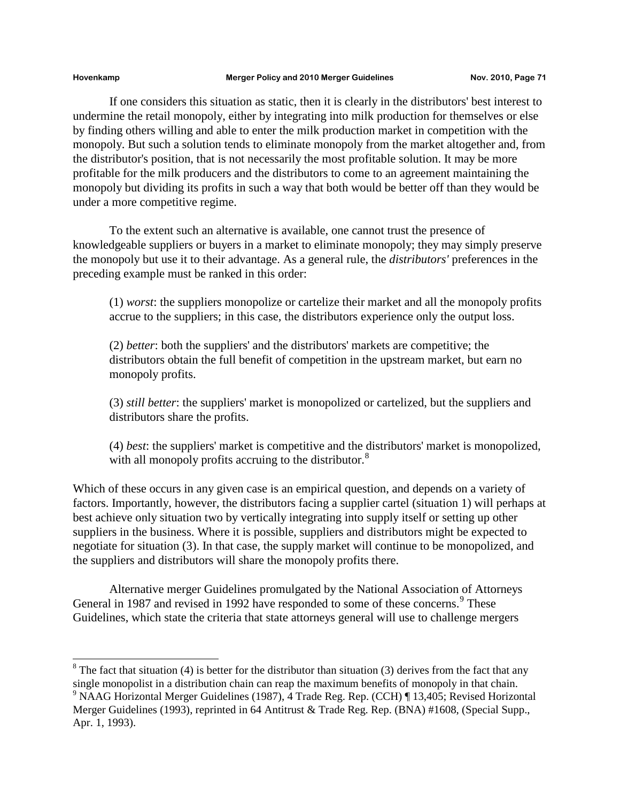If one considers this situation as static, then it is clearly in the distributors' best interest to undermine the retail monopoly, either by integrating into milk production for themselves or else by finding others willing and able to enter the milk production market in competition with the monopoly. But such a solution tends to eliminate monopoly from the market altogether and, from the distributor's position, that is not necessarily the most profitable solution. It may be more profitable for the milk producers and the distributors to come to an agreement maintaining the monopoly but dividing its profits in such a way that both would be better off than they would be under a more competitive regime.

To the extent such an alternative is available, one cannot trust the presence of knowledgeable suppliers or buyers in a market to eliminate monopoly; they may simply preserve the monopoly but use it to their advantage. As a general rule, the *distributors'* preferences in the preceding example must be ranked in this order:

(1) *worst*: the suppliers monopolize or cartelize their market and all the monopoly profits accrue to the suppliers; in this case, the distributors experience only the output loss.

(2) *better*: both the suppliers' and the distributors' markets are competitive; the distributors obtain the full benefit of competition in the upstream market, but earn no monopoly profits.

(3) *still better*: the suppliers' market is monopolized or cartelized, but the suppliers and distributors share the profits.

(4) *best*: the suppliers' market is competitive and the distributors' market is monopolized, with all monopoly profits accruing to the distributor.<sup>[8](#page-71-0)</sup>

Which of these occurs in any given case is an empirical question, and depends on a variety of factors. Importantly, however, the distributors facing a supplier cartel (situation 1) will perhaps at best achieve only situation two by vertically integrating into supply itself or setting up other suppliers in the business. Where it is possible, suppliers and distributors might be expected to negotiate for situation (3). In that case, the supply market will continue to be monopolized, and the suppliers and distributors will share the monopoly profits there.

Alternative merger Guidelines promulgated by the National Association of Attorneys General in 1[9](#page-71-1)87 and revised in 1992 have responded to some of these concerns.<sup>9</sup> These Guidelines, which state the criteria that state attorneys general will use to challenge mergers

<span id="page-71-1"></span><span id="page-71-0"></span> $8$  The fact that situation (4) is better for the distributor than situation (3) derives from the fact that any single monopolist in a distribution chain can reap the maximum benefits of monopoly in that chain.  $9$  NAAG Horizontal Merger Guidelines (1987), 4 Trade Reg. Rep. (CCH) ¶ 13,405; Revised Horizontal Merger Guidelines (1993), reprinted in 64 Antitrust & Trade Reg. Rep. (BNA) #1608, (Special Supp., Apr. 1, 1993).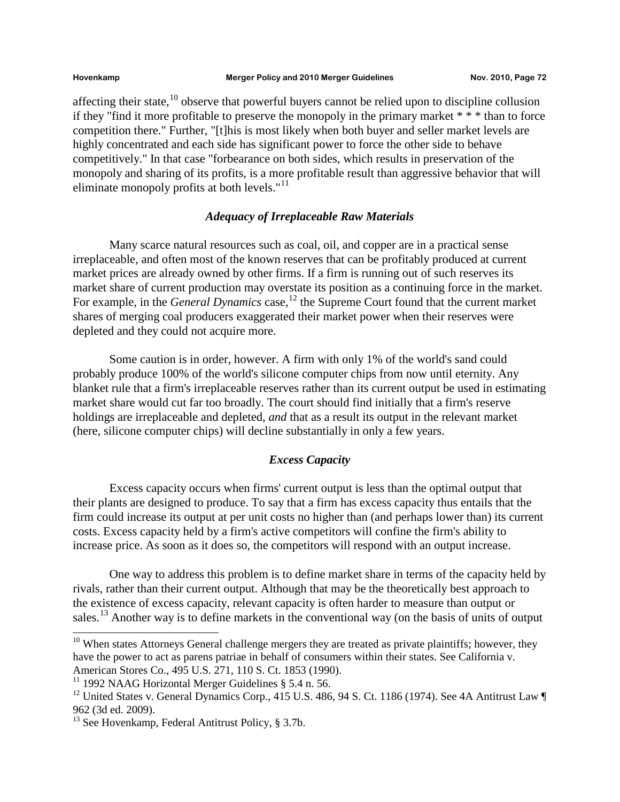affecting their state, $10$  observe that powerful buyers cannot be relied upon to discipline collusion if they "find it more profitable to preserve the monopoly in the primary market \* \* \* than to force competition there." Further, "[t]his is most likely when both buyer and seller market levels are highly concentrated and each side has significant power to force the other side to behave competitively." In that case "forbearance on both sides, which results in preservation of the monopoly and sharing of its profits, is a more profitable result than aggressive behavior that will eliminate monopoly profits at both levels." $11$ 

### *Adequacy of Irreplaceable Raw Materials*

Many scarce natural resources such as coal, oil, and copper are in a practical sense irreplaceable, and often most of the known reserves that can be profitably produced at current market prices are already owned by other firms. If a firm is running out of such reserves its market share of current production may overstate its position as a continuing force in the market. For example, in the *General Dynamics* case,<sup>[12](#page-72-2)</sup> the Supreme Court found that the current market shares of merging coal producers exaggerated their market power when their reserves were depleted and they could not acquire more.

Some caution is in order, however. A firm with only 1% of the world's sand could probably produce 100% of the world's silicone computer chips from now until eternity. Any blanket rule that a firm's irreplaceable reserves rather than its current output be used in estimating market share would cut far too broadly. The court should find initially that a firm's reserve holdings are irreplaceable and depleted, *and* that as a result its output in the relevant market (here, silicone computer chips) will decline substantially in only a few years.

### *Excess Capacity*

Excess capacity occurs when firms' current output is less than the optimal output that their plants are designed to produce. To say that a firm has excess capacity thus entails that the firm could increase its output at per unit costs no higher than (and perhaps lower than) its current costs. Excess capacity held by a firm's active competitors will confine the firm's ability to increase price. As soon as it does so, the competitors will respond with an output increase.

One way to address this problem is to define market share in terms of the capacity held by rivals, rather than their current output. Although that may be the theoretically best approach to the existence of excess capacity, relevant capacity is often harder to measure than output or sales.<sup>[13](#page-72-3)</sup> Another way is to define markets in the conventional way (on the basis of units of output

<span id="page-72-0"></span> $10$  When states Attorneys General challenge mergers they are treated as private plaintiffs; however, they have the power to act as parens patriae in behalf of consumers within their states. See California v. American Stores Co., 495 U.S. 271, 110 S. Ct. 1853 (1990).

<span id="page-72-1"></span><sup>&</sup>lt;sup>11</sup> 1992 NAAG Horizontal Merger Guidelines  $\S$  5.4 n. 56.

<span id="page-72-2"></span><sup>&</sup>lt;sup>12</sup> United States v. General Dynamics Corp., 415 U.S. 486, 94 S. Ct. 1186 (1974). See 4A Antitrust Law  $\P$ 962 (3d ed. 2009).

<span id="page-72-3"></span><sup>&</sup>lt;sup>13</sup> See Hovenkamp, Federal Antitrust Policy, § 3.7b.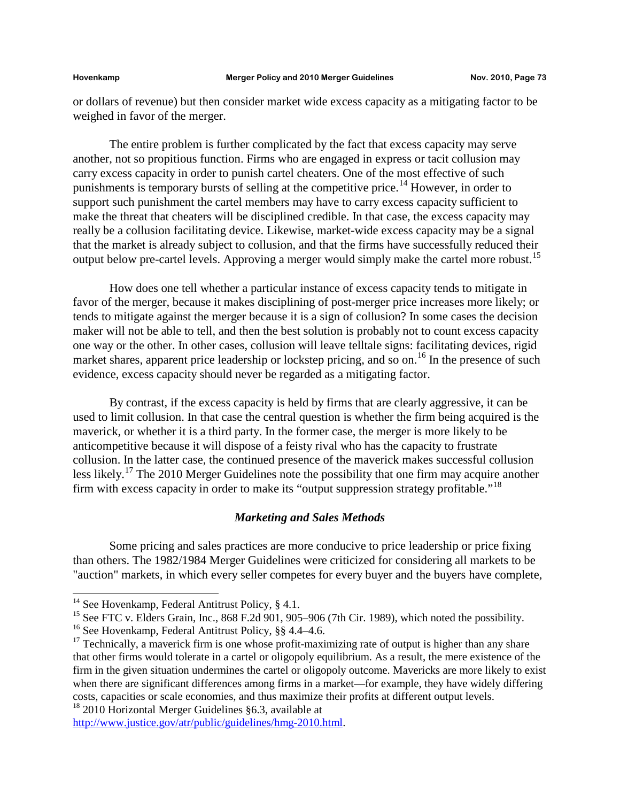or dollars of revenue) but then consider market wide excess capacity as a mitigating factor to be weighed in favor of the merger.

The entire problem is further complicated by the fact that excess capacity may serve another, not so propitious function. Firms who are engaged in express or tacit collusion may carry excess capacity in order to punish cartel cheaters. One of the most effective of such punishments is temporary bursts of selling at the competitive price.<sup>[14](#page-73-0)</sup> However, in order to support such punishment the cartel members may have to carry excess capacity sufficient to make the threat that cheaters will be disciplined credible. In that case, the excess capacity may really be a collusion facilitating device. Likewise, market-wide excess capacity may be a signal that the market is already subject to collusion, and that the firms have successfully reduced their output below pre-cartel levels. Approving a merger would simply make the cartel more robust.<sup>[15](#page-73-1)</sup>

How does one tell whether a particular instance of excess capacity tends to mitigate in favor of the merger, because it makes disciplining of post-merger price increases more likely; or tends to mitigate against the merger because it is a sign of collusion? In some cases the decision maker will not be able to tell, and then the best solution is probably not to count excess capacity one way or the other. In other cases, collusion will leave telltale signs: facilitating devices, rigid market shares, apparent price leadership or lockstep pricing, and so on.<sup>[16](#page-73-2)</sup> In the presence of such evidence, excess capacity should never be regarded as a mitigating factor.

By contrast, if the excess capacity is held by firms that are clearly aggressive, it can be used to limit collusion. In that case the central question is whether the firm being acquired is the maverick, or whether it is a third party. In the former case, the merger is more likely to be anticompetitive because it will dispose of a feisty rival who has the capacity to frustrate collusion. In the latter case, the continued presence of the maverick makes successful collusion less likely.<sup>[17](#page-73-3)</sup> The 2010 Merger Guidelines note the possibility that one firm may acquire another firm with excess capacity in order to make its "output suppression strategy profitable."<sup>[18](#page-73-4)</sup>

## *Marketing and Sales Methods*

Some pricing and sales practices are more conducive to price leadership or price fixing than others. The 1982/1984 Merger Guidelines were criticized for considering all markets to be "auction" markets, in which every seller competes for every buyer and the buyers have complete,

<span id="page-73-4"></span><sup>18</sup> 2010 Horizontal Merger Guidelines §6.3, available at [http://www.justice.gov/atr/public/guidelines/hmg-2010.html.](http://www.justice.gov/atr/public/guidelines/hmg-2010.html)

<span id="page-73-0"></span><sup>&</sup>lt;sup>14</sup> See Hovenkamp, Federal Antitrust Policy, § 4.1.

<span id="page-73-1"></span><sup>&</sup>lt;sup>15</sup> See FTC v. Elders Grain, Inc., 868 F.2d 901, 905–906 (7th Cir. 1989), which noted the possibility.

<span id="page-73-2"></span><sup>&</sup>lt;sup>16</sup> See Hovenkamp, Federal Antitrust Policy, §§ 4.4–4.6.

<span id="page-73-3"></span> $17$  Technically, a maverick firm is one whose profit-maximizing rate of output is higher than any share that other firms would tolerate in a cartel or oligopoly equilibrium. As a result, the mere existence of the firm in the given situation undermines the cartel or oligopoly outcome. Mavericks are more likely to exist when there are significant differences among firms in a market—for example, they have widely differing costs, capacities or scale economies, and thus maximize their profits at different output levels.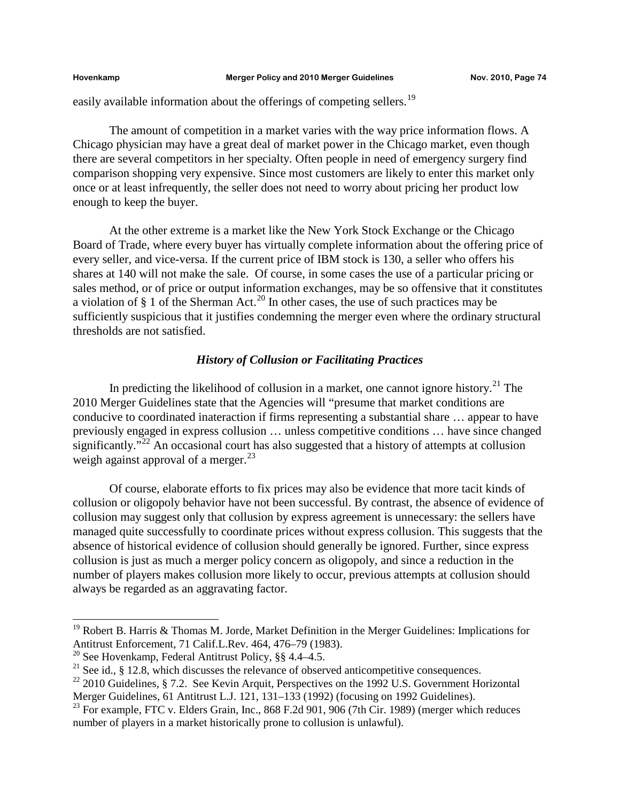easily available information about the offerings of competing sellers.<sup>[19](#page-74-0)</sup>

The amount of competition in a market varies with the way price information flows. A Chicago physician may have a great deal of market power in the Chicago market, even though there are several competitors in her specialty. Often people in need of emergency surgery find comparison shopping very expensive. Since most customers are likely to enter this market only once or at least infrequently, the seller does not need to worry about pricing her product low enough to keep the buyer.

At the other extreme is a market like the New York Stock Exchange or the Chicago Board of Trade, where every buyer has virtually complete information about the offering price of every seller, and vice-versa. If the current price of IBM stock is 130, a seller who offers his shares at 140 will not make the sale. Of course, in some cases the use of a particular pricing or sales method, or of price or output information exchanges, may be so offensive that it constitutes a violation of § 1 of the Sherman Act.<sup>[20](#page-74-1)</sup> In other cases, the use of such practices may be sufficiently suspicious that it justifies condemning the merger even where the ordinary structural thresholds are not satisfied.

# *History of Collusion or Facilitating Practices*

In predicting the likelihood of collusion in a market, one cannot ignore history.<sup>[21](#page-74-2)</sup> The 2010 Merger Guidelines state that the Agencies will "presume that market conditions are conducive to coordinated inateraction if firms representing a substantial share … appear to have previously engaged in express collusion … unless competitive conditions … have since changed significantly."<sup>[22](#page-74-3)</sup> An occasional court has also suggested that a history of attempts at collusion weigh against approval of a merger.<sup>[23](#page-74-4)</sup>

Of course, elaborate efforts to fix prices may also be evidence that more tacit kinds of collusion or oligopoly behavior have not been successful. By contrast, the absence of evidence of collusion may suggest only that collusion by express agreement is unnecessary: the sellers have managed quite successfully to coordinate prices without express collusion. This suggests that the absence of historical evidence of collusion should generally be ignored. Further, since express collusion is just as much a merger policy concern as oligopoly, and since a reduction in the number of players makes collusion more likely to occur, previous attempts at collusion should always be regarded as an aggravating factor.

<span id="page-74-0"></span><sup>&</sup>lt;sup>19</sup> Robert B. Harris & Thomas M. Jorde, Market Definition in the Merger Guidelines: Implications for Antitrust Enforcement, 71 Calif.L.Rev. 464, 476–79 (1983).

<span id="page-74-1"></span><sup>&</sup>lt;sup>20</sup> See Hovenkamp, Federal Antitrust Policy, §§ 4.4–4.5.

<span id="page-74-2"></span><sup>&</sup>lt;sup>21</sup> See id., § 12.8, which discusses the relevance of observed anticompetitive consequences.

<span id="page-74-3"></span> $22$  2010 Guidelines, § 7.2. See Kevin Arquit, Perspectives on the 1992 U.S. Government Horizontal Merger Guidelines, 61 Antitrust L.J. 121, 131–133 (1992) (focusing on 1992 Guidelines).

<span id="page-74-4"></span><sup>&</sup>lt;sup>23</sup> For example, FTC v. Elders Grain, Inc., 868 F.2d 901, 906 (7th Cir. 1989) (merger which reduces number of players in a market historically prone to collusion is unlawful).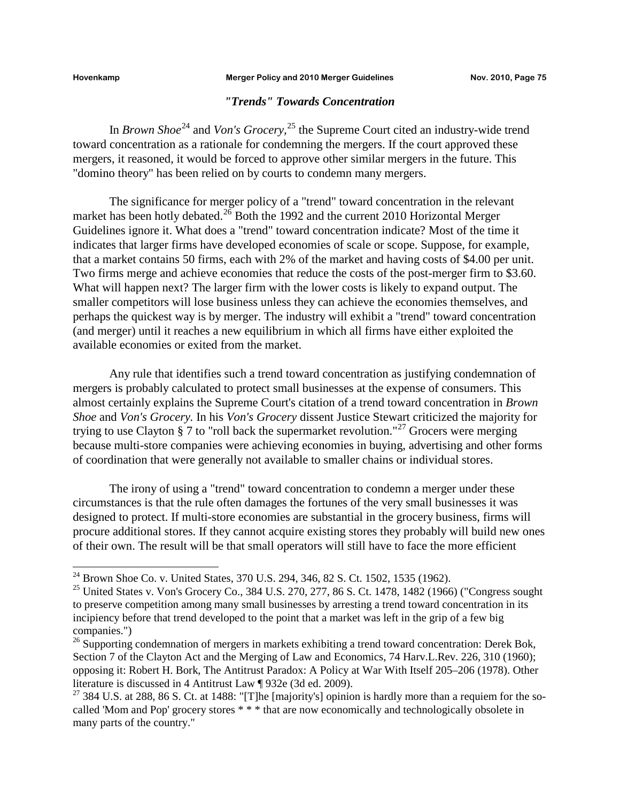### **Hovenkamp Merger Policy and 2010 Merger Guidelines Nov. 2010, Page 75**

## *"Trends" Towards Concentration*

In *Brown Shoe*<sup>[24](#page-75-0)</sup> and *Von's Grocery*,<sup>[25](#page-75-1)</sup> the Supreme Court cited an industry-wide trend toward concentration as a rationale for condemning the mergers. If the court approved these mergers, it reasoned, it would be forced to approve other similar mergers in the future. This "domino theory" has been relied on by courts to condemn many mergers.

The significance for merger policy of a "trend" toward concentration in the relevant market has been hotly debated.<sup>[26](#page-75-2)</sup> Both the 1992 and the current 2010 Horizontal Merger Guidelines ignore it. What does a "trend" toward concentration indicate? Most of the time it indicates that larger firms have developed economies of scale or scope. Suppose, for example, that a market contains 50 firms, each with 2% of the market and having costs of \$4.00 per unit. Two firms merge and achieve economies that reduce the costs of the post-merger firm to \$3.60. What will happen next? The larger firm with the lower costs is likely to expand output. The smaller competitors will lose business unless they can achieve the economies themselves, and perhaps the quickest way is by merger. The industry will exhibit a "trend" toward concentration (and merger) until it reaches a new equilibrium in which all firms have either exploited the available economies or exited from the market.

Any rule that identifies such a trend toward concentration as justifying condemnation of mergers is probably calculated to protect small businesses at the expense of consumers. This almost certainly explains the Supreme Court's citation of a trend toward concentration in *Brown Shoe* and *Von's Grocery.* In his *Von's Grocery* dissent Justice Stewart criticized the majority for trying to use Clayton § 7 to "roll back the supermarket revolution."<sup>[27](#page-75-3)</sup> Grocers were merging because multi-store companies were achieving economies in buying, advertising and other forms of coordination that were generally not available to smaller chains or individual stores.

The irony of using a "trend" toward concentration to condemn a merger under these circumstances is that the rule often damages the fortunes of the very small businesses it was designed to protect. If multi-store economies are substantial in the grocery business, firms will procure additional stores. If they cannot acquire existing stores they probably will build new ones of their own. The result will be that small operators will still have to face the more efficient

<span id="page-75-0"></span><sup>&</sup>lt;sup>24</sup> Brown Shoe Co. v. United States, 370 U.S. 294, 346, 82 S. Ct. 1502, 1535 (1962).

<span id="page-75-1"></span><sup>&</sup>lt;sup>25</sup> United States v. Von's Grocery Co., 384 U.S. 270, 277, 86 S. Ct. 1478, 1482 (1966) ("Congress sought to preserve competition among many small businesses by arresting a trend toward concentration in its incipiency before that trend developed to the point that a market was left in the grip of a few big companies.")

<span id="page-75-2"></span> $^{26}$  Supporting condemnation of mergers in markets exhibiting a trend toward concentration: Derek Bok, Section 7 of the Clayton Act and the Merging of Law and Economics, 74 Harv.L.Rev. 226, 310 (1960); opposing it: Robert H. Bork, The Antitrust Paradox: A Policy at War With Itself 205–206 (1978). Other literature is discussed in 4 Antitrust Law ¶ 932e (3d ed. 2009).

<span id="page-75-3"></span><sup>&</sup>lt;sup>27</sup> 384 U.S. at 288, 86 S. Ct. at 1488: "[T]he [majority's] opinion is hardly more than a requiem for the socalled 'Mom and Pop' grocery stores \* \* \* that are now economically and technologically obsolete in many parts of the country."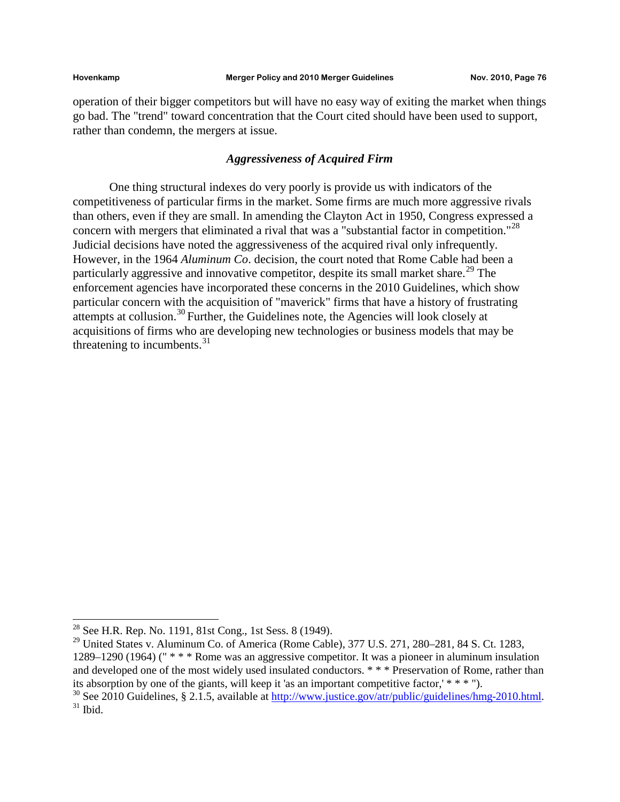operation of their bigger competitors but will have no easy way of exiting the market when things go bad. The "trend" toward concentration that the Court cited should have been used to support, rather than condemn, the mergers at issue.

### *Aggressiveness of Acquired Firm*

One thing structural indexes do very poorly is provide us with indicators of the competitiveness of particular firms in the market. Some firms are much more aggressive rivals than others, even if they are small. In amending the Clayton Act in 1950, Congress expressed a concern with mergers that eliminated a rival that was a "substantial factor in competition."<sup>[28](#page-76-0)</sup> Judicial decisions have noted the aggressiveness of the acquired rival only infrequently. However, in the 1964 *Aluminum Co*. decision, the court noted that Rome Cable had been a particularly aggressive and innovative competitor, despite its small market share.<sup>[29](#page-76-1)</sup> The enforcement agencies have incorporated these concerns in the 2010 Guidelines, which show particular concern with the acquisition of "maverick" firms that have a history of frustrating attempts at collusion.<sup>[30](#page-76-2)</sup> Further, the Guidelines note, the Agencies will look closely at acquisitions of firms who are developing new technologies or business models that may be threatening to incumbents. $31$ 

<span id="page-76-0"></span> <sup>28</sup> See H.R. Rep. No. 1191, 81st Cong., 1st Sess. 8 (1949).

<span id="page-76-1"></span> $29$  United States v. Aluminum Co. of America (Rome Cable), 377 U.S. 271, 280–281, 84 S. Ct. 1283, 1289–1290 (1964) (" \* \* \* Rome was an aggressive competitor. It was a pioneer in aluminum insulation and developed one of the most widely used insulated conductors. \* \* \* Preservation of Rome, rather than its absorption by one of the giants, will keep it 'as an important competitive factor,' \* \* \* ").

<span id="page-76-3"></span><span id="page-76-2"></span> $30$  See 2010 Guidelines, § 2.1.5, available at [http://www.justice.gov/atr/public/guidelines/hmg-2010.html.](http://www.justice.gov/atr/public/guidelines/hmg-2010.html)  $31$  Ibid.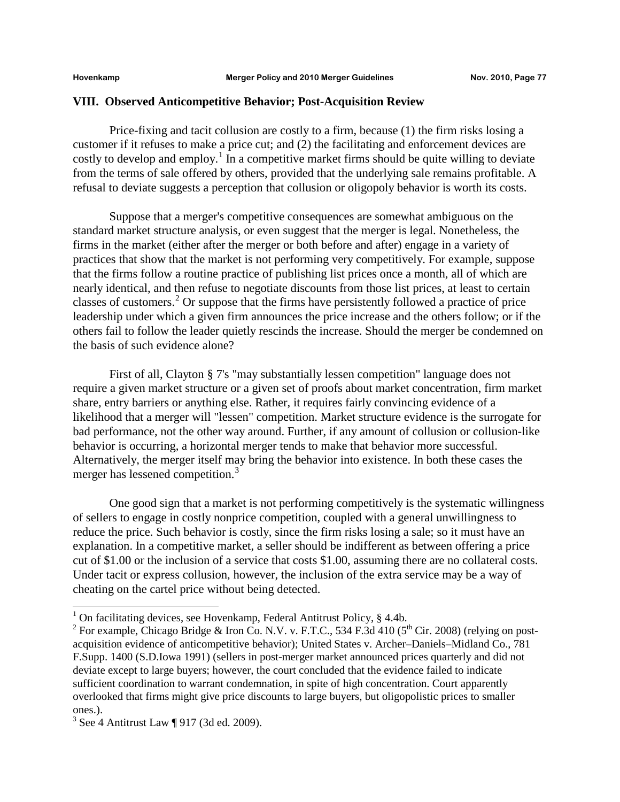### **VIII. Observed Anticompetitive Behavior; Post-Acquisition Review**

Price-fixing and tacit collusion are costly to a firm, because (1) the firm risks losing a customer if it refuses to make a price cut; and (2) the facilitating and enforcement devices are costly to develop and employ.<sup>[1](#page-77-0)</sup> In a competitive market firms should be quite willing to deviate from the terms of sale offered by others, provided that the underlying sale remains profitable. A refusal to deviate suggests a perception that collusion or oligopoly behavior is worth its costs.

Suppose that a merger's competitive consequences are somewhat ambiguous on the standard market structure analysis, or even suggest that the merger is legal. Nonetheless, the firms in the market (either after the merger or both before and after) engage in a variety of practices that show that the market is not performing very competitively. For example, suppose that the firms follow a routine practice of publishing list prices once a month, all of which are nearly identical, and then refuse to negotiate discounts from those list prices, at least to certain classes of customers.<sup>[2](#page-77-1)</sup> Or suppose that the firms have persistently followed a practice of price leadership under which a given firm announces the price increase and the others follow; or if the others fail to follow the leader quietly rescinds the increase. Should the merger be condemned on the basis of such evidence alone?

First of all, Clayton § 7's "may substantially lessen competition" language does not require a given market structure or a given set of proofs about market concentration, firm market share, entry barriers or anything else. Rather, it requires fairly convincing evidence of a likelihood that a merger will "lessen" competition. Market structure evidence is the surrogate for bad performance, not the other way around. Further, if any amount of collusion or collusion-like behavior is occurring, a horizontal merger tends to make that behavior more successful. Alternatively, the merger itself may bring the behavior into existence. In both these cases the merger has lessened competition.<sup>[3](#page-77-2)</sup>

One good sign that a market is not performing competitively is the systematic willingness of sellers to engage in costly nonprice competition, coupled with a general unwillingness to reduce the price. Such behavior is costly, since the firm risks losing a sale; so it must have an explanation. In a competitive market, a seller should be indifferent as between offering a price cut of \$1.00 or the inclusion of a service that costs \$1.00, assuming there are no collateral costs. Under tacit or express collusion, however, the inclusion of the extra service may be a way of cheating on the cartel price without being detected.

<span id="page-77-0"></span><sup>&</sup>lt;sup>1</sup> On facilitating devices, see Hovenkamp, Federal Antitrust Policy,  $\S$  4.4b.

<span id="page-77-1"></span><sup>&</sup>lt;sup>2</sup> For example, Chicago Bridge & Iron Co. N.V. v. F.T.C., 534 F.3d 410 (5<sup>th</sup> Cir. 2008) (relying on postacquisition evidence of anticompetitive behavior); United States v. Archer–Daniels–Midland Co., 781 F.Supp. 1400 (S.D.Iowa 1991) (sellers in post-merger market announced prices quarterly and did not deviate except to large buyers; however, the court concluded that the evidence failed to indicate sufficient coordination to warrant condemnation, in spite of high concentration. Court apparently overlooked that firms might give price discounts to large buyers, but oligopolistic prices to smaller ones.).

<span id="page-77-2"></span> $3$  See 4 Antitrust Law  $\P$  917 (3d ed. 2009).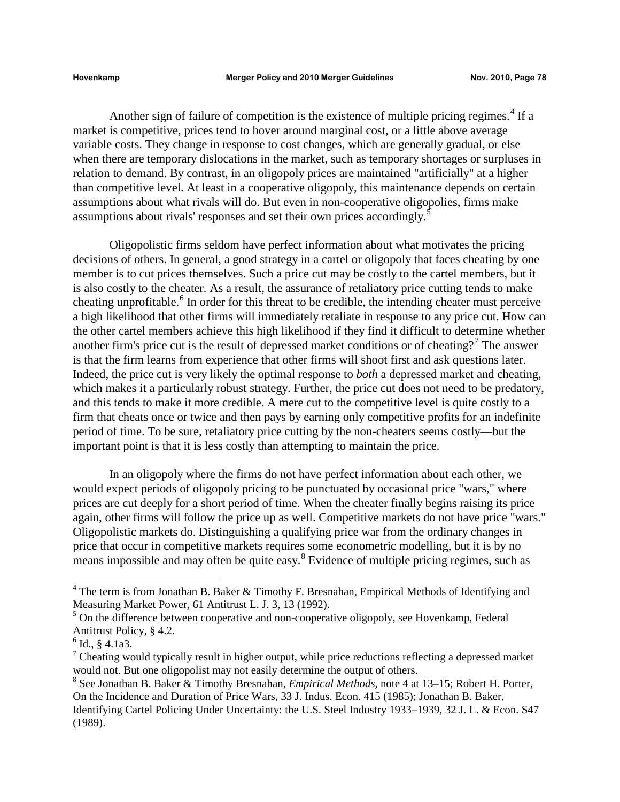Another sign of failure of competition is the existence of multiple pricing regimes. $4$  If a market is competitive, prices tend to hover around marginal cost, or a little above average variable costs. They change in response to cost changes, which are generally gradual, or else when there are temporary dislocations in the market, such as temporary shortages or surpluses in relation to demand. By contrast, in an oligopoly prices are maintained "artificially" at a higher than competitive level. At least in a cooperative oligopoly, this maintenance depends on certain assumptions about what rivals will do. But even in non-cooperative oligopolies, firms make assumptions about rivals' responses and set their own prices accordingly.[5](#page-78-1)

Oligopolistic firms seldom have perfect information about what motivates the pricing decisions of others. In general, a good strategy in a cartel or oligopoly that faces cheating by one member is to cut prices themselves. Such a price cut may be costly to the cartel members, but it is also costly to the cheater. As a result, the assurance of retaliatory price cutting tends to make cheating unprofitable.<sup>[6](#page-78-2)</sup> In order for this threat to be credible, the intending cheater must perceive a high likelihood that other firms will immediately retaliate in response to any price cut. How can the other cartel members achieve this high likelihood if they find it difficult to determine whether another firm's price cut is the result of depressed market conditions or of cheating?<sup>[7](#page-78-3)</sup> The answer is that the firm learns from experience that other firms will shoot first and ask questions later. Indeed, the price cut is very likely the optimal response to *both* a depressed market and cheating, which makes it a particularly robust strategy. Further, the price cut does not need to be predatory, and this tends to make it more credible. A mere cut to the competitive level is quite costly to a firm that cheats once or twice and then pays by earning only competitive profits for an indefinite period of time. To be sure, retaliatory price cutting by the non-cheaters seems costly—but the important point is that it is less costly than attempting to maintain the price.

In an oligopoly where the firms do not have perfect information about each other, we would expect periods of oligopoly pricing to be punctuated by occasional price "wars," where prices are cut deeply for a short period of time. When the cheater finally begins raising its price again, other firms will follow the price up as well. Competitive markets do not have price "wars." Oligopolistic markets do. Distinguishing a qualifying price war from the ordinary changes in price that occur in competitive markets requires some econometric modelling, but it is by no means impossible and may often be quite easy.<sup>[8](#page-78-4)</sup> Evidence of multiple pricing regimes, such as

<span id="page-78-0"></span><sup>&</sup>lt;sup>4</sup> The term is from Jonathan B. Baker & Timothy F. Bresnahan, Empirical Methods of Identifying and Measuring Market Power, 61 Antitrust L. J. 3, 13 (1992).

<span id="page-78-1"></span> $<sup>5</sup>$  On the difference between cooperative and non-cooperative oligopoly, see Hovenkamp, Federal</sup> Antitrust Policy, § 4.2.

<span id="page-78-2"></span> $<sup>6</sup>$  Id., § 4.1a3.</sup>

<span id="page-78-3"></span> $<sup>7</sup>$  Cheating would typically result in higher output, while price reductions reflecting a depressed market</sup> would not. But one oligopolist may not easily determine the output of others.

<span id="page-78-4"></span><sup>8</sup> See Jonathan B. Baker & Timothy Bresnahan, *Empirical Methods*, note 4 at 13–15; Robert H. Porter, On the Incidence and Duration of Price Wars, 33 J. Indus. Econ. 415 (1985); Jonathan B. Baker, Identifying Cartel Policing Under Uncertainty: the U.S. Steel Industry 1933–1939, 32 J. L. & Econ. S47 (1989).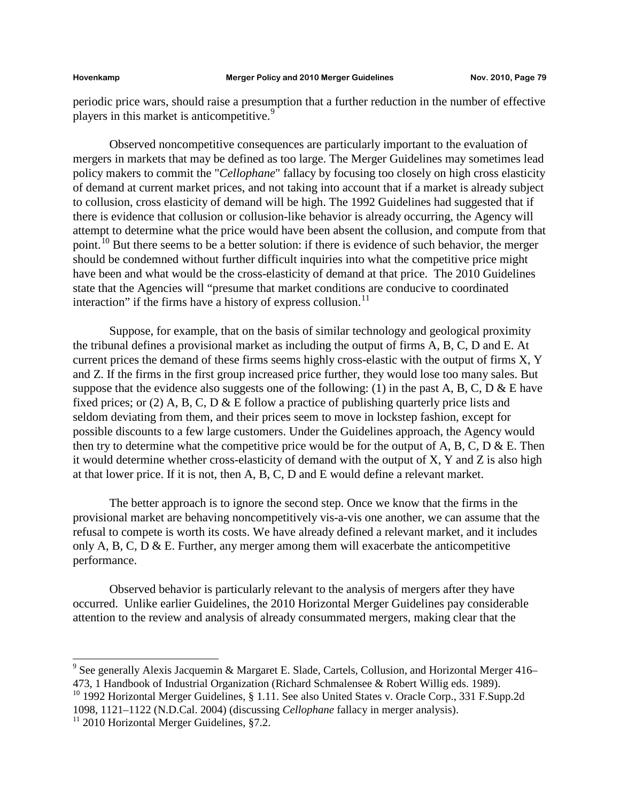periodic price wars, should raise a presumption that a further reduction in the number of effective players in this market is anticompetitive.<sup>[9](#page-79-0)</sup>

Observed noncompetitive consequences are particularly important to the evaluation of mergers in markets that may be defined as too large. The Merger Guidelines may sometimes lead policy makers to commit the "*Cellophane*" fallacy by focusing too closely on high cross elasticity of demand at current market prices, and not taking into account that if a market is already subject to collusion, cross elasticity of demand will be high. The 1992 Guidelines had suggested that if there is evidence that collusion or collusion-like behavior is already occurring, the Agency will attempt to determine what the price would have been absent the collusion, and compute from that point.<sup>[10](#page-79-1)</sup> But there seems to be a better solution: if there is evidence of such behavior, the merger should be condemned without further difficult inquiries into what the competitive price might have been and what would be the cross-elasticity of demand at that price. The 2010 Guidelines state that the Agencies will "presume that market conditions are conducive to coordinated interaction" if the firms have a history of express collusion.<sup>[11](#page-79-2)</sup>

Suppose, for example, that on the basis of similar technology and geological proximity the tribunal defines a provisional market as including the output of firms A, B, C, D and E. At current prices the demand of these firms seems highly cross-elastic with the output of firms X, Y and Z. If the firms in the first group increased price further, they would lose too many sales. But suppose that the evidence also suggests one of the following: (1) in the past A, B, C, D & E have fixed prices; or (2) A, B, C, D & E follow a practice of publishing quarterly price lists and seldom deviating from them, and their prices seem to move in lockstep fashion, except for possible discounts to a few large customers. Under the Guidelines approach, the Agency would then try to determine what the competitive price would be for the output of A, B, C, D & E. Then it would determine whether cross-elasticity of demand with the output of X, Y and Z is also high at that lower price. If it is not, then A, B, C, D and E would define a relevant market.

The better approach is to ignore the second step. Once we know that the firms in the provisional market are behaving noncompetitively vis-a-vis one another, we can assume that the refusal to compete is worth its costs. We have already defined a relevant market, and it includes only A, B, C, D & E. Further, any merger among them will exacerbate the anticompetitive performance.

Observed behavior is particularly relevant to the analysis of mergers after they have occurred. Unlike earlier Guidelines, the 2010 Horizontal Merger Guidelines pay considerable attention to the review and analysis of already consummated mergers, making clear that the

<span id="page-79-0"></span> $9$  See generally Alexis Jacquemin & Margaret E. Slade, Cartels, Collusion, and Horizontal Merger 416– 473, 1 Handbook of Industrial Organization (Richard Schmalensee & Robert Willig eds. 1989). <sup>10</sup> 1992 Horizontal Merger Guidelines, § 1.11. See also United States v. Oracle Corp., 331 F.Supp.2d

<span id="page-79-2"></span><span id="page-79-1"></span><sup>1098, 1121–1122 (</sup>N.D.Cal. 2004) (discussing *Cellophane* fallacy in merger analysis).  $11$  2010 Horizontal Merger Guidelines, §7.2.